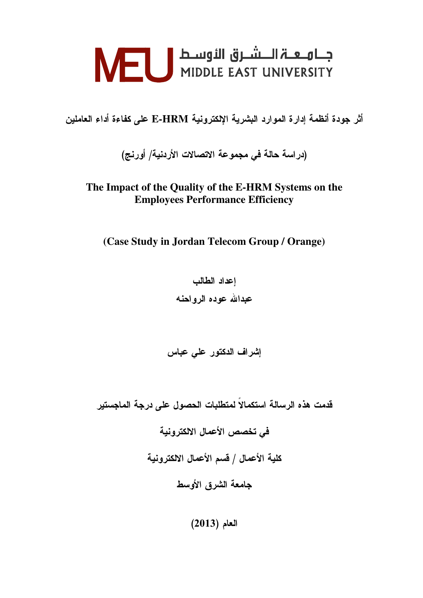أثر جودة أنظمة إدارة الموارد البشرية الإلكترونية E-HRM على كفاءة أداء العاملين

(در اسة حالة في مجموعة الاتصالات الأردنية/ أورنج)

### **The Impact of the Quality of the E-HRM Systems on the Employees Performance Efficiency**

**(Case Study in Jordan Telecom Group / Orange)**

اعداد الطالب عبدالله عوده الرواحنه

إشراف الدكتور على عباس

قدمت هذه الرسالة استكمالا لمتطلبات الحصول على درجة الماجستير

في تخصص الأعمال الالكترونية كلية الأعمال / قسم الأعمال الالكترونية جامعة الشرق الأوسط

 $(2013)$  العام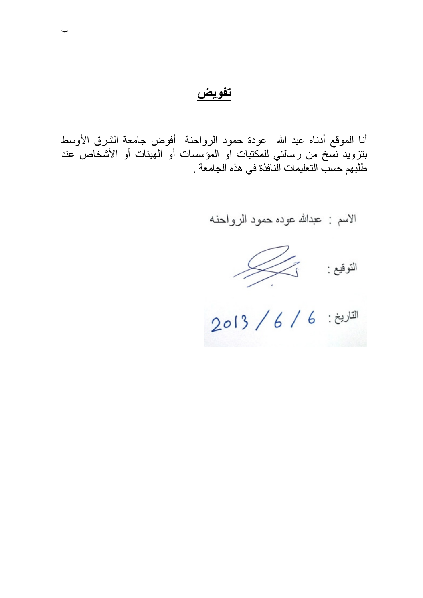ت<u>فويض</u>

أنا الموقع أدناه عبد الله عودة حمود الرواحنة أفوض جامعة الشرق الأوسط بتزويد نسخ من رسالتي للمكتبات او المؤسسات أو الهيئات أو الأشخاص عند طلبهم حسب التعليمات الّنافذة في هذه الجامعة .

الاسم : عبدالله عوده حمود الرواحنه

 $\begin{picture}(120,115) \put(0,0){\vector(1,0){150}} \put(15,0){\vector(1,0){150}} \put(15,0){\vector(1,0){150}} \put(15,0){\vector(1,0){150}} \put(15,0){\vector(1,0){150}} \put(15,0){\vector(1,0){150}} \put(15,0){\vector(1,0){150}} \put(15,0){\vector(1,0){150}} \put(15,0){\vector(1,0){150}} \put(15,0){\vector(1,0){150}} \put(15,0){\vector(1,0){150$ 

2013 / 6 / 6 / 2013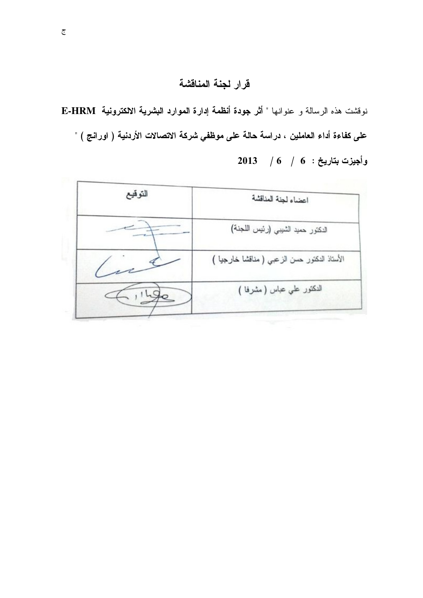# قرار لجنة المناقشة

نوقشت هذه الرسالة و عنوانها " أثر جودة أنظمة إدارة الموارد البشرية الالكترونية E-HRM على كفاءة أداء العاملين ، دراسة حالة على موظفي شركة الاتصالات الأردنية ( اورانج ) "  $2013$  / 6  $\pm$   $6$  / 6  $\pm$  وأجيزت بتاريخ

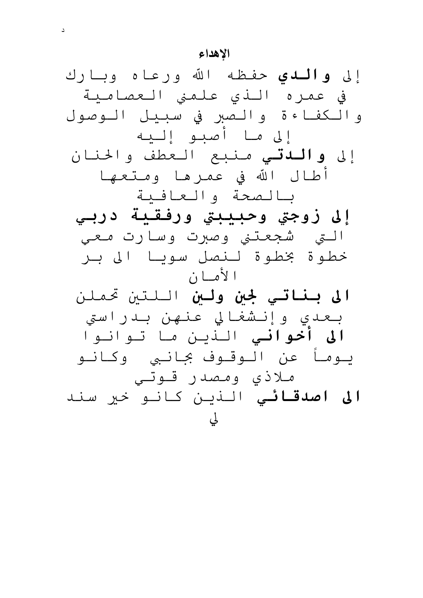#### الاهداع

إلى **والــدى** حفـظـه الله ورعـاه وبــارك في عمره النو علمني العصامية والكفاءة والصبر في سبيل الوصول إلى مـا أصبـو إلـيه إلى **واللدت**ـي مـنبع الـعطف والحنان أطال الله في عمرها ومتعها يالصحة والعافية إلى زوجتي وحبيبتي ورفقية دربي التي شجعتني وصبرت وسارت معي خطوة بخطوة لنصل سويا الى بر ا لأمسا ن **الى بناتي لجين ولين** اللتين تحملن بعدی وإنشغالي عنهن بدراستي **الی أخوانی** النين ما توانوا يـومـأ عن الـوقـوف بجـانـبي وكـانـو ملاذی ومصدر قوتی **الی اصدقائے** النین کانو خیر سند لي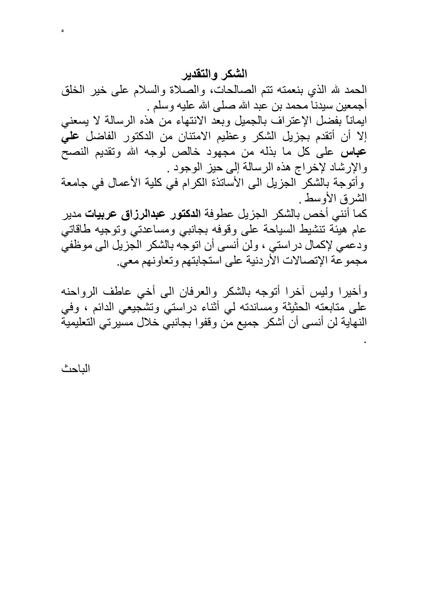## الشكر والتقدير

الحمد لله الذي بنعمته نتم الصالحات، والصلاة والسلام على خير الخلق أجمعين سبدنـا محمد بن عبد الله صلـى الله عليه وسلم . ايماناً بفضل الإعتراف بالجميل وبعد الانتهاء من هذه الرسالة لا يسعني إلا أن أتقدم بجزيل الشكر وعظيم الامتنان من الدكتور الفاضل علي **عباس** على كل ما بذله من مجهود خالص لوجه الله وتقديم النصح والإرشاد لإخراج هذه الرسالة إلى حيز الوجود . وأتوجة بالشكر الجزيل الى الأساتذة الكرام في كلية الأعمال في جامعة الشرق الأوسط كما أنني أخص بالشكر الجزيل عطوفة ا**لدكتور عبدالرزاق عربيات** مدير عام هينَّة تنشيط السياحة على وقوفه بجانبي ومساعدتي وتوجيه طاقاتي ودعمي لإكمال دراستي ، ولن أنسي أن اتوجه بالشكر الجزيل الي موظفي مجموعة الإتصالات الأردنية على استجابتهم وتعاونهم معي.

وأخيرا وليس أخرا أتوجه بالشكر والعرفان الىي أخى عاطف الرواحنه على متابعته الحثيثة ومساندته لي أثناء دراستي وتشجيعي الدائم ، وفي النهاية لن أنسى أن أشكر جميع من وقفوا بجانبي خلال مسيرتي التعليمية

الباحث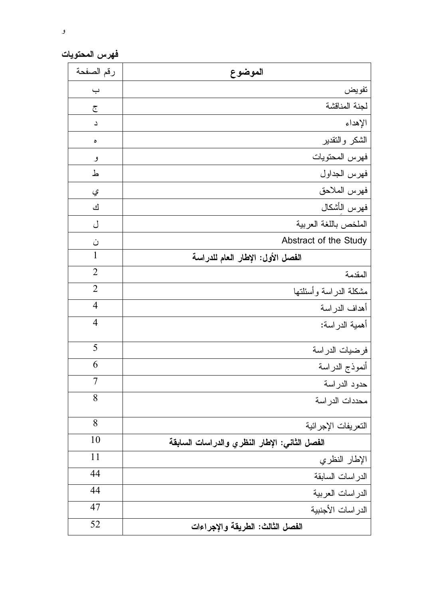فهرس المحتويات

| رقم الصفحة     | الموضوع                                       |
|----------------|-----------------------------------------------|
| <u>ب</u>       | تفويض                                         |
| $\tilde{C}$    | لجنة المناقشة                                 |
| د              | الإهداء                                       |
| ٥              | الشكر والنقدير                                |
| و              | فهرس المحتويات                                |
| ط              | فهرس الجداول                                  |
| ي              | فهرس الملاحق                                  |
| ك              | فهرس الأشكال                                  |
| ل              | الملخص باللغة العربية                         |
| ن              | Abstract of the Study                         |
| 1              | الفصل الأول: الإطار العام للدراسة             |
| $\overline{2}$ | المقدمة                                       |
| $\overline{2}$ | مشكلة الدراسة وأسئلتها                        |
| $\overline{4}$ | أهداف الدر اسة                                |
| $\overline{4}$ | أهمية الدراسة:                                |
| 5              | فرضيات الدراسة                                |
| 6              | أنموذج الدراسة                                |
| 7              | حدود الدراسة                                  |
| 8              | محددات الدر اسة                               |
| 8              | التعريفات الإجرائية                           |
| 10             | الفصل الثاني: الإطار النظري والدراسات السابقة |
| 11             | الإطار النظري                                 |
| 44             | الدر اسات السابقة                             |
| 44             | الدراسات العربية                              |
| 47             | الدر اسات الأجنبية                            |
| 52             | الفصل الثالث: الطريقة والإجراءات              |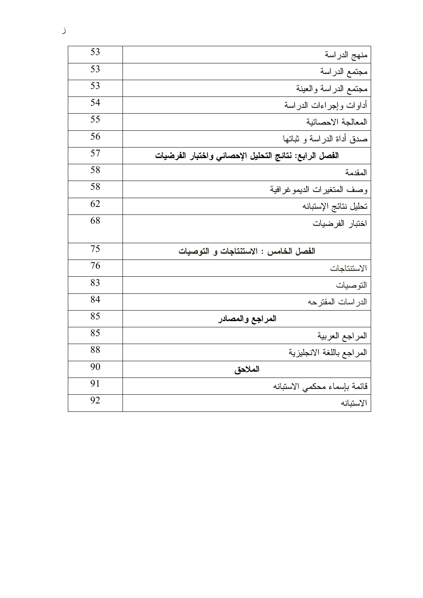| 53<br>منهج الدراسة                                          |  |
|-------------------------------------------------------------|--|
| 53<br>مجتمع الدراسة                                         |  |
| 53<br>مجتمع الدراسة والعينة                                 |  |
| 54<br>أداوات وإجراءات الدراسة                               |  |
| 55<br>المعالجة الاحصائية                                    |  |
| 56<br>صدق أداة الدراسة و ثباتها                             |  |
| 57<br>الفصل الرابع: نتائج التحليل الإحصائي واختبار الفرضيات |  |
| 58<br>المقدمة                                               |  |
| 58<br>وصف المتغيرات الديموغرافية                            |  |
| 62<br>تحليل نتائج الإستبانه                                 |  |
| 68<br>اختبار الفرضيات                                       |  |
| 75<br>الفصل الخامس : الاستنتاجات و التوصيات                 |  |
| 76<br>الاستتناجات                                           |  |
| 83<br>التوصيات                                              |  |
| 84<br>الدر اسات المقترحه                                    |  |
| 85<br>المراجع والمصادر                                      |  |
| 85<br>المراجع العربية                                       |  |
| 88<br>المراجع باللغة الانجليزية                             |  |
| 90<br>الملاحق                                               |  |
| 91<br>قائمة بإسماء محكمى الاستبانه                          |  |
| 92<br>الاستبانه                                             |  |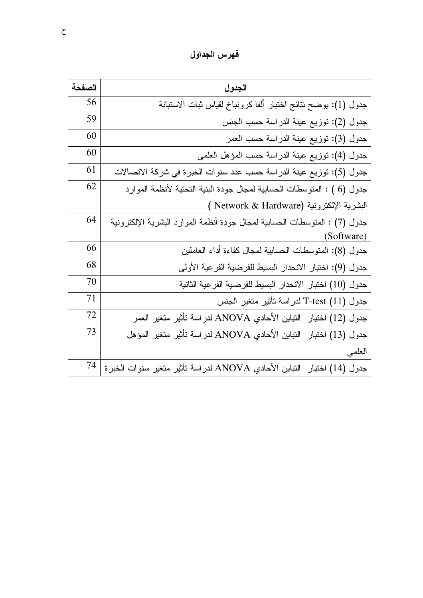فهرس الجداول

| الصفحة | الجدول                                                                     |
|--------|----------------------------------------------------------------------------|
| 56     | جدول (1): يوضح نتائج اختبار ألفا كرونباخ لقياس ثبات الاستبانة              |
| 59     | جدول (2): توزيع عينة الدراسة حسب الجنس                                     |
| 60     | جدول (3): توزيع عينة الدراسة حسب العمر                                     |
| 60     | جدول (4): توزيع عينة الدراسة حسب المؤهل العلمي                             |
| 61     | جدول (5): توزيع عينة الدراسة حسب عدد سنوات الخبرة في شركة الاتصالات        |
| 62     | جدول (6 ) : المتوسطات الحسابية لمجال جودة البنية التحتية لأنظمة الموارد    |
|        | ( Network & Hardware) البشرية الإلكترونية                                  |
| 64     | جدول (7) : المنوسطات الحسابية لمجال جودة أنظمة الموارد البشرية الإلكترونية |
|        | (Software)                                                                 |
| 66     | جدول (8): المنوسطات الحسابية لمجال كفاءة أداء العاملين                     |
| 68     | جدول (9): اختبار الانحدار البسيط للفرضية الفرعية الأولى                    |
| 70     | جدول (10) اختبار الانحدار البسيط للفرضية الفرعية الثانية                   |
| 71     | جدول T-test (11) لدراسة تأثير متغير الجنس                                  |
| 72     | جدول (12) اختبار النباين الأحادي ANOVA لدراسة تأثير متغير العمر            |
| 73     | جدول (13) اختبار   التباين الأحادي ANOVA لدر اسة تأثير متغير  المؤهل       |
|        | العلمي                                                                     |
| 74     | جدول (14) اختبار  النباين الأحادي ANOVA لدراسة تأثير متغير سنوات الخبرة    |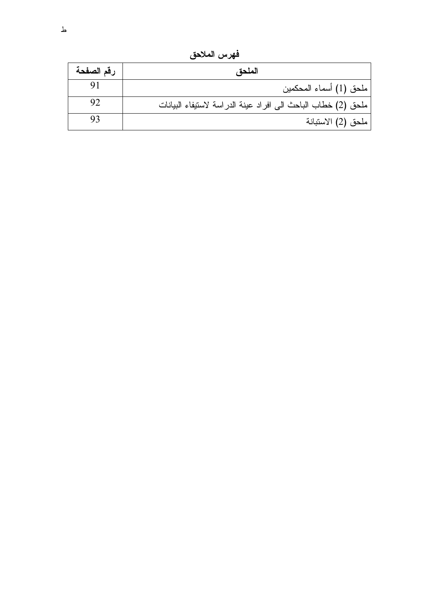فهرس الملاحق

| رقم الصفحة | الملحق                                                        |
|------------|---------------------------------------------------------------|
|            | ملحق (1) أسماء المحكمين                                       |
| 92         | ملحق (2) خطاب الباحث الى افراد عينة الدراسة لاستيفاء البيانات |
|            | ملحق (2) الاستبانة                                            |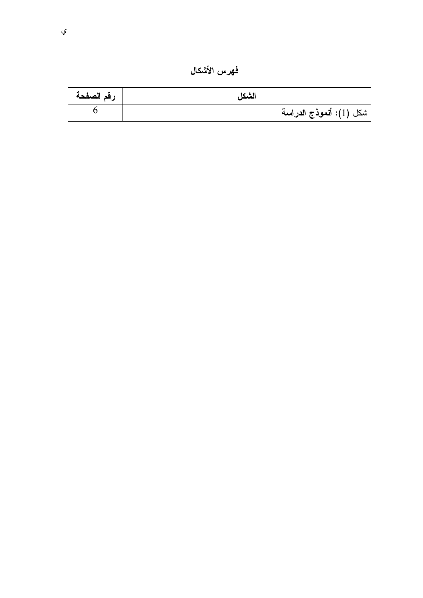فهرس الأشكال

| رقم الصفحة | الشكل                   |
|------------|-------------------------|
|            | شكل (1): أنموذج الدراسة |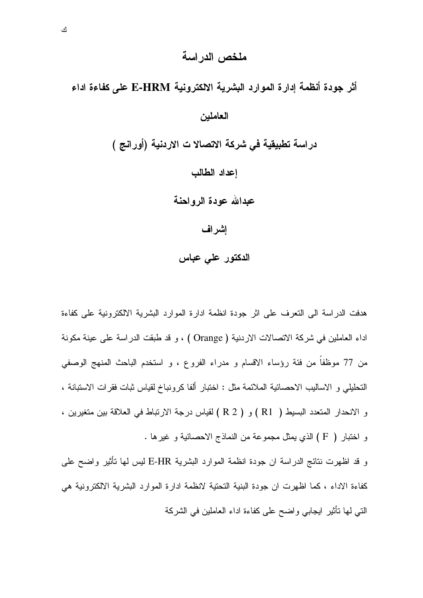#### ملخص الدر اسة

# أثر جودة أنظمة إدارة الموارد البشرية الالكترونية E-HRM على كفاءة اداء العاملين دراسة تطبيقية في شركة الاتصالا ت الاردنية (أورانج ) إعداد الطالب عبدالله عودة الرواحنة إشراف الدكتور على عباس

هدفت الدراسة الى النعرف على اثر جودة انظمة ادارة الموارد البشرية الالكترونية على كفاءة اداء العاملين في شركة الاتصالات الاردنية ( Orange ) ، و قد طبقت الدراسة على عينة مكونة من 77 موظفاً من فئة رؤساء الاقسام و مدراء الفروع ، و استخدم الباحث المنهج الوصفي التحليلي و الإساليب الإحصائية الملائمة مثل : اختبار ألفا كرونباخ لقياس ثبات فقرات الإستبانة ، و الانحدار المتعدد البسيط ( R1 ) و ( R 2 ) لقياس درجة الارتباط في العلاقة بين متغيرين ، و اختبار ( F ) الذي يمثل مجموعة من النماذج الاحصائية و غيرها .

و قد اظهرت نتائج الدراسة ان جودة انظمة الموارد البشرية E-HR ليس لمها تأثير واضح على كفاءة الاداء ، كما اظهرت ان جودة البنية التحتية لانظمة ادارة الموارد البشرية الالكترونية هي الَّتِي لِّها نَأْثِيرٍ ابْجَابِي وَاضْبَحْ عَلَى كَفَاءَةِ اداءِ الْعَامْلَيْنِ فِي الشَّرِكَةِ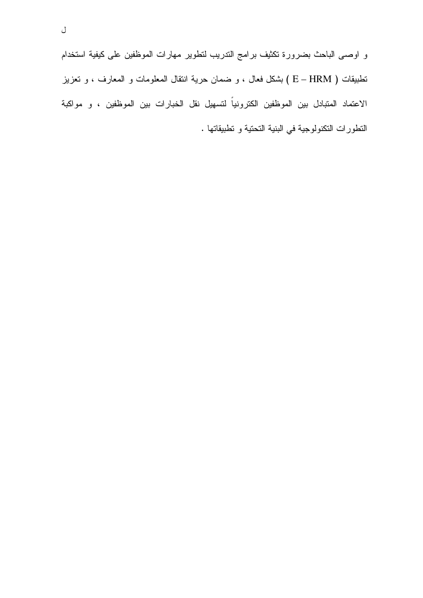و اوصـي الباحث بضرورة نكثيف برامج التدريب لتطوير مهارات الموظفين على كيفية استخدام نطبيقات ( E – HRM ) بشكل فعال ، و ضمان حرية انتقال المعلومات و المعارف ، و تعزيز الاعتماد المتبادل بين الموظفين الكترونياً لتسهيل نقل الخبارات بين الموظفين ، و مواكبة النطورات النكنولوجية في البنية النحتية و نطبيقاتها .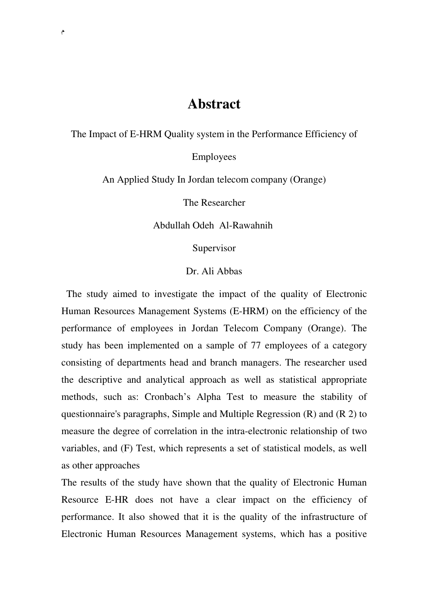# **Abstract**

The Impact of E-HRM Quality system in the Performance Efficiency of

Employees

An Applied Study In Jordan telecom company (Orange)

The Researcher

Abdullah Odeh Al-Rawahnih

Supervisor

Dr. Ali Abbas

 The study aimed to investigate the impact of the quality of Electronic Human Resources Management Systems (E-HRM) on the efficiency of the performance of employees in Jordan Telecom Company (Orange). The study has been implemented on a sample of 77 employees of a category consisting of departments head and branch managers. The researcher used the descriptive and analytical approach as well as statistical appropriate methods, such as: Cronbach's Alpha Test to measure the stability of questionnaire's paragraphs, Simple and Multiple Regression (R) and (R 2) to measure the degree of correlation in the intra-electronic relationship of two variables, and (F) Test, which represents a set of statistical models, as well as other approaches

The results of the study have shown that the quality of Electronic Human Resource E-HR does not have a clear impact on the efficiency of performance. It also showed that it is the quality of the infrastructure of Electronic Human Resources Management systems, which has a positive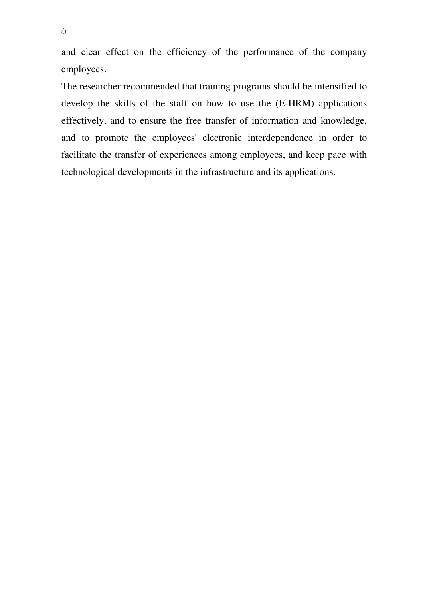and clear effect on the efficiency of the performance of the company employees.

The researcher recommended that training programs should be intensified to develop the skills of the staff on how to use the (E-HRM) applications effectively, and to ensure the free transfer of information and knowledge, and to promote the employees' electronic interdependence in order to facilitate the transfer of experiences among employees, and keep pace with technological developments in the infrastructure and its applications.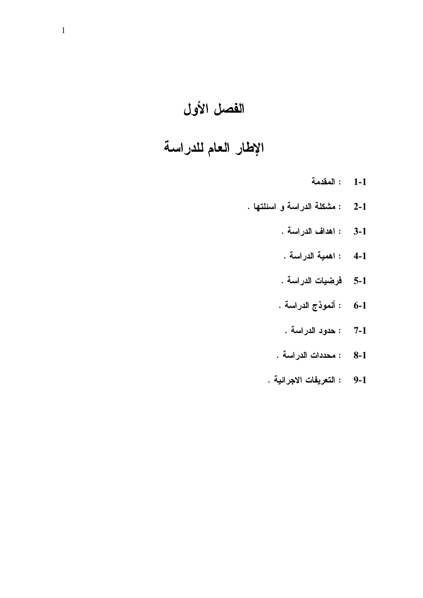# الفصل الأول

# الإطار العام للدراسة

- : المقدمة  $1-1$
- : مشكلة الدراسة و اسئلتها .  $2 - 1$ 
	- : اهداف الدراسة .  $3-1$
	- : اهمية الدراسة .  $4-1$
	- فرضيات الدراسة .  $5-1$
	- : أنموذج الدراسة .  $6-1$
	- : حدود الدراسة .  $7 - 1$
	- : محددات الدراسة .  $8-1$
	- : التعريفات الاجرائية .  $9-1$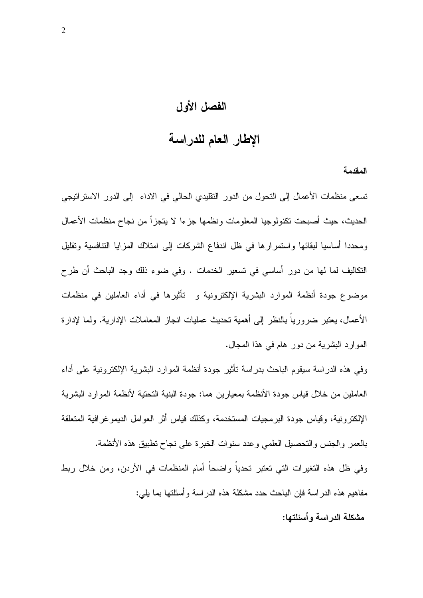### الفصل الأول

# الإطار العام للدراسة

المقدمة

تسعى منظمات الأعمال إلى النحول من الدور النقليدي الحالي في الاداء إلى الدور الاستراتيجي الحديث، حيث أصبحت تكنولوجيا المعلومات ونظمها جزءا لا يتجزأ من نجاح منظمات الأعمال ومحددا أساسيا لبقائها واستمر ارها في ظل اندفاع الشركات إلى امتلاك المزايا التنافسية وتقليل النكاليف لما لها من دورٍ أساسي في تسعير الخدمات . وفي ضوء ذلك وجد الباحث أن طرح موضوع جودة أنظمة الموارد البشرية الإلكترونية و تأثيرها في أداء العاملين في منظمات الأعمال، يعتبر ضروريا بالنظر إلى أهمية نحديث عمليات انجاز المعاملات الإدارية. ولما لإدارة الموارد البشرية من دور هام في هذا المجال.

وفي هذه الدراسة سيقوم الباحث بدراسة نأثير جودة أنظمة الموارد البشرية الإلكترونية على أداء العاملين من خلال قياس جودة الأنظمة بمعيارين هما: جودة البنية التحتية لأنظمة الموارد البشرية الإلكترونية، وقياس جودة البرمجيات المستخدمة، وكذلك قياس أثر العوامل الديموغرافية المتعلقة بالعمر والجنس والتحصيل العلمي وعدد سنوات الخبرة على نجاح نطبيق هذه الأنظمة. وفي ظل هذه التغيرات التي تعتبر تحدياً واضحاً أمام المنظمات في الأردن، ومن خلال ربط مفاهيم هذه الدر اسة فإن الباحث حدد مشكلة هذه الدر اسة و أسئلتها بما بلبي: مشكلة الدراسة وأسئلتها: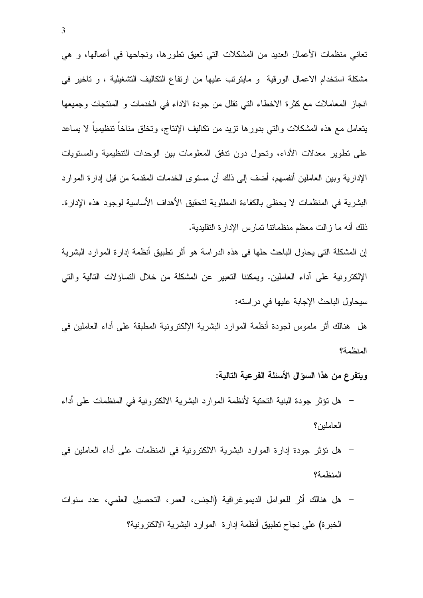نعاني منظمات الأعمال العديد من المشكلات التي نعيق نطورها، ونجاحها في أعمالها، و هي مشكلة استخدام الاعمال الورقية و مايترتب عليها من ارتفاع التكاليف التشغيلية ، و تاخير في انجاز المعاملات مع كثرة الاخطاء التي نقلل من جودة الاداء في الخدمات و المنتجات وجميعها يتعامل مع هذه المشكلات والتبي بدورها نزيد من نكاليف الإنتاج، وتخلق مناخا تنظيميا لا يساعد على نطوير معدلات الأداء، وتحول دون ندفق المعلومات بين الوحدات التنظيمية والمستويات الإدارية وبين العاملين أنفسهم، أضف إلى ذلك أن مستوى الخدمات المقدمة من قبل إدارة الموارد البشرية في المنظمات لا يحظى بالكفاءة المطلوبة لتحقيق الأهداف الأساسية لوجود هذه الإدارة. ذلك أنه ما زالت معظم منظماتنا نمارس الإدارة النقليدية.

إن المشكلة التي يحاول الباحث حلها في هذه الدراسة هو أثر تطبيق أنظمة إدارة الموارد البشرية الإلكترونية على أداء العاملين. ويمكننا التعبير عن المشكلة من خلال التساؤلات التالية والتي سيحاول الباحث الإجابة عليها في در استه:

هل هنالك أثر ملموس لجودة أنظمة الموارد البشرية الإلكترونية المطبقة على أداء العاملين في المنظمة؟

#### ويتفرع من هذا السوّال الأسئلة الفرعية التالية:

- هل نَوْثَرِ جودة البنية التحتية لأنظمة الموارد البشرية الالكترونية في المنظمات على أداء العاملين؟
- هل نؤثر جودة إدارة الموارد البشرية الالكترونية في المنظمات على أداء العاملين في المنظمة؟
- هل هنالك أثر للعوامل الديموغرافية (الجنس، العمر، التحصيل العلمي، عدد سنوات الخبرة) على نجاح نطبيق أنظمة إدارة الموارد البشرية الالكترونية؟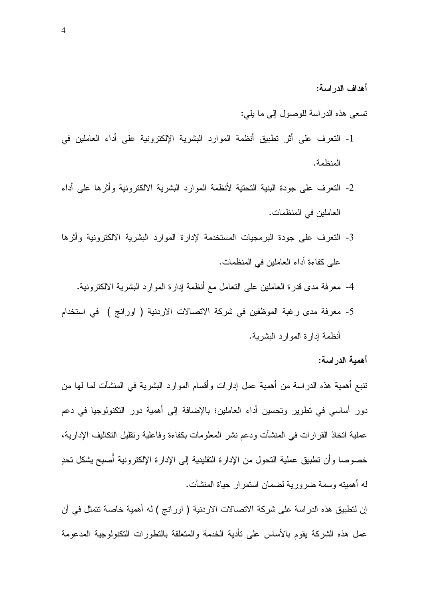أهداف الدراسة:

تسعى هذه الدر اسة للوصول إلى ما يلي:

- 1- التعرف على أثر تطبيق أنظمة الموارد البشرية الإلكترونية على أداء العاملين في المنظمة.
- 2- النعرف على جودة البنية النحتية لأنظمة الموارد البشرية الالكترونية وأثرها على أداء العاملين في المنظمات.
- 3- النعرف على جودة البرمجيات المستخدمة لإدارة الموارد البشرية الالكترونية وأثرها على كفاءة أداء العاملين في المنظمات.
	- 4- معرفة مدى قدرة العاملين على التعامل مع أنظمة إدارة الموارد البشرية الالكترونية.
- 5- معرفة مدى رغبة الموظفين في شركة الاتصالات الاردنية ( اورانج ) في استخدام أنظمة إدارة الموارد البشربة.

أهمية الدر اسة:

نتبع أهمية هذه الدراسة من أهمية عمل إدارات وأقسام الموارد البشرية في المنشآت لما لها من دور أساسي في نطوير وتحسين أداء العاملين؛ بالإضافة إلى أهمية دور النكنولوجيا في دعم عملية اتخاذ القرارات في المنشآت ودعم نشر المعلومات بكفاءة وفاعلية ونقليل النكاليف الإدارية، خصوصا وأن نطبيق عملية النحول من الإدارة النقليدية إلى الإدارة الإلكترونية أصبح يشكل نحدٍ له أهميته وسمة ضرورية لضمان استمر ار حياة المنشآت.

إن لتطبيق هذه الدراسة على شركة الاتصالات الاردنية ( اورانج ) له أهمية خاصة تتمثل في أن عمل هذه الشركة يقوم بالأساس على تأدية الخدمة والمتعلقة بالتطورات التكنولوجية المدعومة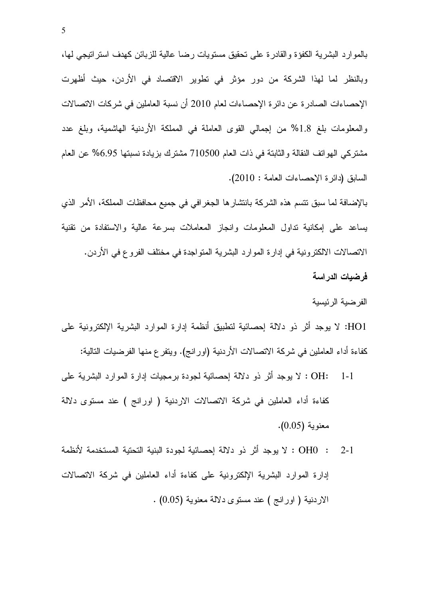بالموارد البشرية الكفؤة والقادرة على تحقيق مستويات رضـا عالية للزبائن كـهدف استراتيجي لـها، وبالنظر لما لهذا الشركة من دور مؤثر في تطوير الاقتصاد في الأردن، حيث أظهرت الإحصـاءات الصـادر ة عن دائر ة الإحصـاءات لـعام 2010 أن نسبة الـعاملين في شركات الاتصـالات والمعلومات بلغ 1.8% من إجمالي القوى العاملة في المملكة الأردنية الهاشمية، وبلغ عدد مشتركي الـهوانف النقالـة والثابتـة فـي ذات الـعام 710500 مشترك بزيـادة نسبتـها 6.95% عن الـعام السابق (دائرة الإحصاءات العامة : 2010).

بالإضـافة لمـا سبق نتسم هذه الشركة بانتشار ها الجغر افي في جميع محافظات المملكة، الأمر الذي يساعد على إمكانية نداول المعلومات وانجاز المعاملات بسرعة عالية والاستفادة من نقنية الاتصالات الالكترونية في إدارة الموارد البشرية المتواجدة في مختلف الفروع في الأردن. فرضيات الدراسة

الفرضية الرئيسية

HO1: لا يوجد أثر ذو دلالة إحصائية لتطبيق أنظمة إدارة الموارد البشرية الإلكترونية على كفاءة أداء العاملين في شركة الاتصالات الأردنية (اورانج). ويتفرع منها الفرضيات التالية:

- Z/ -1 NL 1 N CL M OD M : OH: 1-1 كفاءة أداء العاملين في شركة الاتصالات الاردنية ( اورانج ) عند مستوى دلالة معنوية (0.05).
- OHO : 2-1 لا يوجد أثر ذو دلالة إحصائية لجودة البنية النحتية المستخدمة لأنظمة إدارة الموارد البشرية الإلكترونية على كفاءة أداء العاملين في شركة الاتصالات الاردنية ( اورانج ) عند مستوى دلالة معنوية (0.05) .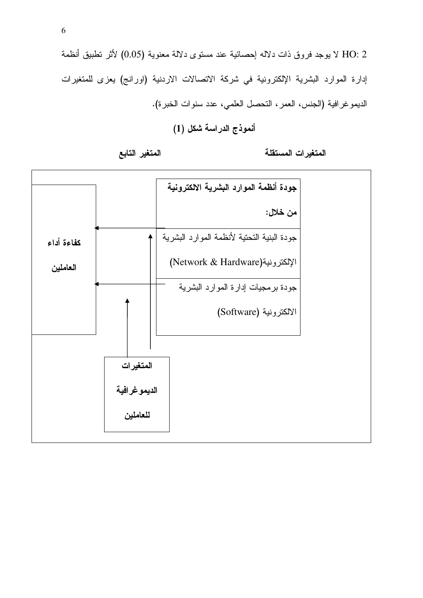HO: 2 لا يوجد فروق ذات دلاله إحصائية عند مستوى دلالة معنوية (0.05) لأثر تطبيق أنظمة إدارة الموارد البشرية الإلكترونية في شركة الاتصالات الاردنية (اورانج) يعزى للمتغيرات الديمو غر افية (الجنس، العمر ، التحصل العلمي، عدد سنوات الخبر ة).

## أنموذج الدراسة شكل (1)

المتغيرات المستقلة

#### المتغير التابع

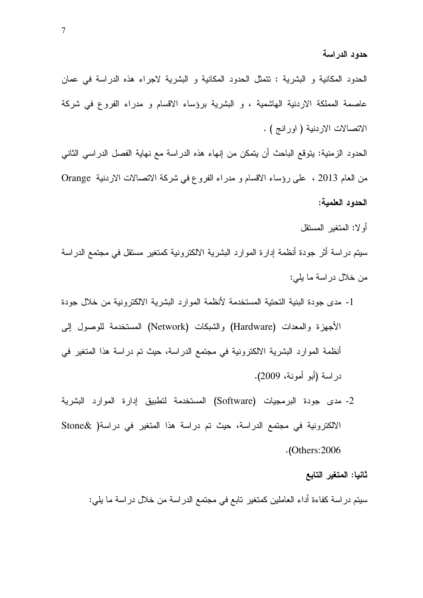الحدود المكانية و البشرية : تتمثل الحدود المكانية و البشرية لاجراء هذه الدراسة في عمان عاصمة المملكة الاردنية الهاشمية ، و البشرية برؤساء الاقسام و مدراء الفروع في شركة الاتصالات الاردنية ( اورانج ) .

الحدود الزمنية: يتوقع الباحث أن يتمكن من إنهاء هذه الدراسة مع نهاية الفصل الدراسي الثاني Orange M MM !- T\$ ^ 
M 
Y Z/ \ 2013 2 B الحدود العلمية:

أولا: المتغير المستقل

سيتم دراسة أثر جودة أنظمة إدارة الموارد البشرية الالكترونية كمتغير مستقل في مجتمع الدراسة من خلال دراسة ما يلي:

- 1- مدى جودة البنية التحتية المستخدمة لأنظمة الموارد البشرية الالكترونية من خلال جودة الأجهزة والمعدات (Hardware) والشبكات (Network) المستخدمة للوصول إلىي أنظمة الموارد البشرية الالكترونية في مجتمع الدراسة، حيث تم دراسة هذا المتغير في دراسة (أبو أمونة، 2009).
- 2- مدى جودة البرمجيات (Software) المستخدمة لتطبيق إدارة الموارد البشرية الالكترونية في مجتمع الدراسة، حيث تم دراسة هذا المتغير في دراسة( &Stone .( Others:2006

#### ثانيا: المتغير التابع

سيتم در اسة كفاءة أداء العاملين كمتغير تابع في مجتمع الدر اسة ما تالي السنة ما يلي: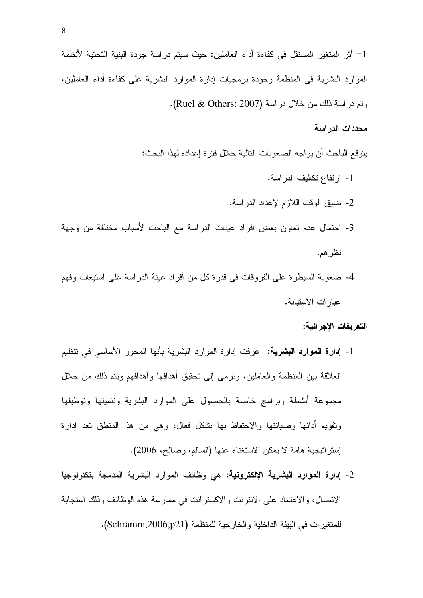#### محددات الدر اسة

يتو قع الباحث أن يو اجه الصعو بات التالية خلال فتر ة إعداده لهذا البحث:

- 1- ارتفاع تكاليف الدراسة. 2- ضيق الوقت اللازم لإعداد الدراسة. 3- احتمال عدم تعاون بعض افراد عينات الدراسة مع الباحث لأسباب مختلفة من وجهة نظر هم.
- 4- صعوبة السيطرية على الفروقات في قدرة كل من أفراد عينة الدراسة على استيعاب وفهم عبار ات الاستبانة.

#### التعريفات الإجرائية:

- 1- إ**دارة الموارد البشرية:** عرفت إدارة الموارد البشرية بأنها المحور الأساسي في تنظيم العلاقة بين المنظمة والعاملين، وترمى إلى تحقيق أهدافها وأهدافهم ويتم ذلك من خلال مجموعة أنشطة وبرامج خاصة بالحصول على الموارد البشرية وتنميتها وتوظيفها ونقويم أدائها وصيانتها والاحتفاظ بها بشكل فعال، وهي من هذا المنطق تعد إدارة إستر انبجية هامة لا يمكن الاستغناء عنها (السالم، وصالح، 2006).
- 2- إدارة الموارد البشرية الإلكترونية: هي وظائف الموارد البشرية المدمجة بتكنولوجيا الاتصال، والاعتماد على الانترنت والاكسترانت في ممارسة هذه الوظائف وذلك استجابة للمتغير ات في البيئة الداخلية و الخار جية للمنظمة (Schramm,2006,p21).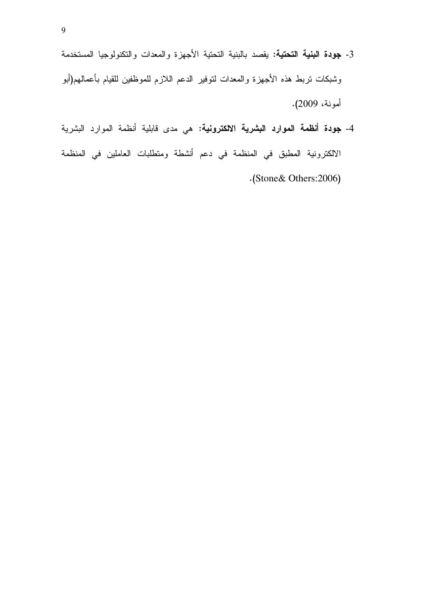- 3- جودة البنية التحتية: يقصد بالبنية التحتية الأجهزة والمعدات والتكنولوجيا المستخدمة وشبكات نربط هذه الأجهزة والمعدات لنوفير الدعم اللازم للموظفين للقيام بأعمالهم(أبو أمونة، 2009).
- 4- جودة أنظمة الموارد البشرية الالكترونية: هي مدى قابلية أنظمة الموارد البشرية الالكترونية المطبق في المنظمة في دعم أنشطة ومتطلبات العاملين في المنظمة .(Stone& Others:2006)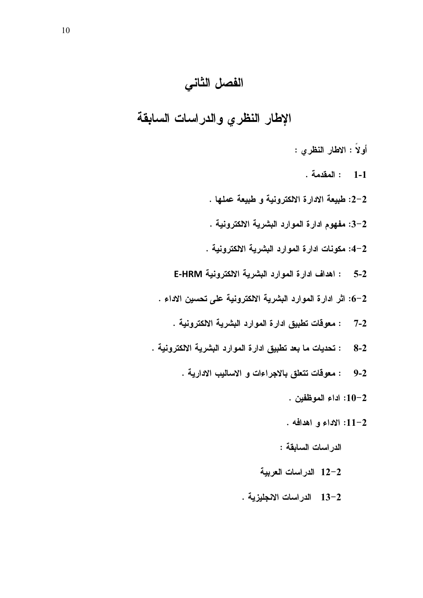# الفصل الثاني

الإطار النظري والدراسات السابقة

- أولاً : الاطار النظري :
	- 1-1 : المقدمة .
- 2-2: طبيعة الادارة الالكترونية و طبيعة عملها .
- 2–3: مفهوم ادارة الموارد البشرية الالكترونية .
- 2–4: مكونات ادارة الموارد البشرية الالكترونية .
- 5-2 : اهداف ادارة الموارد البشرية الالكترونية E-HRM
- 6-2: اثر ادارة الموارد البشرية الالكترونية على تحسين الاداء .
	- : معوقات تطبيق ادارة الموارد البشرية الالكترونية .  $7 - 2$
- : تحديات ما بعد تطبيق ادارة الموارد البشرية الالكترونية .  $8-2$ 
	- : معوفات تتعلق بالاجراءات و الاساليب الادارية .  $9 - 2$ 
		- 10-2: اداء الموظفين .
		- 12-11: الإداء و اهدافه .

الدر اسات السابقة :

- 12-2 الدراسات العربية
- 13-2 الدراسات الانجليزية .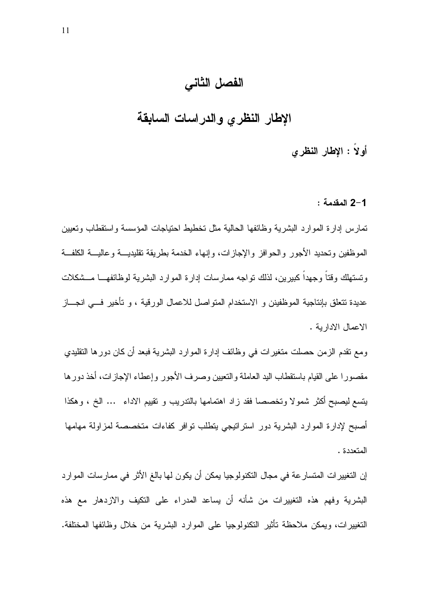# الفصل الثاني

الإطار النظرى والدراسات السابقة

أولاً : الإطار النظري

#### 2-1 المقدمة :

تمارس إدارة الموارد البشرية وظائفها الحالية مثل تخطيط احتياجات المؤسسة واستقطاب وتعيين الموظفين وتحديد الأجور والحوافز والإجازات، وإنهاء الخدمة بطريقة تقليديــــة وعاليــــة الكلفـــة وتستهلك وقتا وجهدا كبيرين، لذلك نواجه ممارسات إدارة الموارد البشرية لوظائفهـــا مـــشكلات عديدة تتعلق بإنتاجية الموظفينن و الاستخدام المتواصل للاعمال الورقية ، و تأخير فـــي انجـــاز الاعمال الادارية .

ومع نقدم الزمن حصلت متغيرات في وظائف إدارة الموارد البشرية فبعد أن كان دورها النقليدي مقصورا على القيام باستقطاب اليد العاملة والتعيين وصرف الأجور وإعطاء الإجازات، أخذ دورها يتسع ليصبح أكثر شمولا وتخصصا فقد زاد اهتمامها بالندريب و تقييم الاداء … الخ ، وهكذا أصبح لإدارة الموارد البشرية دور استراتيجي يتطلب نوافر كفاءات متخصصة لمزاولة مهامها المتعددة .

إن التغيير ات المتسار عة في مجال التكنولوجيا يمكن أن يكون لها بالغ الأثر في ممارسات الموارد البشرية وفهم هذه التغييرات من شأنه أن يساعد المدراء على التكيف والازدهار مع هذه التغييرات، ويمكن ملاحظة تأثير التكنولوجيا على الموارد البشرية من خلال وظائفها المختلفة.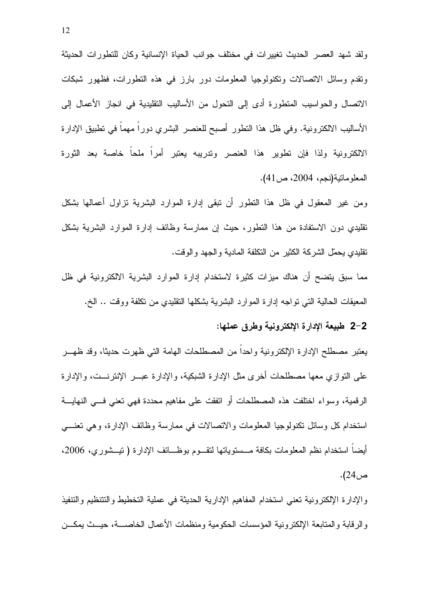ولقد شهد العصر الحديث تغييرات في مختلف جوانب الحياة الإنسانية وكان للتطورات الحديثة ونقدم وسائل الاتصالات وتكنولوجيا المعلومات دور بارز في هذه التطورات، فظهور شبكات الاتصال والحواسيب المنطورة أدى إلى النحول من الأساليب النقليدية في انجاز الأعمال إلى الأساليب الالكترونية. وفي ظل هذا النطور أصبح للعنصر البشري دورا مهما في نطبيق الإدارة الالكترونية ولذا فإن تطوير هذا العنصر وتدريبه يعتبر أمراً ملحاً خاصة بعد الثورة المعلومانية(نجم، 2004، ص41).

ومن غير المعقول في ظل هذا النطور أن نبقى إدارة الموارد البشرية نزاول أعمالها بشكل نقليدي دون الاستفادة من هذا النطور، حيث إن ممارسة وظائف إدارة الموارد البشرية بشكل نقليدي يحمّل الشركة الكثير من النكلفة المادية والجهد والوقت.

مما سبق يتضح أن هناك ميزات كثيرة لاستخدام إدارة الموارد البشرية الالكترونية في ظل المعيقات الحالية التي نواجه إدارة الموارد البشرية بشكلها النقليدي من نكلفة ووقت .. الخ.

#### 2–2 طبيعة الإدارة الإلكترونية وطرق عملها:

يعتبر مصطلح الإدارة الإلكترونية واحدا من المصطلحات الهامة التبي ظهرت حديثا، وقد ظهـــر على النوازي معها مصطلحات أخرى مثل الإدارة الشبكية، والإدارة عبـــر الإنترنـــت، والإدارة الرفعية، وسواء اختلفت هذه المصطلحات أو اتفقت على مفاهيم محددة فهي نعني فسي النهايـــة استخدام كل وسائل نكنولوجيا المعلومات والانصالات في ممارسة وظائف الإدارة، وهي نعنــــي أيضاً استخدام نظم المعلومات بكافة مـــستوياتها لتقـــوم بوظـــائف الإدارة ( تيـــشوري، 2006، ص24).

والإدارة الإلكترونية تعنى استخدام المفاهيم الإدارية الحديثة في عملية التخطيط والتتنظيم والتنفيذ والرقابة والمنابعة الإلكترونية المؤسسات الحكومية ومنظمات الأعمال الخاصسة، حيسث يمكسن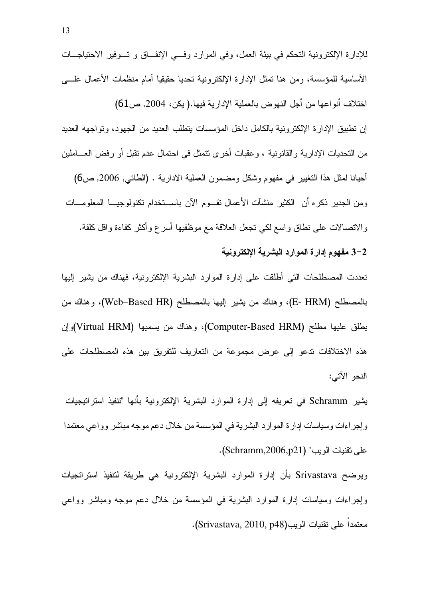للإدارة الإلكترونية التحكم في بيئة العمل، وفي الموارد وفـــي الإنفـــاق و تـــوفير الاحتياجـــات الأساسية للمؤسسة، ومن هنا تمثَّل الإدارة الإلكترونية تحديا حقيقيا أمام منظمات الأعمال علـــي اختلاف أنواعها من أجل النهوض بالعملية الإدارية فيها.( يكن، 2004, ص61) إن نطبيق الإدارة الإلكترونية بالكامل داخل المؤسسات بنطلب العديد من الجهود، ونواجهه العديد من التحديات الإدارية والقانونية ، وعقبات أخرى نتمثل في احتمال عدم تقبل أو رفض العـــاملين أحيانا لمثل هذا النغيير في مفهوم وشكل ومضمون العملية الادارية . (الطائي, 2006, ص6) ومن الجدير ذكره أن الكثير منشأت الأعمال تقـــوم الأن باســـنخدام نكنولوجيـــا المعلومــــات

والانصـالات علـى نطـاق واسـع لكـي نـجعل الـعلاقة مـع موظفيها أسر ع وأكثر كفاءة واقل كلفة. 2–3 مفهوم إدارة الموارد البشرية الإلكترونية

تعددت المصطلحات التي أطلقت على إدارة الموارد البشرية الإلكترونية، فهناك من يشير إليها بالمصطلح (E- HRM)، وهناك من يشير إليها بالمصطلح (Web–Based HR)، وهناك من يطلق عليها مطلح (Computer-Based HRM)، وهناك من يسميها (Virtual HRM)وإن هذه الاختلافات تدعو إلى عرض مجموعة من التعاريف للتفريق بين هذه المصطلحات على النحو الآتي:

يثمير Schramm في تعريفه إلى إدارة الموارد البشرية الإلكترونية بأنها "تتفيذ استراتيجيات و إجر اءات وسياسات إدار ة الموارد البشرية في المؤسسة من خلال دعم موجه مباشر وواعي معتمدا علي نقنيات الويب" (Schramm,2006,p21).

ويوضح Srivastava بأن إدارة الموارد البشرية الإلكترونية هي طريقة لتتفيذ استراتجيات وإجراءات وسياسات إدارة الموارد البشرية في المؤسسة من خلال دعم موجه ومباشر وواعي معتمدا على نقنيات الويب(Srivastava, 2010, p48).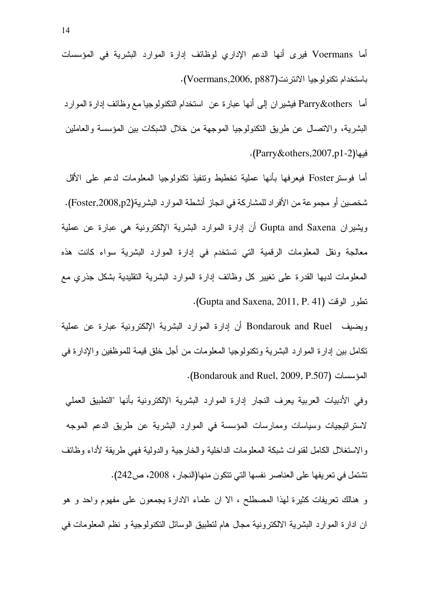أما Voermans فيرى أنها الدعم الإداري لوظائف إدارة الموارد البشرية في المؤسسات باستخدام تكنولوجيا الانترنت(Voermans,2006, p887).

أما Parry&others فيشيران إلى أنها عبارة عن استخدام التكنولوجيا مع وظائف إدارة الموارد البشرية، والانصال عن طريق النكنولوجيا الموجهة من خلال الشبكات بين المؤسسة والعاملين فيها(Parry&others,2007,p1-2).

أما فوسنز Foster فيعرفها بأنها عملية تخطيط ونتفيذ نكنولوجيا المعلومات لدعم على الأقل شخصين أو مجموعة من الأفراد للمشاركة في انجاز أنشطة الموارد البشرية(Foster,2008,p2). ويشيران Gupta and Saxena أن إدارة الموارد البشرية الإلكترونية هي عبارة عن عملية معالجة ونقل المعلومات الرقمية التي تستخدم في إدارة الموارد البشرية سواء كانت هذه المعلومات لديها القدرة على نغيير كل وظائف إدارة الموارد البشرية التقليدية بشكل جذرى مع نطور الوقت (Gupta and Saxena, 2011, P. 41).

ويضيف Bondarouk and Ruel أن إدارة الموارد البشرية الإلكترونية عبارة عن عملية نكامل بين إدارة الموارد البشرية ونكنولوجيا المعلومات من أجل خلق قيمة للموظفين والإدارة في المؤسسات (Bondarouk and Ruel, 2009, P.507).

وفي الأدبيات العربية يعرف النجار إدارة الموارد البشرية الإلكترونية بأنها "التطبيق العملي لاستراتيجيات وسياسات وممارسات المؤسسة في الموارد البشرية عن طريق الدعم الموجه و الاستغلال الكامل لقنو ات شبكة المعلومات الداخلية و الخارجية و الدولية فهي طريقة لأداء وظائف تشتمل في تعريفها على العناصر نفسها التي تتكون منها(النجار ، 2008، ص242).

و هنالك نعريفات كثيرة لهذا المصطلح ، الا ان علماء الادارة يجمعون على مفهوم واحد و هو ان ادارة الموارد البشرية الالكترونية مجال هام لتطبيق الوسائل التكنولوجية و نظم المعلومات في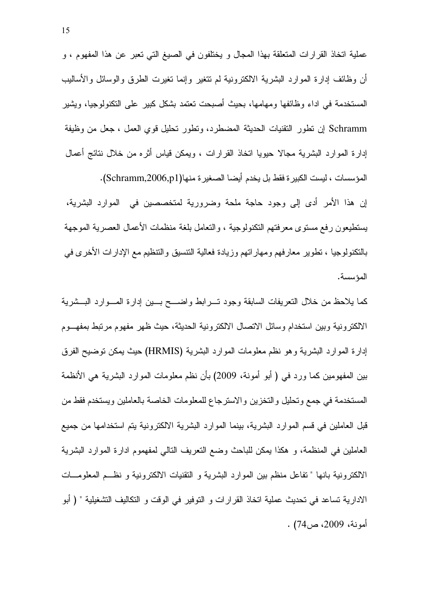عملية انخاذ القرارات المتعلقة بهذا المجال و يختلفون في الصيغ التي تعبر عن هذا المفهوم ، و أن وظائف إدارة الموارد البشرية الالكترونية لم نتغير وإنما نغيرت الطرق والوسائل والأساليب المستخدمة في اداء وظائفها ومهامها، بحيث أصبحت تعتمد بشكل كبير على التكنولوجيا، ويشير Schramm إن نطور التقنيات الحديثة المضطرد، ونطور نحليل قوى العمل ، جعل من وظيفة إدارة الموارد البشرية مجالًا حيويا انخاذ القرارات ، ويمكن قياس أثره من خلال نتائج أعمال المؤسسات ، ليست الكبيرة فقط بل يخدم أيضا الصغيرة منها(Schramm,2006,p1). إن هذا الأمر أدى إلى وجود حاجة ملحة وضرورية لمتخصصين في الموارد البشرية، يستطيعون رفع مستوى معرفتهم التكنولوجية ، والتعامل بلغة منظمات الأعمال العصرية الموجهة بالنكنولوجيا ، نطوير معارفهم ومهاراتهم وزيادة فعالية التنسيق والنتظيم مع الإدارات الأخرى في

كما يلاحظ من خلال النعريفات السابقة وجود تسرابط واضسح بسين إدارة المسوارد البسشرية الالكترونية وبين استخدام وسائل الاتصال الالكترونية الحديثة، حيث ظهر مفهوم مرتبط بمفهـــوم إدارة الموارد البشرية وهو نظم معلومات الموارد البشرية (HRMIS) حيث يمكن نوضيح الفرق بين المفهومين كما ورد في ( أبو أمونة، 2009) بأن نظم معلومات الموارد البشرية هي الأنظمة المستخدمة في جمع وتحليل والتخزين والاسترجاع للمعلومات الخاصة بالعاملين ويستخدم فقط من قبل العاملين في قسم الموارد البشرية، بينما الموارد البشرية الالكترونية يتم استخدامها من جميع العاملين في المنظمة، و هكذا يمكن للباحث وضع النعريف النالي لمفهموم ادارة الموارد البشرية الالكترونية بانها " نفاعل منظم بين الموارد البشرية و النقنيات الالكترونية و نظـم المعلومــات الادارية تساعد في تحديث عملية اتخاذ القرارات و التوفير في الوقت و التكاليف التشغيلية " ( أبو أمونة، 2009، ص74) .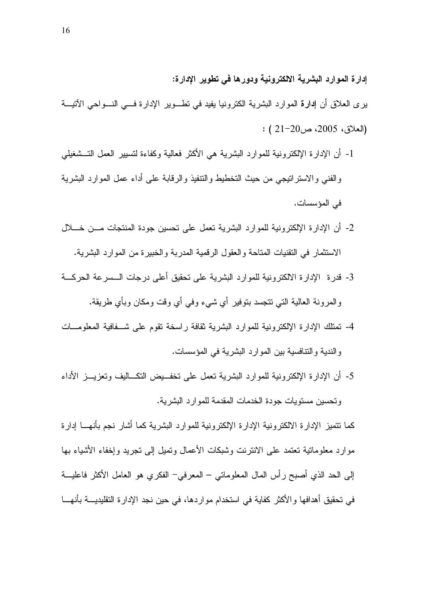إدارة الموارد البشرية الالكترونية ودورها في تطوير الإدارة:

- ير ي العلاق أن إدارة الموارد البشرية الكترونيا يفيد في نطـــوير الإدارة فــــى النـــواحي الآتيـــة : (العلاق، 2005، ص20-21 )
- 1- أن الإدارة الإلكترونية للموارد البشرية هي الأكثر فعالية وكفاءة لتسيير العمل التــشغيلي والفنبي والاستراننيجي من حيث التخطيط والنتنفيذ والرقابة على أداء عمل الموارد البشرية في المؤسسات.
- 2- أن الإدارة الإلكترونية للموارد البشرية نعمل على نحسين جودة المنتجات مـــن خــــلال الاستثمار ً في التقنيات المتاحة و العقول الر قمية المدربة و الخبير ة من المو ار د البشرية.
- 3- قدر ة الإدار ة الالكترونية للموارد البشرية على تحقيق أعلى درجات الـــسرعة الحركـــة والمرونة العالية التي نتجسد بنوفير أي شيء وفي أي وقت ومكان وبأي طريقة.
- 4- نَمْتَلَكَ الإدارة الإلكترونية للموارد البشرية ثقافة راسخة تقوم على شـــفافية المعلومـــات والندية والنتافسية بين الموارد البشرية في المؤسسات.
- 5- أن الإدار ة الإلكتر ونبة للموارد البشربة تعمل على تخفــبض التكــالبف وتعزيــز الأداء و تحسين مستويات جودة الخدمات المقدمة للمو ار د البشر ية.

كما نتميز الإدارة الالكترونية الإدارة الإلكترونية للموارد البشرية كما أشار نجم بأنهـــا إدارة موارد معلوماتية تعتمد على الانترنت وشبكات الأعمال ونميل إلى تجريد وإخفاء الأشياء بها إلى الحد الذي أصبح رأس المال المعلوماتي – المعرفي– الفكري هو العامل الأكثر فاعليـــة في تحقيق أهدافها والأكثر كفاية في استخدام مواردها، في حين نجد الإدارة التقليديــــة بأنهــــا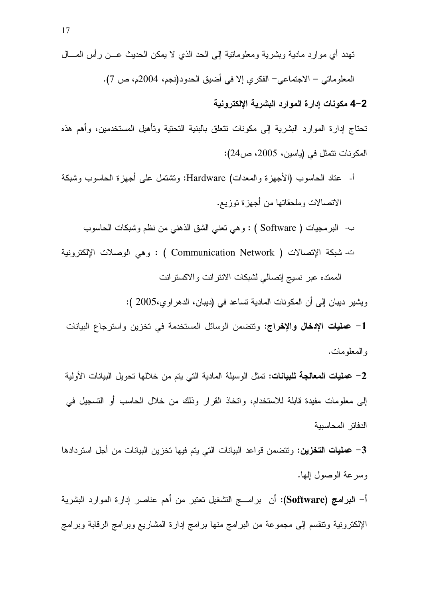#### 4-2 مكونات إدارة الموارد البشرية الإلكترونية

تحتاج إدارة الموارد البشرية إلى مكونات تتعلق بالبنية التحتية وتأهيل المستخدمين، وأهم هذه المكونات نتمثل في (ياسين، 2005، ص224):

- أ- عناد الحاسوب (الأجهزة والمعدات) Hardware: ونتثنفل على أجهزة الحاسوب وشبكة الاتصالات وملحقاتها من أجهزة توزيع.
	- ب- البرمجيات ( Software ) : وهي نعني الشق الذهني من نظم وشبكات الحاسوب
- ت- شبكة الإتصالات ( Communication Network ) : وهي الوصلات الإلكترونية الممنده عبر نسيج إتصالي لشبكات الانترانت والاكسترانت

ويشير ديبان إلى أن المكونات المادية تساعد في (ديبان، الدهر اوي،2005 ):

1– ع**مليات الإدخال والإخراج:** وتتضمن الوسائل المستخدمة في تخزين واسترجاع البيانات و المعلو مات.

2- عمليات المعالجة للبيانات: تمثل الوسيلة المادية التي يتم من خلالها تحويل البيانات الأولية إلى معلومات مفيدة قابلة للاستخدام، واتخاذ القرار وذلك من خلال الحاسب أو التسجيل في الدفاتر المحاسببة

3– عمليات التخزين: ونتضمن قواعد البيانات التي يتم فيها تخزين البيانات من أجل استردادها وسر عة الوصول إلها.

أ– ا**لبرامج (Software):** أن برامـــج النشغيل نعتبر من أهم عناصر إدارة الموارد البشرية الإلكترونية ونتقسم إلىي مجموعة من البرامج منها برامج إدارة المشاريع وبرامج الرقابة وبرامج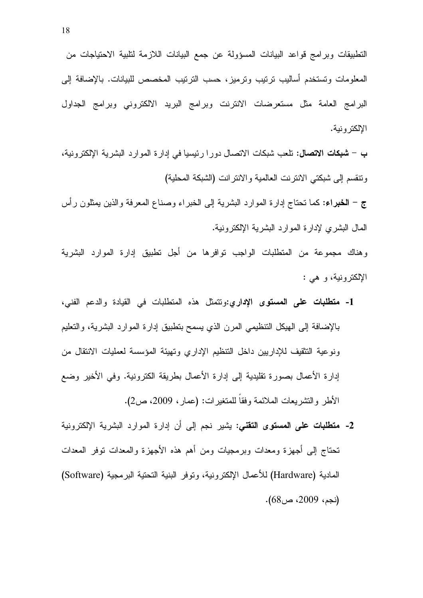النطبيقات وبرامج قواعد البيانات المسؤولة عن جمع البيانات اللازمة لنلبية الاحتياجات من المعلومات وتستخدم أساليب ترتيب وترميز، حسب الترتيب المخصص للبيانات. بالإضافة إلى البرامج العامة مثل مستعرضات الانترنت وبرامج البريد الالكتروني وبرامج الجداول الإلكتر ونية.

ب – **شبكات الاتصال:** تلعب شبكات الاتصال دورا رئيسيا في إدارة الموارد البشرية الإلكترونية، ونتقسم إلى شبكتي الانترنت العالمية والانترانت (الشبكة المحلية)

ج – الخبراء: كما نحتاج إدارة الموارد البشرية إلى الخبراء وصناع المعرفة والذين يمثلون رأس المال البشري لإدارة الموارد البشرية الإلكترونية.

و هناك مجموعة من المنطلبات الواجب توافر ها من أجل تطبيق إدارة الموارد البشرية الإلكترونية، و هي :

- 1- م**تطلبات على المستوى الإداري:**ونتمثل هذه المتطلبات في القيادة والدعم الفني، بالإضافة إلى الهيكل النتظيمي المرن الذي يسمح بتطبيق إدارة الموارد البشرية، والتعليم ونوعية التثقيف للإداريين داخل التنظيم الإداري وتهيئة المؤسسة لعمليات الانتقال من إدارة الأعمال بصورة تقليدية إلى إدارة الأعمال بطريقة الكترونية. وفي الأخير وضع الأطر والتشريعات الملائمة وفقاً للمتغيرات: (عمار، 2009، ص2).
- 2- م**تطلبات على المستوى التقنى:** يشير نجم إلى أن إدارة الموارد البشرية الإلكترونية تحتاج إلىي أجهزة ومعدات وبرمجيات ومن أهم هذه الأجهزة والمعدات نوفر المعدات المادية (Hardware) للأعمال الإلكترونية، وتوفر البنية النحتية البرمجية (Software) (نجم، 2009، ص68).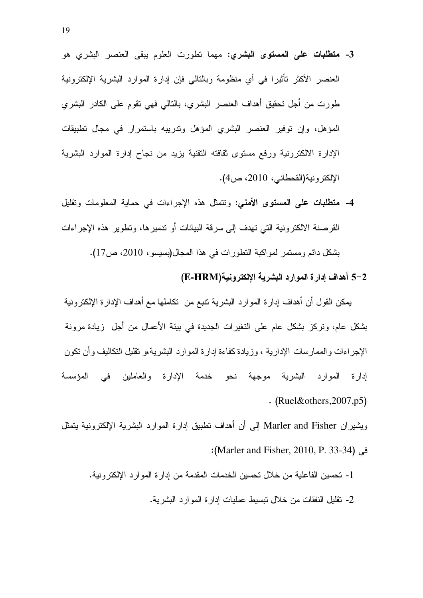- 3- **متطلبات على المستوى البشري:** مهما نطورت العلوم يبقى العنصر البشري هو العنصر الأكثر تأثيرًا في أي منظومة وبالنالي فإن إدارة الموارد البشرية الإلكترونية طورت من أجل تحقيق أهداف العنصر البشري، بالتالي فهي تقوم على الكادر البشري المؤهل، وإن توفير العنصر البشري المؤهل وتدريبه باستمرار في مجال تطبيقات الإدارة الالكترونية ورفع مستوى ثقافته النقنية بزيد من نجاح إدارة الموارد البشرية الإلكترونية(القحطاني، 2010، ص4).
- 4- **متطلبات على المستوى الأمني**: ونتمثل هذه الإجراءات في حماية المعلومات ونقليل القرصنة الالكترونية التي تهدف إلى سرقة البيانات أو تدميرها، وتطوير هذه الإجراءات بشكل دائم ومستمر لمواكبة التطورات في هذا المجال(بسيسو ، 2010، ص17).

#### 5–2 أهداف إدارة الموارد البشرية الإلكترونية(E-HRM)

يمكن القول أن أهداف إدارة الموارد البشرية نتبع من نكاملها مع أهداف الإدارة الإلكترونية بشكل عام، وتركز بشكل عام على النغيرات الجديدة في بيئة الأعمال من أجل زيادة مرونة الإجراءات والممارسات الإدارية ، وزيادة كفاءة إدارة الموارد البشرية،و تقليل التكاليف وأن نكون إدارة الموارد البشرية موجهة نحو خدمة الإدارة والعاملين في المؤسسة  $(Ruel&others, 2007, p5)$ 

ويشيران Marler and Fisher إلى أن أهداف تطبيق إدارة الموارد البشرية الإلكترونية يتمثل ( : Marler and Fisher, 2010, P. 33-34) T\$

- 1- تحسين الفاعلية من خلال تحسين الخدمات المقدمة من إدارة الموارد الإلكترونية.
	- 2- تقليل النفقات من خلال نبسيط عمليات إدارة الموارد البشرية.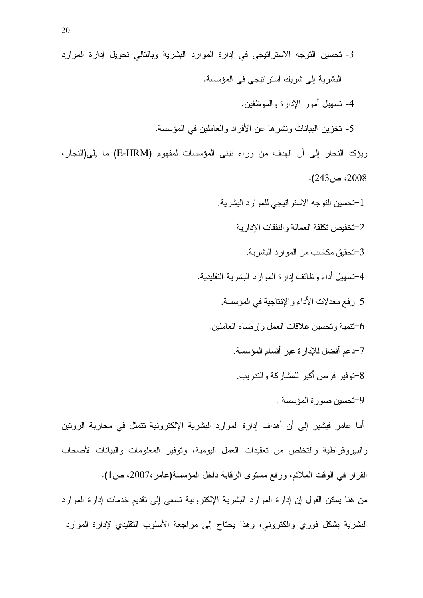والببيروقراطية والتخلص من تعقيدات العمل البومية، وتوفير المعلومات والبيانات لأصحاب القرار في الوقت الملائم، ورفع مستوى الرقابة داخل المؤسسة(عامر،2007، ص1).

من هنا يمكن القول إن إدارة الموارد البشرية الإلكترونية تسعى إلى تقديم خدمات إدارة الموارد البشرية بشكل فوري والكتروني، وهذا يحتاج إلى مراجعة الأسلوب التقليدي لإدارة الموارد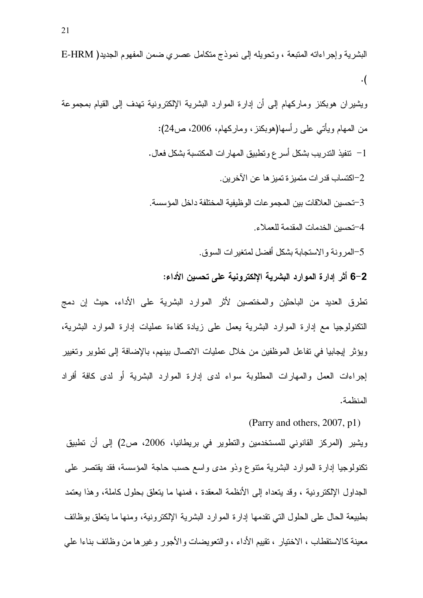البشرية وإجراءاته المتبعة ، وتحويله إلى نموذج متكامل عصري ضمن المفهوم الجديد( E-HRM  $\cdot$ (

ويشيران هوبكنز وماركهام إلىي أن إدارة الموارد البشرية الإلكترونية تهدف إلى القيام بمجموعة من المهام ويأتـي علـي ر أسها(هوبكنز ، وماركـهام، 2006، ص24): 1– نتفيذ التدريب بشكل أسر ع وتطبيق المهار ات المكتسبة بشكل فعال . 2–اكتساب قدر ات منميز ة تميز ها عن الآخر ين ـ 3–تحسين العلاقات بين المجموعات الوظيفية المختلفة داخل المؤسسة. 4–تحسبن الخدمات المقدمة للعملاء. 5-المرونة والاستجابة بشكل أفضل لمتغيرات السوق. 6–6 أثر إدارة الموارد البشرية الإلكترونية على تحسين الأداء:

نطرق العديد من الباحثين والمختصين لأثر الموارد البشرية على الأداء، حيث إن دمج النكنولوجيا مع إدارة الموارد البشرية يعمل على زيادة كفاءة عمليات إدارة الموارد البشرية، ويؤثِّر لِيجابيا في نفاعل الموظَّفين من خلال عمليات الاتصال بينهم، بالإضافة إلى تطوير وتغيير إجر اءات العمل والمهار ات المطلوبة سواء لدى إدارة الموارد البشرية أو لدى كافة أفراد المنظمة.

(Parry and others, 2007, p1)

ويشير (المركز القانوني للمستخدمين والنطوير في بريطانيا، 2006، ص2) إلى أن نظبيق تكنولوجيا إدارة الموارد البشرية منتوع وذو مدى واسع حسب حاجة المؤسسة، فقد يقتصر على الْجِدَاوِلْ الْإِلْكْتَرُونِيَةٌ ، وقد يُتَّعداه إلى الأنظَّمَة المعقدة ، فَمَنَّها ما يُتَّعلَّقُ بحلول كاملة، وهذا يعتمد بطبيعة الحال على الحلول التي تقدمها إدار ة الموارد البشر بة الإلكتر ونبة، ومنها ما بتعلق بوظائف معينة كالاستقطاب ، الاختيار ، تقييم الأداء ، والتعويضات والأجور وغيرها من وظائف بناءا على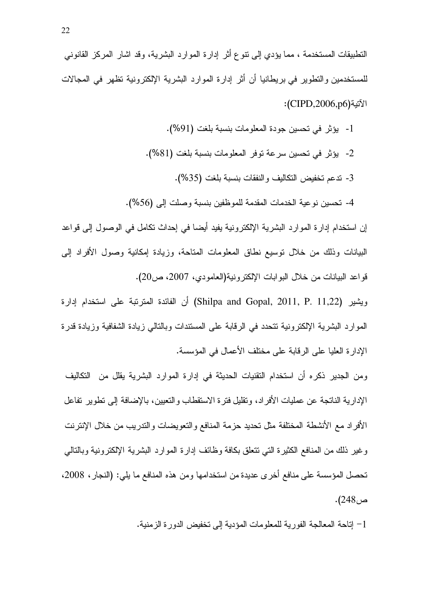التطبيقات المستخدمة ، مما يؤدي إلى نتوع أثر إدارة الموارد البشرية، وقد اشار المركز القانوني للمستخدمين والنطوير في بريطانيا أن أثر إدارة الموارد البشرية الإلكترونية نظهر في المجالات الآتية(CIPD,2006,p6):

> 1- يؤثر في تحسين جودة المعلومات بنسبة بلغت (91%). 2- يؤثر في تحسين سرعة توفر المعلومات بنسبة بلغت (81%). 3- ندعم تخفيض النكاليف والنفقات بنسبة بلغت (35%). 4- تحسين نوعية الخدمات المقدمة للموظفين بنسبة وصلت إلىي (56%).

إن استخدام إدارة الموارد البشرية الإلكترونية يفيد أيضـا في إحداث نكامل في الوصـول إلـى قواعد البيانات وذلك من خلال توسيع نطاق المعلومات المتاحة، وزيادة إمكانية وصول الأفراد إلىي قواعد البيانات من خلال البوابات الإلكترونية(العامودي، 2007، ص20).

ويشير (Shilpa and Gopal, 2011, P. 11,22) أن الفائدة المترنبة على استخدام إدارة الموارد البشرية الإلكترونية تتحدد في الرقابة على المستندات وبالتالي زيادة الشفافية وزيادة قدرة الإدار ة العليا على الرقابة على مختلف الأعمال في المؤسسة.

ومن الجدير ذكره أن استخدام النقنيات الحديثة في إدارة الموارد البشرية يقلل من التكاليف الإدارية الناتجة عن عمليات الأفراد، ونقليل فترة الاستقطاب والنعيين، بالإضافة إلىي نطوير نفاعل الأفراد مع الأنشطة المختلفة مثل تحديد حزمة المنافع والنعويضات والندريب من خلال الإنترنت وغير ذلك من المنافع الكثيرة التـي نتعلق بكافة وظائف إدارة الموارد البشرية الإلكترونية وبالتالـي تحصل المؤسسة على منافع أخرى عديدة من استخدامها ومن هذه المنافع ما يلي: (النجار، 2008، ص248).

1– إتاحة المعالجة الفورية للمعلومات المؤدية إلى تخفيض الدورة الزمنية.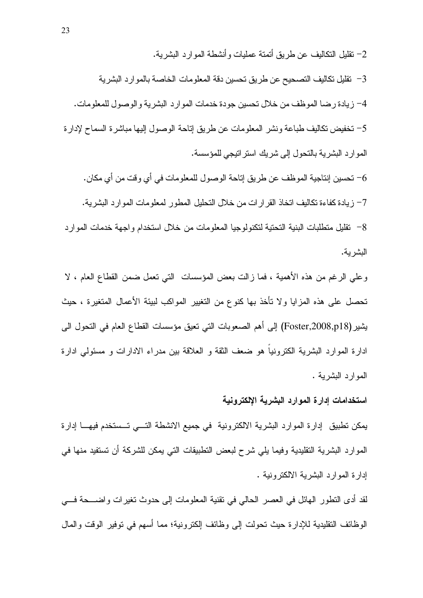2– نقليل التكاليف عن طريق أتمتة عمليات و أنشطة الموارد البشرية.

3− تقليل تكاليف التصحيح عن طريق تحسين دقة المعلومات الخاصة بالموارد البشرية

4– زيادة رضا الموظف من خلال تحسين جودة خدمات الموارد البشرية والوصول للمعلومات.

5– نخفيض نكاليف طباعة ونشر المعلومات عن طريق إناحة الوصول إليها مباشرة السماح لإدارة الموارد البشرية بالتحول إلى شريك استراتيجي للمؤسسة.

6– تحسين إنتاجية الموظف عن طريق إتاحة الوصول للمعلومات في أي وقت من أي مكان.

7– زيادة كفاءة تكاليف اتخاذ القرارات من خلال التحليل المطور لمعلومات الموارد البشرية.

8– نقليل منطلبات البنية التحتية لتكنولوجيا المعلومات من خلال استخدام واجهة خدمات الموارد البشرية.

وعلى الرغم من هذه الأهمية ، فما زالت بعض المؤسسات التي نعمل ضمن القطاع العام ، لا تحصل على هذه المزايا ولا تأخذ بها كنوع من التغيير المواكب لبيئة الأعمال المتغيرة ، حيث يشير (Foster,2008,p18) إلى أهم الصعوبات التي تعيق مؤسسات القطاع العام في التحول الي ادارة الموارد البشرية الكترونيا هو ضعف الثقة و العلاقة بين مدراء الادارات و مسئولي ادارة المو ار د البشر بـه .

#### استخدامات إدارة الموارد البشرية الإلكترونية

يمكن تطبيق إدارة الموارد البشرية الالكترونية في جميع الانشطة التسي تسستخدم فيهـا إدارة المو ارد البشرية التقليدية وفيما يلي شرح لبعض التطبيقات التي يمكن للشركة أن تستفيد منها في إدارة الموارد البشرية الالكترونية .

لقد أدى النطور الهائل في العصر الحالي في نقنية المعلومات إلى حدوث نغيرات واضــــحة فــــي الوظائف النقليدية للإدارة حيث تحولت إلى وظائف إلكترونية؛ مما أسهم في توفير الوقت والمال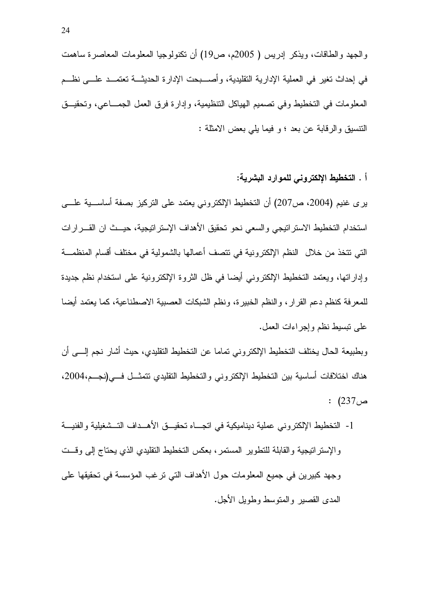والجهد والطاقات، ويذكر إدريس ( 2005م، ص19) أن نكنولوجيا المعلومات المعاصرة ساهمت في إحداث نغير في العملية الإدارية التقليدية، وأصــــبحت الإدارة الـحديثـــة نعتمـــد علــــي نظـــم المعلومات في التخطيط وفي تصميم الهياكل التنظيمية، وإدارة فرق العمل الجمـــاعي، وتحقيـــق النتسيق والرقابة عن بعد ؛ و فيما يلي بعض الامثلة :

#### أ . التخطيط الإلكتروني للموارد البشرية:

بري غنيم (2004، ص207) أن التخطيط الإلكتروني يعتمد على التركيز بصفة أساســـية علــــي استخدام التخطيط الاستراتيجي والسعى نحو تحقيق الأهداف الإستراتيجية، حيــث ان القـــرارات التي تتخذ من خلال النظم الإلكترونية في نتصف أعمالها بالشمولية في مختلف أقسام المنظمـــة وإداراتها، ويعتمد التخطيط الإلكتروني أيضا في ظل الثروة الإلكترونية على استخدام نظم جديدة للمعرفة كنظم دعم القرار، والنظم الخبيرة، ونظم الشبكات العصبية الاصطناعية، كما يعتمد أيضا علىي نبسيط نظم وإجراءات العمل.

وبطبيعة الحال يختلف التخطيط الإلكتروني تماما عن التخطيط التقليدي، حيث أشار نجم إلـــي أن هناك اختلافات أساسية بين التخطيط الإلكتروني والتخطيط التقليدي نتمثـــل فـــي(نجـــم،2004،  $(237)$  ص

1- التخطيط الإلكتروني عملية ديناميكية في اتجــاه تحقيـــق الأهـــداف التـــشغيلية والفنيـــة والإستر اتيجية والقابلة للنطوير المستمر ، بعكس التخطيط التقليدي الذي يحتاج إلىي وقست وجهد كبيرين في جميع المعلومات حول الأهداف التي ترغب المؤسسة في تحقيقها على المدى القصير والمتوسط وطويل الأجل.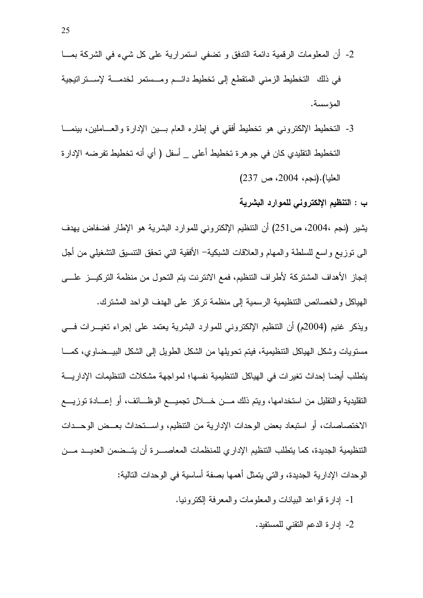- 2- أن المعلومات الرقمية دائمة الندفق و نضفى استمرارية على كل شيء في الشركة بمـــا في ذلك التخطيط الزمني المتقطع إلى تخطيط دائـم ومـستمر لخدمــة لإســتراتيجية المؤسسة.
- 3- التخطيط الإلكتروني هو تخطيط أفقي في إطاره العام بـــين الإدارة والعـــاملين، بينمـــا التخطيط النقليدي كان في جوهرة تخطيط أعلى \_ أسفل ( أي أنه تخطيط تفرضه الإدارة العليا).(نجم، 2004، ص 237)

#### ب : التنظيم الإلكترونى للموارد البشرية

يشير (نجم ،2004، ص251) أن النتظيم الإلكتروني للموارد البشرية هو الإطار فضفاض يهدف البي نوزيع واسع للسلطة والمهام والعلاقات الشبكية– الأفقية التبي تحقق النتسيق التشغيلبي من أجل إنجاز الأهداف المشتركة لأطراف التنظيم، فمع الانترنت يتم التحول من منظمة التركيـــز علــــى الهياكل والخصائص التنظيمية الرسمية إلى منظمة نركز على الهدف الواحد المشترك.

ويذكر غنيم (2004م) أن التنظيم الإلكتروني للموارد البشرية يعتمد على إجراء نغيـــرات فــــي مستويات وشكل الهياكل التنظيمية، فيتم تحويلها من الشكل الطويل إلى الشكل البيـــضـاوي، كمــــا يتطلب أيضا إحداث تغيرات في الهياكل التنظيمية نفسها؛ لمواجهة مشكلات التنظيمات الإداريــــة النقليدية والنقليل من استخدامها، ويتم ذلك مـــن خــــلال نجميــــع الوظــــائف، أو إعـــادة نوزيــــع الاختصاصات، أو استبعاد بعض الوحدات الإدارية من التنظيم، واســتحداث بعــض الوحــدات التنظيمية الجديدة، كما يتطلب التنظيم الإدار ي للمنظمات المعاصسر ة أن يتسضمن العديسد مسن الوحدات الإدارية الجديدة، والتي يتمثل أهمها بصفة أساسية في الوحدات التالية:

- 1- إدارة قواعد البيانات والمعلومات والمعرفة الكترونيا.
	- 2- إدار ة الدعم النقني للمستفيد.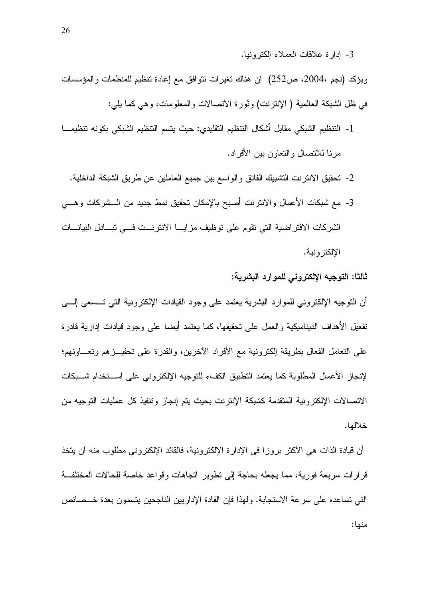3- إدارة علاقات العملاء إلكترونيا.

ويؤكد (نجم ،2004، ص252) ان هناك نغيرات نتوافق مع إعادة نتظيم للمنظمات والمؤسسات في ظل الشبكة العالمية ( الإنترنت) وثورة الاتصالات والمعلومات، وهي كما بلي:

- 1- التنظيم الشبكي مقابل أشكال التنظيم التقليدي: حيث يتسم النتظيم الشبكي بكونه تنظيمـــا مرنا للاتصال والنعاون بين الأفراد.
	- 2- تحقيق الانترنت التشبيك الفائق والواسع بين جميع العاملين عن طريق الشبكة الداخلية.
- 3- مع شبكات الأعمال والانترنت أصبح بالإمكان تحقيق نمط جديد من الـــشركات وهـــي الشركات الافتراضية التي تقوم على توظيف مزايـــا الانترنـــت فـــي تبـــادل البيانــــات الإلكتر ونية.

ثالثًا: التوجيه الإلكتروني للموارد البشرية:

أن النوجيه الإلكتروني للموارد البشرية يعتمد على وجود القيادات الإلكترونية التبي تـــسعى إلــــي نفعيل الأهداف الديناميكية والعمل على تحقيقها، كما يعتمد أيضا على وجود قيادات إدارية قادرة على النعامل الفعال بطريقة الكترونية مع الأفراد الأخرين، والقدرة على تحفيـــزهم وتعــــاونـهم؛ لإنجاز الأعمال المطلوبة كما يعتمد النطبيق الكفء للنوجيه الإلكتر ونبي على اســـنخدام شـــبكات الاتصالات الإلكترونية المتقدمة كشبكة الإنترنت بحيث يتم إنجاز وتتفيذ كل عمليات التوجيه من خلالها.

أن قيادة الذات هي الأكثر بروزا في الإدارة الإلكترونية، فالقائد الإلكتروني مطلوب منه أن يتخذ قرارات سريعة فورية، مما يجعله بحاجة إلى نطوير انجاهات وقواعد خاصة للحالات المختلفــة التي تساعده على سرعة الاستجابة. ولهذا فإن القادة الإداريين الناجحين بتسمون بعدة خـــصائص منها: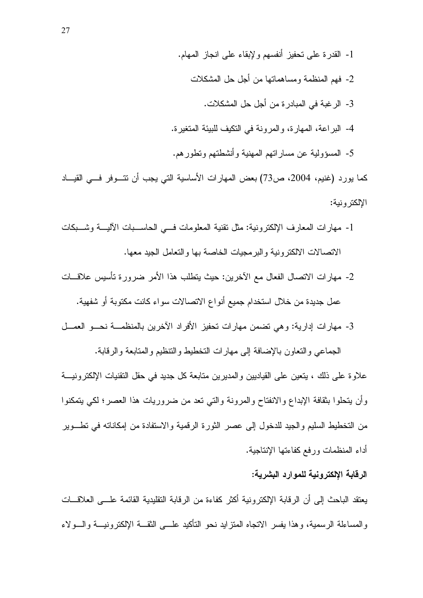- 1- القدرة على تحفيز أنفسهم ولإبقاء على انجاز المهام.
	- 2- فهم المنظمة ومساهماتها من أجل حل المشكلات
		- 3- الرغبة في المبادرة من أجل حل المشكلات.
- 4- البر اعة، المهار ة، و المرونة في النكيف للبيئة المتغير ة.
- 5- المسؤولية عن مساراتهم المهنية وأنشطتهم وتطورهم.

كما يورد (غنيم، 2004، ص73) بعض المهارات الأساسية التي يجب أن نتـــوفر فـــي القيـــاد الإلكتر ونية:

- 1- مهارات المعارف الإلكترونية: مثل تقنية المعلومات فسي الحاســبات الآليـــة وشـــبكات الاتصالات الالكتر ونية والبر مجيات الخاصة بها والتعامل الجيد معها.
- 2- مهارات الاتصال الفعال مع الآخرين: حيث يتطلب هذا الأمر ضرورة تأسيس علاقـــات عمل جديدة من خلال استخدام جميع أنواع الاتصالات سواء كانت مكتوبة أو شفهية.
- 3- مهارات إدارية: وهي نضمن مهارات نحفيز الأفراد الآخرين بالمنظمـــة نحـــو العمـــل

الجماعي والنعاون بالإضافة إلى مهارات النخطيط والتنظيم والمنابعة والرقابة. علاوة على ذلك ، يتعين على القياديين والمديرين متابعة كل جديد في حقل التقنيات الإلكترونيــــة و أن يتحلوا بثقافة الإبداع والانفتاح والمرونة والتبي نعد من ضروريات هذا العصر ؛ لكي يتمكنوا من التخطيط السليم والجيد للدخول إلى عصر الثورة الرقمية والاستفادة من إمكاناته في تطـــوير أداء المنظمات ورفع كفاءتها الإنتاجية.

#### الرقابة الإلكترونية للموارد البشرية:

يعنقد الباحث إلى أن الرقابة الإلكترونية أكثر كفاءة من الرقابة النقليدية القائمة علـــي العلاقـــات والمساءلة الرسمية، وهذا يفسر الاتجاه المنزايد نحو التأكيد علــــى الثقــــة الإلكترونيــــة والــــولاء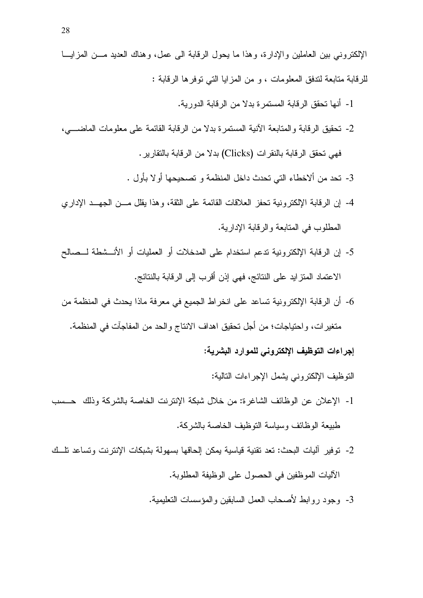الإلكتروني بين العاملين والإدارة، وهذا ما يحول الرقابة البي عمل، وهناك العديد مـــن المزايـــا للرقابة متابعة لندفق المعلومات ، و من المزايا التي نوفرها الرقابة :

- 1- أنها تحقق الرقابة المستمرة بدلا من الرقابة الدورية.
- 2- نحقيق الرفابة والمنابعة الآنية المستمرة بدلا من الرفابة القائمة على معلومات الماضــــى، فهي تحقق الرقابة بالنقرات (Clicks) بدلا من الرقابة بالنقارير .
	- 3- نحد من ألاخطاء التي تحدث داخل المنظمة و تصحيحها أو لا بأول .
- 4- إن الرقابة الإلكترونية تحفز العلاقات القائمة على الثقة، وهذا يقلل مـــن الجهـــد الإداري المطلوب في المتابعة و الر قابة الإدار بة.
- 5- إن الرقابة الإلكترونية تدعم استخدام على المدخلات أو العمليات أو الأنـــشطة لـــصـالـح الاعتماد المتزايد على النتائج، فهي إذن أقرب إلى الرقابة بالنتائج.
- 6- أن الرقابة الإلكترونية تساعد على انخراط الجميع في معرفة ماذا يحدث في المنظمة من متغيرات، واحتياجات؛ من أجل تحقيق اهداف الانتاج والحد من المفاجآت في المنظمة.

إجراءات التوظيف الإلكتروني للموارد البشرية:

النَّوظيف الإلكتر ونبي يشمل الإجر اءات التالية:

- 1- الإعلان عن الوظائف الشاغر ة: من خلال شبكة الإنترنت الخاصة بالشركة وذلك حسب طبيعة الوظائف وسياسة النوظيف الخاصة بالشركة.
- 2- نوفير آليات البحث: تعد تقنية قياسية يمكن الحاقها بسهولة بشبكات الإنترنت وتساعد تلَّــك الآليات الموظفين في الحصول على الوظيفة المطلوبة.
	- 3- وجود روابط لأصحاب العمل السابقين والمؤسسات النعليمية.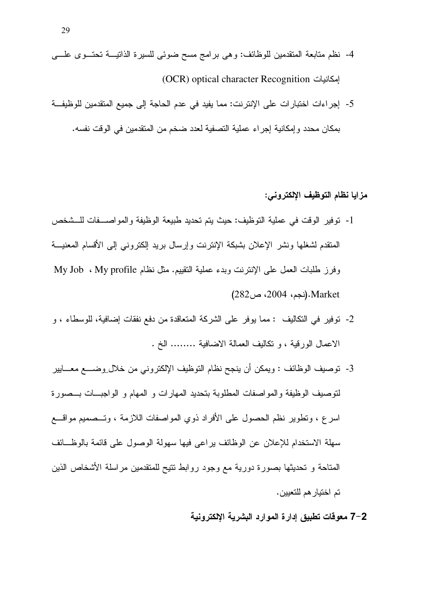- 4- نظم منابعة المتقدمين للوظائف: وهي برامج مسح ضوئي للسيرة الذاتيـــة تحتـــوى علــــي (OCR) optical character Recognition
- 5- إجراءات اختبارات على الإنترنت: مما يفيد في عدم الحاجة إلى جميع المتقدمين للوظيفة بمكان محدد وإمكانية إجراء عملية التصفية لعدد ضخم من المتقدمين في الوقت نفسه.

#### مزايا نظام التوظيف الإلكتروني:

- 1- توفير الوقت في عملية التوظيف: حيث يتم تحديد طبيعة الوظيفة والمواصـــفات للـــشخص المنقدم لشغلها ونشر الإعلان بشبكة الإنترنت وإرسال بريد إلكترونبي إلىي الأقسام المعنيـــة وفرز طلبات العمل على الإنترنت وبدء عملية النقييم. مثل نظام My Job ، My profile كم Market.(نجم، 2004، ص282)
- 2- توفير في التكاليف : مما يوفر على الشركة المتعاقدة من دفع نفقات إضافية، للوسطاء ، و الإعمال الورقية ، و تكاليف العمالة الإضافية ........ الخ .
- 3- توصيف الوظائف : ويمكن أن ينجح نظام التوظيف الإلكتروني من خلا<u>ل و</u>ضــــع معــــايير لنوصيف الوظيفة والمواصفات المطلوبة بتحديد المهارات و المهام و الواجبــات بــصورة اسرع ، وتطوير نظم الحصول على الأفراد ذوي المواصفات اللازمة ، وتــصميم مواقـــع سهلة الاستخدام للإعلان عن الوظائف يراعى فيها سهولة الوصول على قائمة بالوظــائف المتاحة و تحديثها بصورة دورية مع وجود روابط نتيح للمتقدمين مراسلة الأشخاص الذين تم اختيار هم للتعيين.

7–7 معوفات تطبيق إدارة الموارد البشرية الالكترونية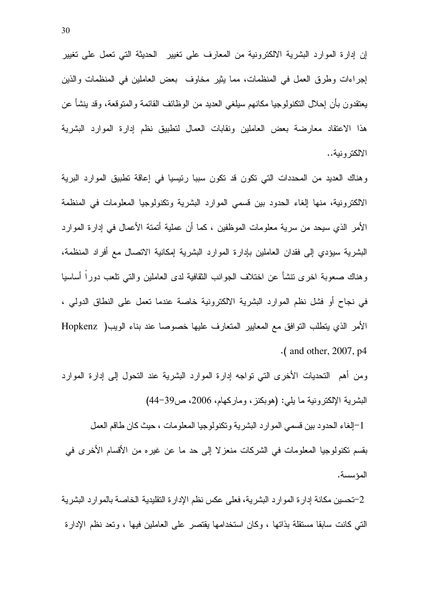إن إدارة الموارد البشرية الالكترونية من المعارف على تغيير الحديثة التي تعمل على تغيير إجراءات وطرق العمل في المنظمات، مما يثير مخاوف بعض العاملين في المنظمات والذين يعتقدون بأن إحلال النكنولوجيا مكانهم سيلغى العديد من الوظائف القائمة والمنوقعة، وقد بنشأ عن هذا الاعتقاد معارضة بعض العاملين ونقابات العمال لتطبيق نظم إدارة الموارد البشرية الالكتر ونية..

وهناك العديد من المحددات التي نكون قد نكون سببا رئيسيا في إعاقة نطبيق الموارد البرية الالكترونية، منها إلغاء الحدود بين قسمي الموارد البشرية ونكنولوجيا المعلومات في المنظمة الأمر الذي سيحد من سرية معلومات الموظفين ، كما أن عملية أتمتة الأعمال في إدارة الموارد البشرية سيؤدى إلى فقدان العاملين بإدارة الموارد البشرية إمكانية الاتصال مع أفراد المنظمة، وهناك صعوبة اخرى نتشأ عن اختلاف الجوانب الثقافية لدى العاملين والتبى نلعب دوراً أساسيا في نجاح أو فشل نظم الموارد البشرية الالكترونية خاصة عندما نعمل على النطاق الدولمي ، الأمر الذي يتطلب النوافق مع المعايير المتعارف عليها خصوصا عند بناء الويب( Hopkenz  $\cdot$  (and other, 2007, p4

ومن أهم التحديات الأخرى التي تواجه إدارة الموارد البشرية عند التحول إلى إدارة الموارد البشرية الإلكترونية ما يلي: (هوبكنز، وماركهام، 2006، ص39-44)

1-الغاء الحدود بين قسمي الموارد البشرية وتكنولوجيا المعلومات ، حيث كان طاقم العمل بقسم تكنولوجيا المعلومات في الشركات منعزلا إلى حد ما عن غيره من الأقسام الأخرى في المؤسسة.

2-تحسين مكانة إدارة الموارد البشرية، فعلى عكس نظم الإدارة التقليدية الخاصة بالموارد البشرية التبي كانت سابقًا مستقلَّة بذاتها ، وكان استخدامها يقتصر على العاملين فيها ، وتعد نظم الإدارة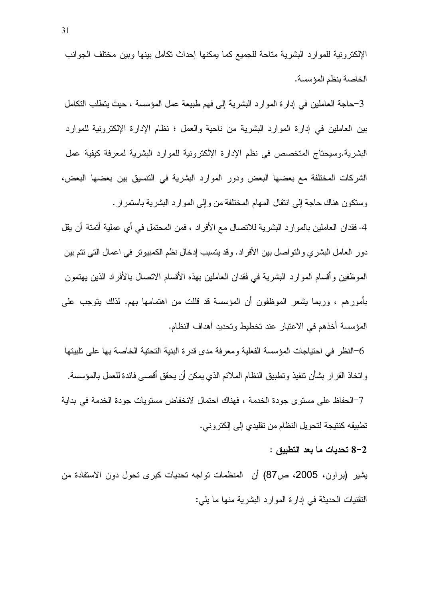الإلكترونية للموارد البشرية متاحة للجميع كما يمكنها إحداث نكامل بينها وبين مختلف الجوانب الخاصة بنظم المؤسسة.

3-حاجة العاملين في إدارة الموارد البشرية إلى فهم طبيعة عمل المؤسسة ، حيث يتطلب التكامل بين العاملين في إدارة الموارد البشرية من ناحية والعمل ؛ نظام الإدارة الإلكترونية للموارد البشرية.وسيحتاج المتخصص في نظم الإدارة الإلكترونية للموارد البشرية لمعرفة كيفية عمل الشركات المختلفة مع بعضها البعض ودور الموارد البشرية في النتسيق بين بعضها البعض، وسنكون هناك حاجة إلى انتقال المهام المختلفة من وإلى الموارد البشرية باستمرار .

4- فقدان العاملين بالموارد البشرية للاتصال مع الأفراد ، فمن المحتمل في أي عملية أتمتة أن يقل دور العامل البشري والتواصل بين الأفراد. وقد يتسبب إدخال نظم الكمبيوتر في اعمال التي تتم بين الموظفين وأقسام الموارد البشرية في فقدان العاملين بهذه الأقسام الاتصال بالأفراد الذين يهتمون بأمورهم ، وربما بشعر الموظفون أن المؤسسة قد قللت من اهتمامها بهم. لذلك بنوجب على المؤسسة أخذهم في الاعتبار عند تخطيط وتحديد أهداف النظام.

لنظر في احتياجات المؤسسة الفعلية ومعرفة مدى قدرة البنية التحتية الخاصة بها على تلبيتها $\rm 6$ و اتخاذ القر ار بشأن تنفيذ و تطبيق النظام الملائم الذي يمكن أن يحقق أقصبي فائدة للعمل بالمؤسسة. 7–الحفاظ على مسنو ي جودة الخدمة ، فهناك احتمال لانخفاض مسنوبات جودة الخدمة في بدابة تطبيقه كنتيجة لتحويل النظام من تقليدي إلى إلكتروني.

#### 8-2 تحديات ما بعد التطبيق :

يشير (براون، 2005، ص87) أن المنظمات تواجه تحديات كبرى تحول دون الاستفادة من النقنيات الحديثة في إدارة الموارد البشرية منها ما يلي: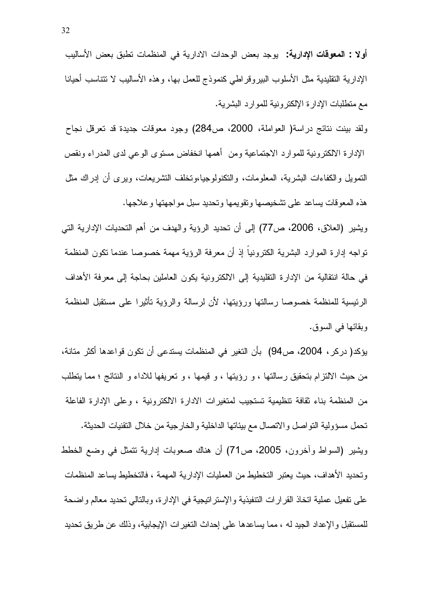أولا : المعوفات الإدارية: يوجد بعض الوحدات الادارية في المنظمات نطبق بعض الأساليب الإدارية النقليدية مثل الأسلوب الببيروقراطي كنموذج للعمل بها، وهذه الأساليب لا نتناسب أحيانا مع منطلبات الإدارة الإلكترونية للموارد البشرية.

ولقد بينت نتائج دراسة( العواملة، 2000، ص284) وجود معوفات جديدة قد تعرفل نجاح الإدارة الالكترونية للموارد الاجتماعية ومن أهمها انخفاض مستوى الوعبي لدى المدراء ونقص التمويل والكفاءات البشرية، المعلومات، والنكنولوجيا،ونخلف النشريعات، ويرى أن إدراك مثل هذه المعوقات يساعد على تشخيصها ونقويمها وتحديد سبل مواجهتها وعلاجها.

ويشير (العلاق، 2006، ص77) إلى أن تحديد الرؤية والهدف من أهم التحديات الإدارية التي تواجه إدارة الموارد البشرية الكترونيا إذ أن معرفة الرؤية مهمة خصوصا عندما نكون المنظمة في حالة انتقالية من الإدارة التقليدية إلى الالكترونية يكون العاملين بحاجة إلى معرفة الأهداف الرئيسية للمنظمة خصوصا رسالتها ورؤيتها، لأن لرسالة والرؤية تأثيرا على مستقبل المنظمة وبقائها في السوق.

يؤكد( دركر ، 2004، ص94) بأن التغير في المنظمات يستدعى أن تكون قواعدها أكثر متانة، من حيث الالتزام بتحقيق رسالتها ، و رؤيتها ، و قيمها ، و تعريفها للاداء و النتائج ؛ مما يتطلب من المنظمة بناء ثقافة نتظيمية تستجيب لمتغيرات الادارة الالكترونية ، وعلى الإدارة الفاعلة تحمل مسؤولية التواصل والاتصال مع بيئاتها الداخلية والخارجية من خلال التقنيات الحديثة. ويشير (السواط وأخرون، 2005، ص71) أن هناك صعوبات إدارية نتمثل في وضع الخطط وتحديد الأهداف، حيث يعتبر التخطيط من العمليات الإدارية المهمة ، فالتخطيط يساعد المنظمات على نفعيل عملية اتخاذ القرارات التنفيذية والإستراتيجية في الإدارة، وبالتالي تحديد معالم واضحة للمستقبل والإعداد الجيد له ، مما يساعدها على إحداث النغير ات الإيجابية، وذلك عن طريق تحديد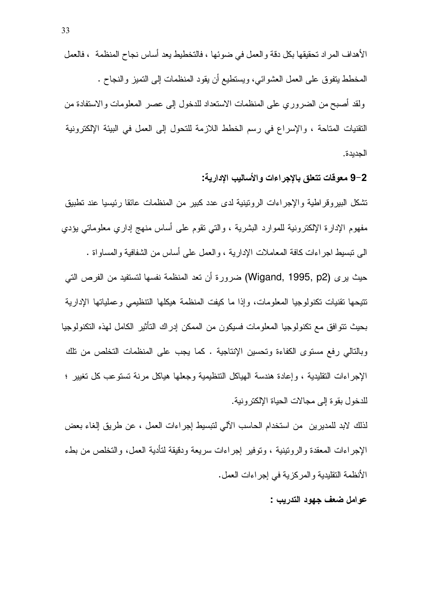الأهداف المر إد تحقيقها بكل دقة و العمل في ضوئها ، فالتخطيط يعد أساس نجاح المنظمة ، فالعمل المخطط ينفوق على العمل العشوائـي، ويستطيع أن يقود المنظمات إلىي النميز والنجاح . ولقد أصبح من الضروري على المنظمات الاستعداد للدخول إلى عصر المعلومات والاستفادة من النقنيات المناحة ، والإسراع في رسم الخطط اللازمة للنحول إلى العمل في البيئة الإلكترونية الجدبدة.

2–9 معوفات تتعلق بالإجراءات والأساليب الإدارية:

نشكل الببيروقراطية والإجراءات الروننينية لدى عدد كبير من المنظمات عائقا رئيسيا عند نطبيق مفهوم الإدارة الإلكترونية للموارد البشرية ، والتبي نقوم على أساس منهج إداري معلوماتي يؤدي الي نبسيط اجر اءات كافة المعاملات الإدار بـة ، و العمل علـي أساس من الشفافية و المساو اة .

حيث بري (Wigand, 1995, p2) ضرورة أن تعد المنظمة نفسها لتستفيد من الفرص التي تتبحها تقنيات تكنولوجيا المعلومات، وإذا ما كيفت المنظمة هيكلها التنظيمي وعملياتها الإدارية بحيث نتوافق مع نكنولوجيا المعلومات فسيكون من الممكن إدراك النأنثير الكامل لهذه النكنولوجيا وبالتالي رفع مستوى الكفاءة وتحسين الإنتاجية . كما يجب على المنظمات التخلص من نلك الإجر اءات التقليدية ، و إعادة هندسة الهياكل التنظيمية و جعلها هياكل مر نة تستو عب كل تغيير ٤ للدخول بقوة إلى مجالات الحباة الإلكتر ونبة.

لذلك لابد للمديرين من استخدام الحاسب الآلي لنبسيط إجراءات العمل ، عن طريق إلغاء بعض الإجراءات المعقدة والروتينية ، وتوفير إجراءات سريعة ودقيقة لتأدية العمل، والتخلص من بطء الأنظمة النقليدية والمركزية في إجراءات العمل.

عوامل ضعف جهود التدريب :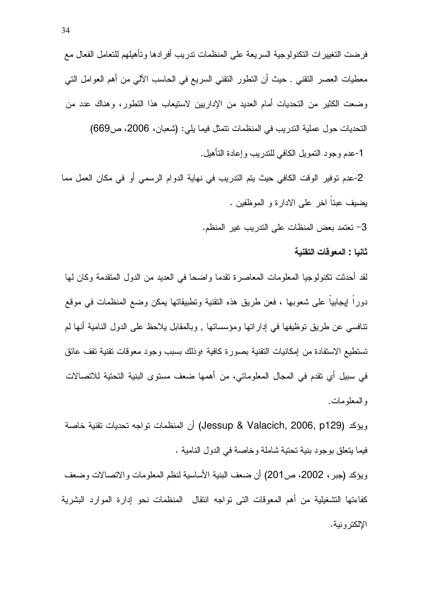فرضت التغيير ات التكنولوجية السريعة على المنظمات ندريب أفر ادها وتأهيلهم للتعامل الفعال مع معطيات العصـر النقنـي . حيث أن النطور النقنـي السريـع فـي الـحاسب الآلـي من أهم الـعوامل النـي وضعت الكثير من التحديات أمام العديد من الإداريين لاستيعاب هذا التطور، وهناك عدد من التحديات حول عملية التدريب في المنظمات نتمثل فيما يلي: (شعبان، 2006، ص669) 1-عدم وجود النمويل الكافي للندريب وإعادة النأهيل.

2-عدم توفير الوقت الكافي حيث يتم التدريب في نهاية الدوام الرسمي أو في مكان العمل مما يضيف عبئا اخر على الادارة و الموظفين .

3– تعتمد بعض المنظات على الندريب غير المنظم.

ثانيا : المعوفات التقنية

لقد أحدثت تكنولوجيا المعلومات المعاصرة تقدما واضحا في العديد من الدول المتقدمة وكان لها دورًا إيجابياً على شعوبها ، فعن طريق هذه النقنية وتطبيقاتها يمكن وضع المنظمات في موقع نَّنافسي عن طريق نوظيفها في إداراتها ومؤسساتها , وبالمقابل بلاحظ على الدول النامية أنها لم تستطيع الاستفادة من إمكانيات التقنية بصورة كافية ؛وذلك بسبب وجود معوقات تقنية تقف عائق في سبيل أي نقدم في المجال المعلوماتي، من أهمها ضعف مسنو ي البنية التحنية للاتصالات و المعلو مات.

ويؤكد (Jessup & Valacich, 2006, p129) أن المنظمات تواجه تحديات تقنية خاصة فيما يتعلَّق بوجود بنية تحتية شاملة وخاصة في الدول النامية .

ويؤكد (جبر ، 2002، ص201) أن ضعف البنية الأساسية لنظم المعلومات والاتصالات وضعف كفاءتها التشغيلية من أهم المعوقات التي تواجه انتقال المنظمات نحو إدارة الموارد البشرية الإلكتر ونية.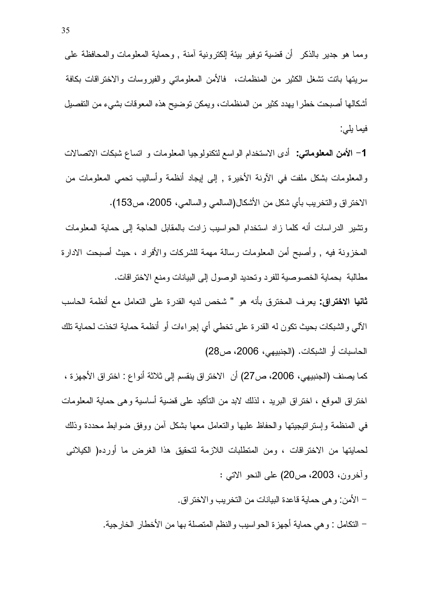ومما هو جدير بالذكر أن قضية توفير بيئة لإكترونية آمنة , وحماية المعلومات والمحافظة على سريتها بانت نشغل الكثير من المنظمات، فالأمن المعلوماتي والفيروسات والاختراقات بكافة أشكالها أصبحت خطرًا يهدد كثير من المنظمات، ويمكن توضيح هذه المعوقات بشيء من التفصيل فيما يلي:

**1**– ا**لأمن المعلوماتي:** أدى الاستخدام الواسع لتكنولوجيا المعلومات و انساع شبكات الاتصالات والمعلومات بشكل ملفت في الأونة الأخيرة , إلى إيجاد أنظمة وأساليب تحمي المعلومات من الاختراق والتخريب بأي شكل من الأشكال(السالمي والسالمي، 2005، ص153).

ونشير الدراسات أنه كلما زاد استخدام الحواسيب زادت بالمقابل الحاجة إلى حماية المعلومات المخزونة فيه , وأصبح أمن المعلومات رسالة مهمة للشركات والأفراد ، حيث أصبحت الادارة مطالبة بحماية الخصوصية للفرد وتحديد الوصول إلى البيانات ومنع الاختر اقات.

**ثانيا الاختراق:** يعرف المخترق بأنه هو " شخص لديه القدرة على التعامل مع أنظمة الحاسب الآلي والشبكات بحيث نكون له القدرة على تخطي أي إجراءات أو أنظمة حماية اتخذت لحماية نلك الحاسبات أو الشبكات. (الجنبيهي، 2006، ص28)

كما يصنف (الجنبيهي، 2006، ص27) أن الاختر اق ينقسم إلى ثلاثة أنو اع : اختر اق الأجهز ة ، اختر اق الموقع ، اختر اق البريد ، لذلك لابد من التأكيد على قضية أساسية و هي حماية المعلومات في المنظمة وإسترانيجيتها والحفاظ عليها والنعامل معها بشكل أمن ووفق ضوابط محددة وذلك لحمايتها من الاختراقات ، ومن المتطلبات اللازمة لتحقيق هذا الغرض ما أورده( الكيلانـي وأخرون، 2003، ص20) على النحو الاتبي :

– الأمن: و هي حماية قاعدة البيانات من التخريب والاختر اق.

– النكامل : و هي حماية أجهز ة الحواسيب والنظم المنصلة بها من الأخطار الخارجية.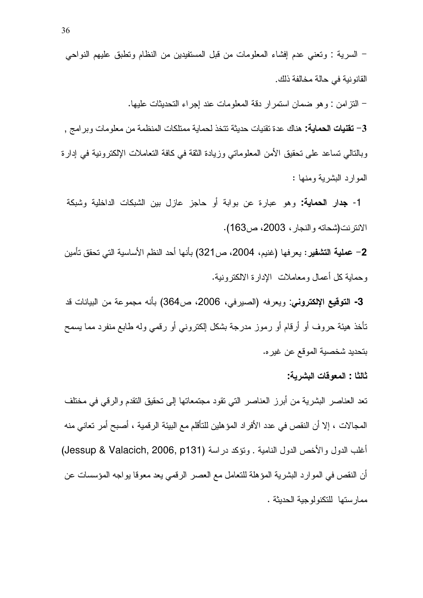– النّزامن : وهو ضمان استمرار دقة المعلومات عند إجراء التحديثات عليها.

3– **تقنيات الحماية:** هناك عدة تقنيات حديثة تتخذ لحماية ممتلكات المنظمة من معلو مات و بر امج . وبالنالي نساعد على تحقيق الأمن المعلوماتي وزيادة الثقة في كافة التعاملات الإلكترونية في إدارة الموارد البشرية ومنها :

1- **جدار الحماية:** وهو عبارة عن بوابة أو حاجز عازل بين الشبكات الداخلية وشبكة الانترنت(شحاته والنجار، 2003، ص163).

2– عملية التشفير : يعرفها (غنيم، 2004، ص321) بأنها أحد النظم الأساسية التي تحقق تأمين وحماية كل أعمال ومعاملات الإدارة الالكترونية.

3- التوقيع الإلكتروني: ويعرفه (الصيرفي، 2006، ص364) بأنه مجموعة من البيانات قد نتأخذ هيئة حروف أو أرقام أو رموز مدرجة بشكل الكتروني أو رقمي وله طابع منفرد مما يسمح بتحديد شخصية الموقع عن غير ه.

ثالثًا : المعو قات البشر بـة:

تعد العناصر البشرية من أبرز العناصر التي تقود مجتمعاتها إلى تحقيق التقدم والرقي في مختلف المجالات ، إلا أن النقص في عدد الأفراد المؤهلين للتأقلم مع البيئة الرقمية ، أصبح أمر تعاني منه أغلب الدول والأخص الدول النامية . ونؤكد دراسة (Jessup & Valacich, 2006, p131) أن النقص في الموارد البشرية المؤهلة للتعامل مع العصر الرقمي يعد معوقا يواجه المؤسسات عن ممار ستها للتكنولوجية الحديثة .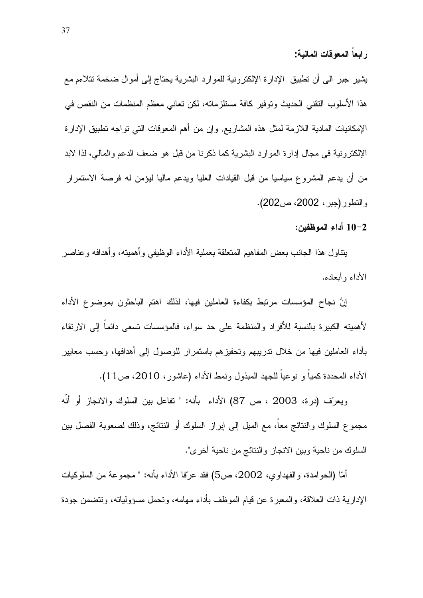يثمير جبر الى أن تطبيق الإدارة الإلكترونية للموارد البشرية يحتاج إلى أموال ضخمة تتلاءم مع هذا الأسلوب النقنـي الـحديث وتوفير كـافة مستلزماتـه، لكن تعانـي معظم المنظمات من النقص فـي الإمكانيات المادية الـلازمة لمثل هذه المشاريع. وإن من أهم المعوقات التي تواجه نطبيق الإدارة الإلكترونية في مجال إدارة الموارد البشرية كما ذكرنا من قبل هو ضعف الدعم والمالي، لذا لابد من أن يدعم المشروع سياسيا من قبل القيادات العليا ويدعم ماليا ليؤمن له فرصة الاستمرار والنطور (جبر، 2002، ص202).

10-2 أداء الموظفين:

يتناول هذا الجانب بعض المفاهيم المتعلقة بعملية الأداء الوظيفي وأهميته، وأهدافه وعناصر الأداء و أبعاده.

إنَّ نجاح المؤسسات مرتبط بكفاءة العاملين فيها، لذلك اهتم الباحثون بموضوع الأداء لأهميته الكبيرة بالنسبة للأفراد والمنظمة على حد سواء، فالمؤسسات تسعى دائما إلى الارتقاء بأداء العاملين فيها من خلال تدريبهم وتحفيزهم باستمرار للوصول إلىي أهدافها، وحسب معايير الأداء المحددة كميا و نوعيا للجهد المبذول ونمط الأداء (عاشور، 2010، ص1 $1$ ).

ويعرّف (درة، 2003 ، ص 87) الأداء بأنه: " تفاعل بين السلوك والانجاز أو أنّه مجموع السلوك والنتائج معا، مع الميل إلى إبراز السلوك أو النتائج، وذلك لصعوبة الفصل بين السلوك من ناحية وبين الانجاز والنتائج من ناحية أخرى".

أمّا (الحوامدة، والفهداوي، 2002، ص5) فقد عرّفا الأداء بأنه: " مجموعة من السلوكيات الإدارية ذات العلاقة، والمعبرة عن قيام الموظف بأداء مهامه، وتحمل مسؤولياته، وتتضمن جودة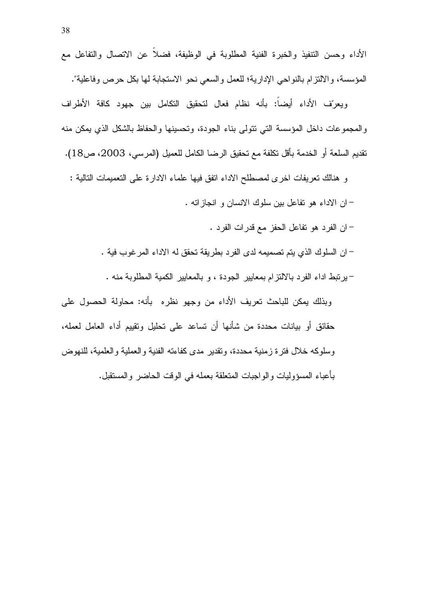ويعرّف الأداء أيضاً: بأنه نظام فعال لتحقيق التكامل بين جهود كافة الأطراف والمجموعات داخل المؤسسة التبي نتولى بناء الجودة، وتحسينها والحفاظ بالشكل الذي يمكن منه نقديم السلعة أو الخدمة بأقل تكلفة مع تحقيق الرضا الكامل للعميل (المرسي، 2003، ص18).

و هنالك نعريفات اخرى لمصطلح الاداء انفق فيها علماء الادارة على النعميمات النالية : – ان الاداء هو نفاعل بين سلوك الانسان و انجازاته .

– ان الفرد هو نفاعل الحفز مع قدرات الفرد .

– ان السلوك الذي يتم تصميمه لدى الفر د بطر يقة تحقق له الاداء المر غوب فية .

- برتبط اداء الفرد بالالتزام بمعايير الجودة ، و بالمعايير الكمية المطلوبة منه .

وبذلك بمكن للباحث تعريف الأداء من وجهو نظره بأنه: محاولة الحصول على حقائق أو بيانات محددة من شأنها أن تساعد على تحليل وتقييم أداء العامل لعمله، وسلوكه خلال فترة زمنية محددة، وتقدير مدى كفاءته الفنية والعملية والعلمية، للنهوض بِأَعبِاءِ المسوَّوليات والواجبات المتعلِّقة بعمله في الوقت الحاضر والمستقبل.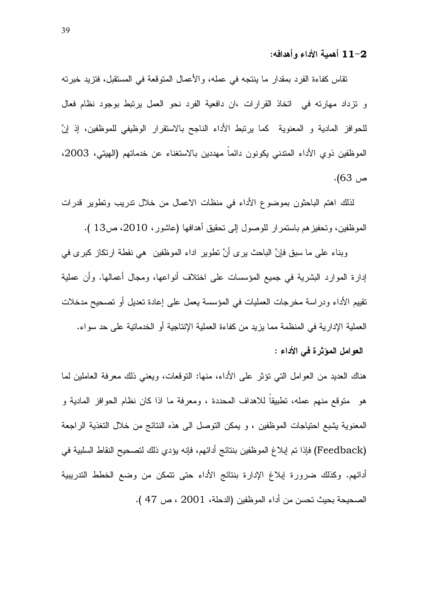11-2 أهمية الأداء وأهدافه:

تقاس كفاءة الفرد بمقدار ما ينتجه في عمله، والأعمال المتوقعة في المستقبل، فتزيد خبرته و نزداد مهارته في اتخاذ القرارات ،ان دافعية الفرد نحو العمل يرتبط بوجود نظام فعال للحوافز المادية و المعنوية كما يرتبط الأداء الناجح بالاستقرار الوظيفي للموظفين، إذ إنَّ الموظفين ذوي الأداء المتدنى يكونون دائماً مهددين بالاستغناء عن خدماتهم (الهيتي، 2003، ص 63).

لذلك اهتم الباحثون بموضوع الأداء في منظات الاعمال من خلال ندريب ونطوير قدرات الموظفين، وتحفيزهم باستمرار للوصول إلى تحقيق أهدافها (عاشور، 2010، ص13 ).

وبناء على ما سبق فإنَّ الباحث بر *ى* أنَّ نطوير اداء الموظفين هي نقطة ارتكاز كبر *ى* في إدارة الموارد البشرية في جميع المؤسسات على اختلاف أنواعها، ومجال أعمالها. وأن عملية تقييم الأداء ودراسة مخرجات العمليات في المؤسسة يعمل على إعادة تعديل أو تصحيح مدخلات العملية الإدارية في المنظمة مما يزيد من كفاءة العملية الإنتاجية أو الخدماتية على حد سواء. العوامل المؤثرة في الأداء :

هناك العديد من العوامل النبي نؤثر على الأداء، منها: النوقعات، ويعني ذلك معرفة العاملين لما هو متوقع منهم عمله، تطبيقا للاهداف المحددة ، ومعرفة ما اذا كان نظام الحوافز المادية و المعنوية يشبع احتياجات الموظفين ، و يمكن التوصل الـي هذه النتائج من خلال التغذية الراجعة (Feedback) فإذا تم إبلاغ الموظفين بنتائج أدائهم، فإنه يؤدي ذلك لتصحيح النقاط السلبية في أدائهم. وكذلك ضرورة إبلاغ الإدارة بنتائج الأداء حتى نتمكن من وضع الخطط التدريبية الصحيحة بحيث تحسن من أداء الموظفين (الدحلة، 2001 ، ص 47 ).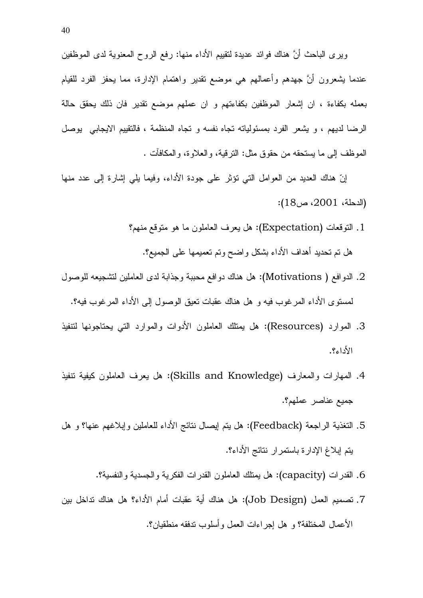ويرى الباحث أنَّ هناك فوائد عديدة لنقييم الأداء منها: رفع الروح المعنوية لدى الموظفين عندما يشعرون أنَّ جهدهم وأعمالهم هي موضع نقدير واهتمام الإدارة، مما يحفز الفرد للقيام بعمله بكفاءة ، ان إشعار الموظفين بكفاءتهم و ان عملهم موضىع تقدير فان ذلك يحقق حالة الرضا لديهم ، و يشعر الفرد بمسئوليانه نجاه نفسه و نجاه المنظمة ، فالنقييم الايجابي يوصل الموظف إلى ما يستحقه من حقوق مثل: الترقية، والعلاوة، والمكافأت .

إنّ هناك العديد من العوامل التي نؤثر على جودة الأداء، وفيما يلي إشارة إلى عدد منها  $\,$  (الدحلة،  $2001$ ، ص $\,$ ):

- 1. التوقعات (Expectation): هل يعرف العاملون ما هو متوقع منهم؟ هل نم تحديد أهداف الأداء بشكل واضح ونم نعميمها على الجميع؟.
- ي الدوافع ( Motivations): هل هناك دوافع محببة وجذابة لدى العاملين لتشجيعه للوصول  $2\,$ لمسنوى الأداء المرغوب فيه و هل هناك عقبات نعيق الوصول إلى الأداء المرغوب فيه؟.
- 3. الموارد (Resources): هل يمثلك العاملون الأدوات والموارد التبي يحتاجونها لتتفيذ  $\mathcal{V}_c$ اء؟
- 4. الممهارات والمعارف (Skills and Knowledge): هل يعرف العاملون كيفية نتفيذ جميع عناصر عملهم؟.
- 5. التغذية الراجعة (Feedback): هل يتم إيصال نتائج الأداء للعاملين وإبلاغهم عنها؟ و هل يتم إبلاغ الإدارة باستمر إر نتائج الأداء؟.
	- 6. القدرات (capacity): هل بمنلك العاملون القدرات الفكرية والحسدية والنفسية؟.
- 7. تصميم العمل (Job Design): هل هناك أية عقبات أمام الأداء؟ هل هناك تداخل بين الأعمال المختلفة؟ و هل إجراءات العمل وأسلوب ندفقه منطقيان؟.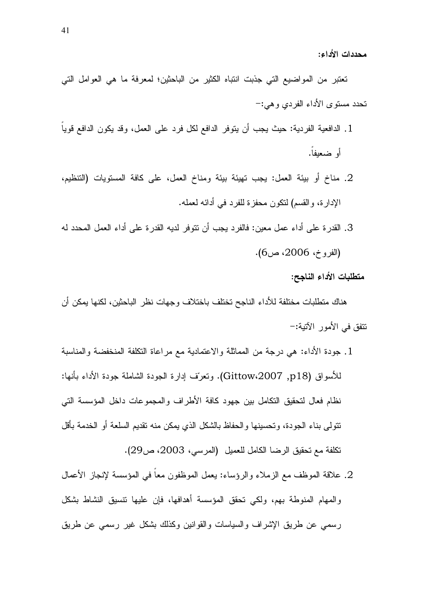تعتبر من المواضيع التي جذبت انتباه الكثير من الباحثين؛ لمعرفة ما هي العوامل التي تحدد مستوى الأداء الفردي وهي:–

- 1. الدافعية الفردية: حيث يجب أن يتوفر الدافع لكل فرد على العمل، وقد يكون الدافع قوياً أو ضعيفاً.
- 2. مناخ أو بيئة العمل: يجب نهيئة بيئة ومناخ العمل، على كافة المستويات (التنظيم، الإدارة، والقسم) لنكون محفزة للفرد في أدائه لعمله.
- 3. القدر ة على أداء عمل معين: فالفرد يجب أن نتوفر لديه القدر ة على أداء العمل المحدد له (الفروخ، 2006، ص6).

متطلبات الأداء الناجح:

هناك متطلبات مختلفة للأداء الناجح تختلف باختلاف وجهات نظر الباحثين، لكنها يمكن أن تتفق في الأمور الآتية:-

- 1. جودة الأداء: هي درجة من المماثلة والاعتمادية مع مراعاة التكلفة المنخفضة والمناسبة للأسواق (Gittow،2007 ,p18). ونعرّف إدارة الجودة الشاملة جودة الأداء بأنها: نظام فعال لتحقيق التكامل بين جهود كافة الأطراف والمجموعات داخل المؤسسة التبي نتولَّى بناء الجودة، وتحسينها والحفاظ بالشكل الذي يمكن منه نقديم السلعة أو الخدمة بأقل تكلفة مع تحقيق الرضا الكامل للعميل (المرسى، 2003، ص29).
- 2. علاقة الموظف مع الزملاء والرؤساء: يعمل الموظفون معاً في المؤسسة لإنجاز الأعمال والمهام المنوطة بهم، ولكى تحقق المؤسسة أهدافها، فإن عليها نتسيق النشاط بشكل رسمي عن طريق الإشراف والسياسات والقوانين وكذلك بشكل غير رسمي عن طريق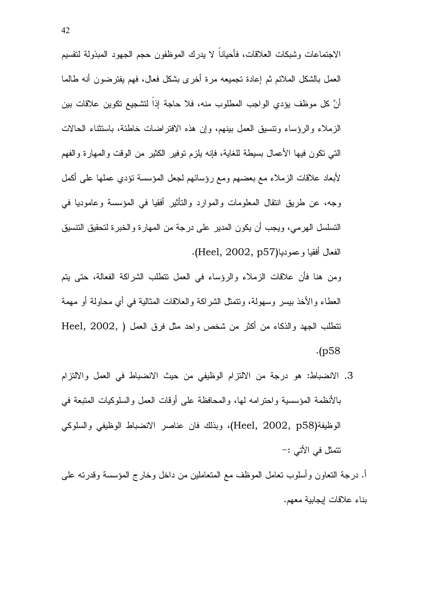الاجتماعات وشبكات العلاقات، فأحياناً لا يدرك الموظفون حجم الجهود المبذولة لتقسيم العمل بالشكل الملائم ثم إعادة تجميعه مرة أخرى بشكل فعال، فهم يفترضون أنه طالما أنَّ كل موظف يؤدي الواجب المطلوب منه، فلا حاجة إذا لتشجيع تكوين علاقات بين الزملاء والرؤساء ونتسبق العمل ببنهم، وإن هذه الافتراضات خاطئة، باستثناء الحالات النَّبِي نكون فيها الأعمال بسيطة للغاية، فإنه يلزم نوفير الكثير من الوقت والمهارة والفهم لأبعاد علاقات الزملاء مع بعضهم ومع رؤسائهم لجعل المؤسسة نؤدي عملها على أكمل وجه، عن طريق انتقال المعلومات والموارد والتأثير أفقيا في المؤسسة وعاموديا في التسلسل الهرمي، ويجب أن يكون المدير على درجة من المهارة والخبرة لتحقيق النتسيق الفعال أفقيا و عموديا(Heel, 2002, p57).

ومن هنا فأن علاقات الزملاء والرؤساء في العمل نتطلب الشراكة الفعالة، حتى يتم العطاء والأخذ بيسر وسهولة، ونتمثل الشراكة والعلاقات المثالية في أي محاولة أو مهمة نتطلب الجهد والذكاء من أكثر من شخص واحد مثل فرق العمل ( Heel, 2002, )  $(p58)$ 

- 3. الانضباط: هو درجة من الالتزام الوظيفي من حيث الانضباط في العمل والالتزام بالأنظمة المؤسسية واحترامه لها، والمحافظة على أوقات العمل والسلوكيات المتبعة في الوظيفة(Heel, 2002, p58)، وبذلك فان عناصر الانضباط الوظيفي والسلوكي نتمثل في الأتي :-
- أ. درجة التعاون وأسلوب تعامل الموظف مع المتعاملين من داخل وخارج المؤسسة وقدرته على بناء علاقات إيجابية معهم.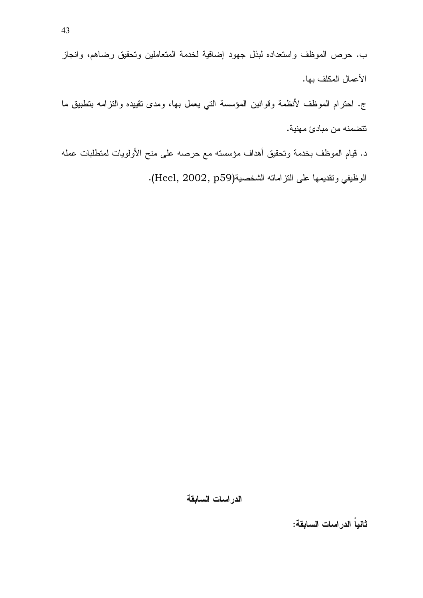ب. حرص الموظف واستعداده لبذل جهود إضافية لخدمة المتعاملين وتحقيق رضاهم، وانجاز الأعمال المكلف بها.

ج. احترام الموظف لأنظمة وقوانين المؤسسة التي يعمل بها، ومدى نقييده والنزامه بتطبيق ما تتضمنه من مبادئ مهنية.

د. قيام الموظف بخدمة وتحقيق أهداف مؤسسته مع حرصه على منح الأولويات لمنطلبات عمله الوظيفي وتقديمها على النزامانه الشخصية(Heel, 2002, p59).

الدراسات السابقة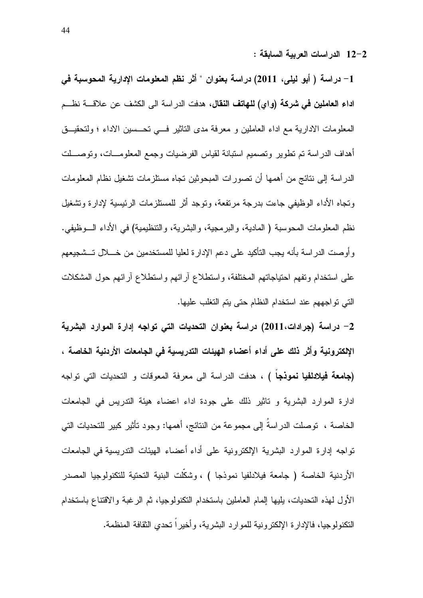12–2 الدراسات العربية السابقة :

1– دراسة ( أبو ليلي، 2011) دراسة بعنوان " أثر نظم المعلومات الإدارية المحوسبة في ا**داء العاملين في شركة (واي) للهاتف النقال،** هدفت الدر اسة الى الكشف عن علاقــــة نظـــم المعلومات الادارية مع اداء العاملين و معرفة مدى التاثير فسى تحسين الاداء ؛ ولتحقيق أهداف الدراسة تم تطوير وتصميم استبانة لقياس الفرضيات وجمع المعلومسات، وتوصسلت الدراسة إلى نتائج من أهمها أن تصورات المبحوثين تجاه مستلزمات تشغيل نظام المعلومات ونجاه الأداء الوظيفي جاءت بدرجة مرتفعة، وتوجد أثر للمستلزمات الرئيسية لإدارة وتشغيل نظم المعلومات المحوسبة ( المادية، والبرمجية، والبشرية، والتنظيمية) في الأداء الـــوظيفي. و أو صت الدر اسة بأنه يجب التأكيد على دعم الإدار ة لعليا للمستخدمين من خــــلال تـــشجيعهم على استخدام ونفهم احتياجاتهم المختلفة، واستطلاع أرائهم واستطلاع أرائهم حول المشكلات التي تواجههم عند استخدام النظام حتى يتم التغلب عليها.

2– دراسة (جرادات،2011) دراسة بعنوان التحديات التي تواجه إدارة الموارد البشرية الإلكترونية وأثر ذلك على أداء أعضاء الهيئات التدريسية في الجامعات الأردنية الخاصة ، **(جامعة فيلادلفيا نموذجا )** ، هدفت الدراسة الى معرفة المعوفات و التحديات التي تواجه ادارة الموارد البشرية و تاثير ذلك على جودة اداء اعضاء هيئة التدريس في الجامعات الخاصة ، توصلت الدراسةُ إلى مجموعة من النتائج، أهمها: وجود تأثير كبير للتحديات التي تواجه إدارة الموارد البشرية الإلكترونية على أداء أعضاء الهيئات الندريسية في الجامعات الأردنية الخاصة ( جامعة فيلادلفيا نموذجا ) ، وشكَّلت البنية التحتية للتكنولوجيا المصدر الأول لهذه التحديات، يليها إلمام العاملين باستخدام النكنولوجيا، ثم الرغبة والاقتناع باستخدام النكنولوجيا، فالإدار ة الإلكتر ونبة للموارد البشربة، و أخبر ا تحدي الثقافة المنظمة.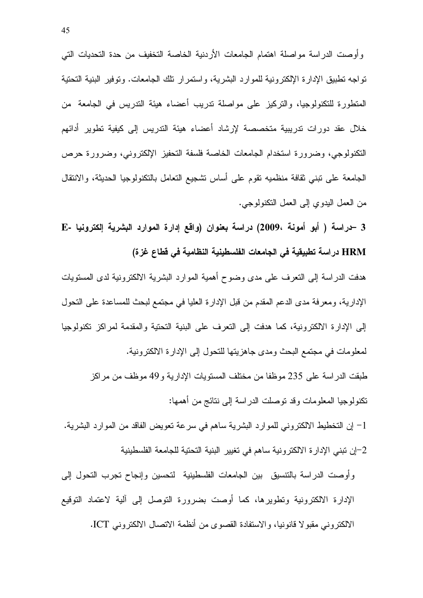و أو صت الدر اسة مو اصلة اهتمام الجامعات الأردنية الخاصة التخفيف من حدة التحديات التي تواجه تطبيق الإدارة الإلكترونية للموارد البشرية، واستمرار تلك الجامعات. وتوفير البنية التحتية المنظورة للنكنولوجيا، والتركيز على مواصلة ندريب أعضاء هيئة الندريس في الجامعة ً من خلال عقد دورات ندريبية متخصصة لإرشاد أعضاء هيئة الندريس إلى كيفية نطوير أدائهم النكنولوجي، وضرورة استخدام الجامعات الخاصة فلسفة التحفيز الإلكتروني، وضرورة حرص الجامعة على نبني ثقافة منظميه نقوم على أساس نشجيع النعامل بالنكنولوجيا الحديثة، والانتقال من العمل البدوي إلى العمل النكنولوجي.

3 -دراسة ( أبو أمونة ،2009) دراسة بعنوان (واقع إدارة الموارد البشرية إلكترونيا -E HRM در اسة تطبيقية في الجامعات الفلسطينية النظامية في قطاع غزة)

هدفت الدراسة إلى النعرف على مدى وضوح أهمية الموارد البشرية الالكترونية لدى المستويات الإدارية، ومعرفة مدى الدعم المقدم من قبل الإدارة العليا في مجتمع لبحث للمساعدة على التحول إلى الإدارة الالكترونية، كما هدفت إلى النعرف على البنية النحتية والمقدمة لمراكز نكنولوجيا لمعلومات في مجتمع البحث ومدى جاهزيتها للتحول إلى الإدارة الالكترونية. طبقت الدراسة على 235 موظفا من مختلف المستويات الإدارية و49 موظف من مراكز

نكنولوجيا المعلومات وقد نوصلت الدراسة إلى ننائج من أهمها:

1– إن التخطيط الالكتروني للموارد البشرية ساهم في سرعة تعويض الفاقد من الموارد البشرية. 2–إن تبني الإدارة الالكترونية ساهم في تغيير البنية التحتية للجامعة الفلسطينية

وأوصت الدراسة بالتتسيق بين الجامعات الفلسطينية لتحسين وإنجاح تجرب التحول إلى الإدارة الالكترونية ونطويرها، كما أوصت بضرورة النوصل إلىي ألية لاعتماد النوقيع الالكتر وني مقبو لا قانونيا، والاستفادة القصوى من أنظمة الاتصال الالكتر وني ICT.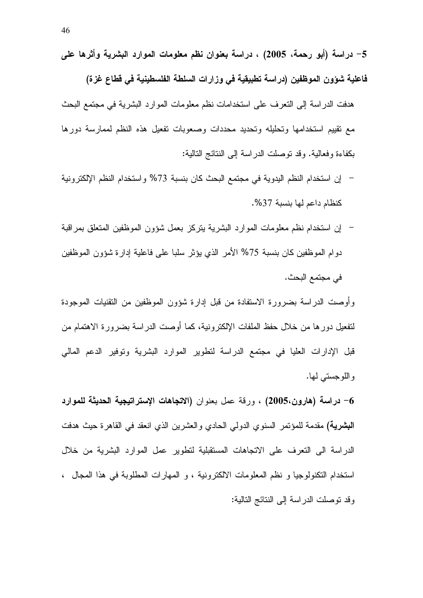- فاعلية شؤون الموظفين (دراسة تطبيقية في وزارات السلطة الفلسطينية في قطاع غزة) هدفت الدراسة إلى التعرف على استخدامات نظم معلومات الموارد البشرية في مجتمع البحث مع نقييم استخدامها وتحليله وتحديد محددات وصعوبات تفعيل هذه النظم لممارسة دورها بكفاءة وفعالية. وقد نوصلت الدراسة إلى النتائج النالية:
- إن استخدام النظم اليدوية في مجتمع البحث كان بنسبة 73% واستخدام النظم الإلكترونية كنظام داعم لها بنسبة 37%.
- إن استخدام نظم معلومات الموارد البشرية بتركز بعمل شؤون الموظفين المتعلق بمراقبة دوام الموظفين كان بنسبة 75% الأمر الذي يؤثر سلبا على فاعلية إدارة شؤون الموظفين في مجتمع البحث.

وأوصت الدراسة بضرورة الاستفادة من قبل إدارة شؤون الموظفين من النقنيات الموجودة لتفعيل دورها من خلال حفظ الملفات الإلكترونية، كما أوصت الدراسة بضرورة الاهتمام من قبل الإدارات العليا في مجتمع الدراسة لتطوير الموارد البشرية وتوفير الدعم المالي و اللو جستے لہا.

6– **دراسة (هارون،2005)** ، ورقة عمل بعنوان **(الاتجاهات الإستراتيجية الحديثة للمو**ارد **البشرية)** مقدمة للمؤتمر السنوي الدولي الحادي والعشرين الذي انعقد في القاهرة حيث هدفت الدراسة الى التعرف على الاتجاهات المستقبلية لتطوير عمل الموارد البشرية من خلال استخدام التكنولوجيا و نظم المعلومات الالكترونية ، و المهارات المطلوبة في هذا المجال ، وقد نوصلت الدراسة إلى النتائج التالية: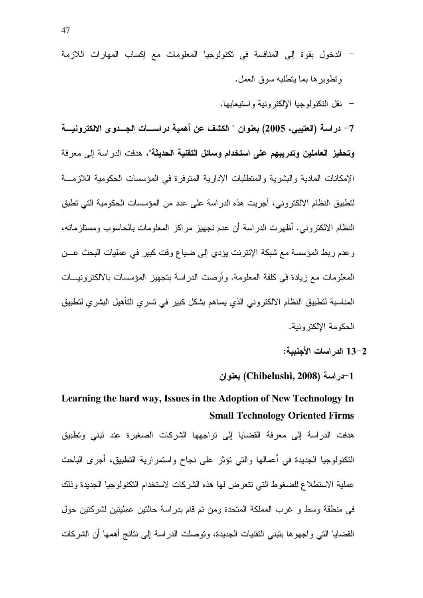- الدخول بقوة إلى المنافسة في تكنولوجيا المعلومات مع إكساب المهارات اللازمة وتطويرها بما يتطلبه سوق العمل.
	- نقل التكنولوجيا الإلكتر ونية واستيعابها.

7– در اسة (العتيبي، 2005) بعنو ان " الكشف عن أهمية در اسسات الجسدو ي الالكتر ونيسة **وتحفيز العاملين وتدريبهم على استخدام وسائل التقنية الحديثة**"، هدفت الدراسة إلى معرفة الإمكانات المادية والبشرية والمنطلبات الإدارية المنوفرة في المؤسسات الحكومية اللازمــة لتطبيق النظام الالكتروني، أجريت هذه الدراسة على عدد من المؤسسات الحكومية التي تطبق النظام الالكتروني. أظهرت الدراسة أن عدم تجهيز مراكز المعلومات بالحاسوب ومستلزماته، وعدم ربط المؤسسة مع شبكة الإنترنت يؤدي إلى ضباع وفت كبير في عمليات البحث عـــن المعلومات مع زيادة في كلفة المعلومة. وأوصت الدراسة بتجهيز المؤسسات بالالكترونيسات المناسبة لتطبيق النظام الالكتروني الذي يساهم بشكل كبير في تسري التأهيل البشري لتطبيق الحكومة الإلكتر ونبة.

لوان (Chibelushi, 2008) بعنوان (Chibelushi

## Learning the hard way, Issues in the Adoption of New Technology In **Small Technology Oriented Firms**

هدفت الدراسة إلى معرفة القضايا إلى نواجهها الشركات الصغيرة عند نبنى ونطبيق النكنولوجيا الجديدة في أعمالها والتي نؤثر على نجاح واستمرارية النطبيق، أجرى الباحث عملية الاستطلاع للضغوط التي نتعرض لها هذه الشركات لاستخدام التكنولوجيا الجديدة وذلك في منطقة وسط و غرب المملكة المتحدة ومن ثم قام بدراسة حالتين عمليتين لشركتين حول القضايا التي واجهوها بتبنى النقنيات الجديدة، وتوصلت الدراسة إلى نتائج أهمها أن الشركات

<sup>13-2</sup> الدراسات الأجنبية: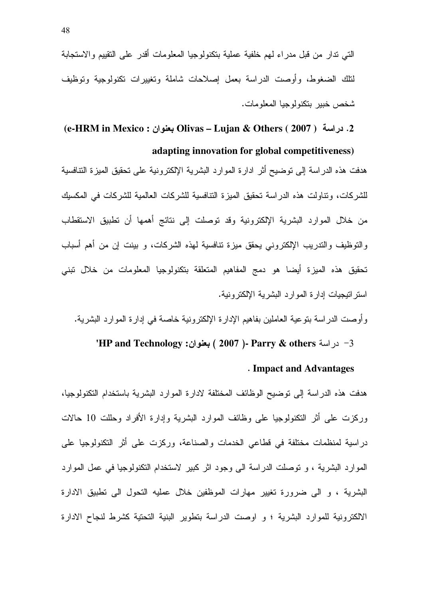التـي ندار من قبل مدراء لـهم خلفية عملية بنكنولوجيا المعلومات أقدر علـي التقييم والاستجابة لتلك الضغوط، وأوصت الدراسة بعمل إصلاحات شاملة وتغييرات نكنولوجية وتوظيف شخص خبير بنكنولوجيا المعلومات.

### **(e-HRM in Mexico : Olivas – Lujan & Others ( 2007 )** - .2

 **adapting innovation for global competitiveness)** هدفت هذه الدراسة إلى توضيح أثر ادارة الموارد البشرية الإلكترونية على تحقيق الميزة التنافسية للشركات، ونتاولت هذه الدراسة تحقيق الميزة النتافسية للشركات العالمية للشركات في المكسيك من خلال الموارد البشرية الإلكترونية وقد توصلت إلى نتائج أهمها أن تطبيق الاستقطاب والتوظيف والندريب الإلكتروني يحقق ميزة نتافسية لمهذه الشركات، و بينت إن من أهم أسباب تحقيق هذه الميزة أيضـا هو دمج المفاهيم المتعلقة بتكنولوجيا المعلومات من خلال تبني استراتيجيات إدارة الموارد البشرية الإلكترونية.

وأوصت الدراسة بتوعية العاملين بفاهيم الإدارة الإلكترونية خاصة في إدارة الموارد البشرية.

#### در اسة **Parry & others ( 2007 )- Parry تدر اسة FIP and Technology ) <b>بعنوان** :

#### . **Impact and Advantages**

هدفت هذه الدراسة إلى نوضيح الوظائف المختلفة لادارة الموارد البشرية باستخدام التكنولوجيا، وركزت على أثر التكنولوجيا على وظائف الموارد البشرية وإدارة الأفراد وحللت 10 حالات دراسية لمنظمات مختلفة في قطاعي الخدمات والصناعة، وركزت على أثر التكنولوجيا على الموارد البشرية ، و توصلت الدراسة الى وجود اثر كبير لاستخدام التكنولوجيا في عمل الموارد البشرية ، و الى ضرورة تغيير مهارات الموظفين خلال عمليه التحول الى تطبيق الادارة الالكترونية للموارد البشرية ؛ و اوصت الدراسة بتطوير البنية التحتية كشرط لنجاح الادارة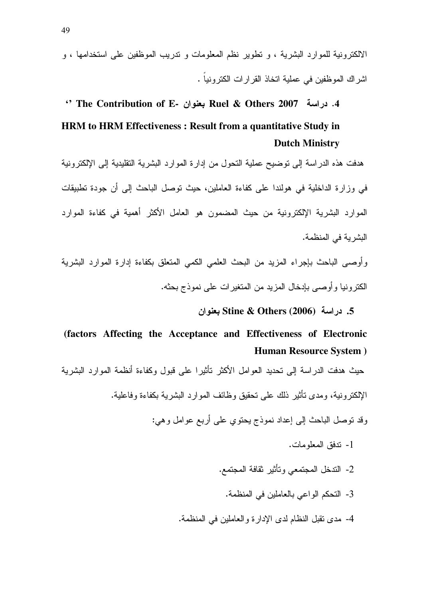الالكترونية للموارد البشرية ، و تطوير نظم المعلومات و ندريب الموظفين على استخدامها ، و اشر اك الموظفين في عملية اتخاذ القرارات الكترونياً .

## 4. دراسة 2007 Ruel & Others بعنوان Ruel & Others . دراسة The Contribution of E HRM to HRM Effectiveness: Result from a quantitative Study in **Dutch Ministry**

هدفت هذه الدر اسة إلى توضيح عملية التحول من إدارة الموارد البشرية التقليدية إلى الإلكترونية في وزارة الداخلية في هولندا على كفاءة العاملين، حيث توصل الباحث إلى أن جودة تطبيقات الموارد البشرية الإلكترونية من حيث المضمون هو العامل الأكثر أهمية في كفاءة الموارد النشر بة في المنظمة.

وأوصىي الباحث بإجراء المزيد من البحث العلمي الكمى المنعلق بكفاءة إدارة الموارد البشرية الكتر ونبا و أو صبي بإدخال المزيد من المتغير ات علي نمو ذج بحثه.

5. دراسة Stine & Others (2006) بعنوان

## (factors Affecting the Acceptance and Effectiveness of Electronic **Human Resource System** )

حيث هدفت الدر اسة إلى تحديد العوامل الأكثر تأثير ا على قبول وكفاءة أنظمة الموارد البشرية الإلكتر ونية، ومدى تأثير ذلك على تحقيق وظائف الموار د البشر بـة بكفاءة وفاعلية.

وقد نوصل الباحث إلى إعداد نموذج يحتوي على أربع عوامل وهي:

- 1- تدفق المعلومات.
- 2- الندخل المجتمعي وتأثير ثقافة المجتمع.
	- 3- التحكم الواعي بالعاملين في المنظمة.
- 4- مدى نقبل النظام لدى الإدار ة و العاملين في المنظمة.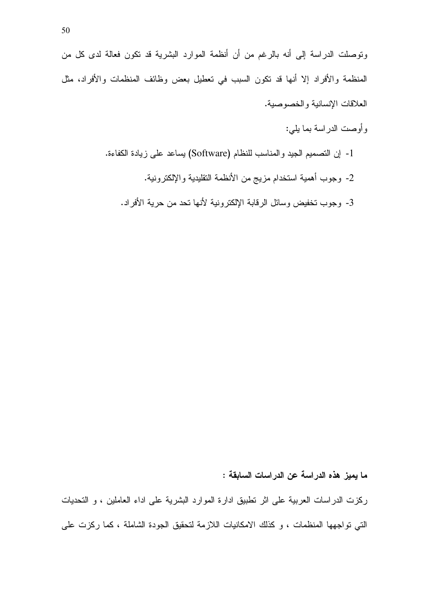وتوصلت الدراسة إلى أنه بالرغم من أن أنظمة الموارد البشرية قد تكون فعالة لدى كل من المنظمة والأفراد إلا أنها قد نكون السبب في تعطيل بعض وظائف المنظمات والأفراد، مثل العلاقات الإنسانية والخصوصية.

- وأوصت الدراسة بما يلي:
- 1- إن التصميم الجيد والمناسب للنظام (Software) يساعد على زيادة الكفاءة.
	- 2- وجوب أهمية استخدام مزيج من الأنظمة التقليدية والإلكترونية.
	- 3- وجوب تخفيض وسائل الرقابة الإلكترونية لأنها تحد من حرية الأفراد.

ما يميز. هذه الدراسة عن الدراسات السابقة :

ركزت الدراسات العربية على اثر نطبيق ادارة الموارد البشرية على اداء العاملين ، و التحديات التي تواجهها المنظمات ، و كذلك الامكانيات اللازمة لتحقيق الجودة الشاملة ، كما ركزت على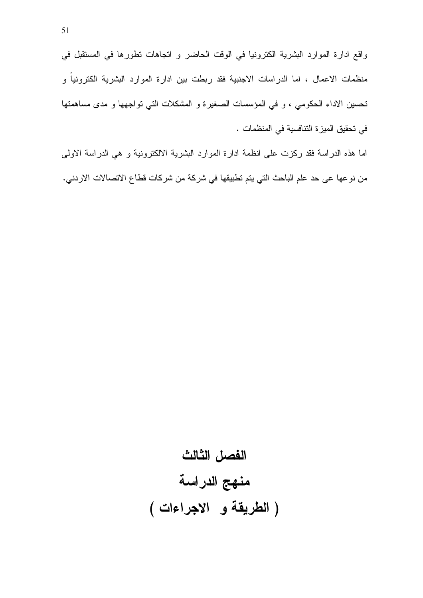واقع ادارة الموارد البشرية الكترونيا في الوقت الحاضر و اتجاهات نطورها في المستقبل في منظمات الاعمال ، اما الدراسات الاجنبية فقد ربطت بين ادارة الموارد البشرية الكترونياً و تحسين الاداء الحكومي ، و في المؤسسات الصغيرة و المشكلات التي تواجهها و مدى مساهمتها في تحقيق الميزة التنافسية في المنظمات .

اما هذه الدراسة فقد ركزت على انظمة ادارة الموارد البشرية الالكترونية و هي الدراسة الاولى من نوعها عي حد علم الباحث التي يتم تطبيقها في شركة من شركات قطاع الاتصالات الاردني.

# الفصل الثالث منهج الدراسة (الطريقة و الاجراءات)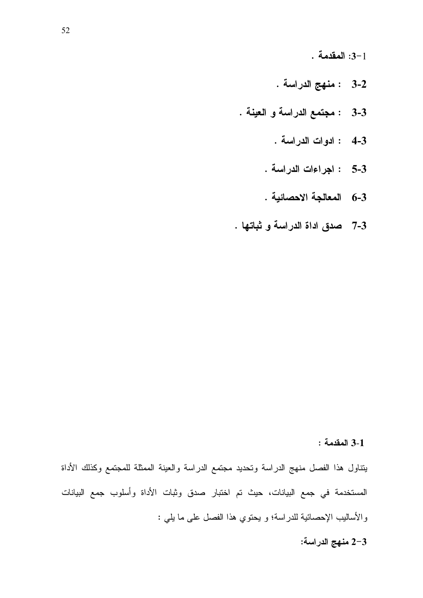$-3-1$  المقدمة:

- 3-2 : منهج الدراسة .
- 3-3 : مجتمع الدراسة والعينة.
	- 4-3 : ادوات الدراسة .
	- 5-3 : اجراءات الدراسة .
	- 6-3 المعالجة الاحصائية .
- 3-7 صدق اداة الدراسة و ثباتها .

#### 3-1 المقدمة:

يتناول هذا الفصل منهج الدراسة وتحديد مجتمع الدراسة والعينة الممثلة للمجتمع وكذلك الأداة المستخدمة في جمع البيانات، حيث تم اختبار صدق وثبات الأداة وأسلوب جمع البيانات والأساليب الإحصائية للدراسة؛ و يحتوي هذا الفصل على ما يلي :

2-3 منهج الدراسة: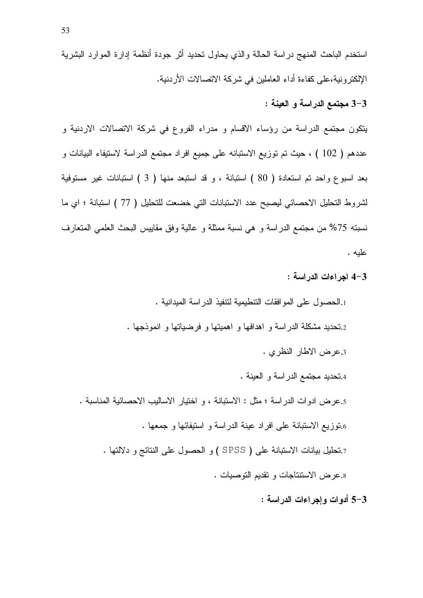استخدم الباحث المنهج در اسة الحالة والذي يحاول تحديد أثر جودة أنظمة إدارة الموارد البشرية الإلكترونية،على كفاءة أداء العاملين في شركة الاتصالات الأردنية.

3-3 مجتمع الدراسة و العينة :

يتكون مجتمع الدراسة من رؤساء الاقسام و مدراء الفروع في شركة الاتصالات الاردنية و عددهم ( 102 ) ، حيث تم توزيع الاستبانه على جميع افراد مجتمع الدراسة لاستيفاء البيانات و بعد اسبوع واحد نم استعادة ( 80 ) استبانة ، و قد استبعد منها ( 3 ) استبانات غير مستوفية لشروط التحليل الاحصائي ليصبح عدد الاستبانات التي خضعت للتحليل ( 77 ) استبانة ؛ اي ما نسبته 75% من مجتمع الدراسة و هي نسبة ممثلة و عالية وفق مقاييس البحث العلمي المتعارف عليه .

3–4 اجراءات الدراسة :

1.الحصول على الموافقات التنطيمية لتنفيذ الدراسة الميدانية . 2.تحديد مشكلة الدراسة و اهدافها و اهميتها و فرضياتها و انموذجها . 3.عرض الاطار النظرى . 4.تحديد مجتمع الدر اسة و العينة . 5.عرض ادوات الدراسة ؛ مثل : الاستبانة ، و اختيار الاساليب الاحصائية المناسبة . 6.توزيع الاستبانة على افراد عينة الدراسة و استيفائها و جمعها . 7.تحليل بيانات الاستبانة على ( SPSS ) و الحصول على النتائج و دلالتها . 8.عرض الاستنتاجات و تقديم التوصيات .

3–5 أدوات وإجراءات الدراسة :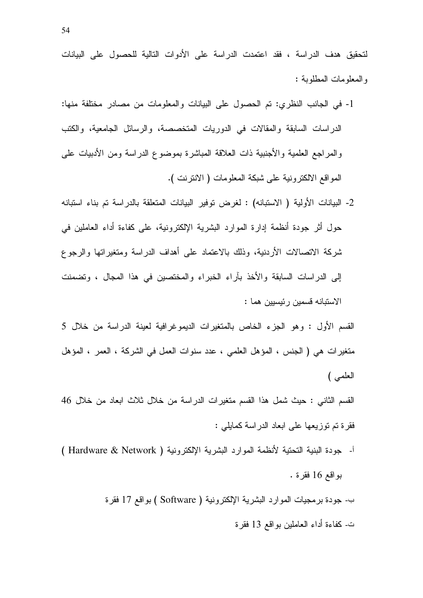لتحقيق هدف الدراسة ، فقد اعتمدت الدراسة على الأدوات التالية للحصول على البيانات والمعلومات المطلوبة :

- 1- في الجانب النظري: تم الحصول على البيانات والمعلومات من مصادر مختلفة منها: الدراسات السابقة والمقالات في الدوريات المتخصصة، والرسائل الجامعية، والكتب والمراجع العلمية والأجنبية ذات العلاقة المباشرة بموضوع الدراسة ومن الأدبيات على المواقع الالكترونية على شبكة المعلومات ( الانترنت ).
- 2- البيانات الأولية ( الاستبانه) : لغرض توفير البيانات المتعلقة بالدراسة تم بناء استبانه حول أثر جودة أنظمة إدارة الموارد البشرية الإلكترونية، على كفاءة أداء العاملين في شركة الاتصالات الأردنية، وذلك بالاعتماد على أهداف الدراسة ومتغيراتها والرجوع إلى الدراسات السابقة والأخذ بآراء الخبراء والمختصبين في هذا المجال ، وتضمنت الاستبانه قسمين رئيسيين هما :

القسم الأول : وهو الجزء الخاص بالمتغيرات الديموغرافية لعينة الدراسة من خلال 5 متغيرات هي ( الجنس ، المؤهل العلمي ، عدد سنوات العمل في الشركة ، العمر ، المؤهل العلمي )

القسم الثاني : حيث شمل هذا القسم متغيرات الدراسة من خلال ثلاث ابعاد من خلال 46 فقرة نم نوزيعها على ابعاد الدراسة كمايلي :

أ- جودة البنية التحتية لأنظمة الموارد البشرية الإلكترونية ( Hardware & Network ) بواقع 16 فقرة .

> ب- جودة برمجيات الموارد البشرية الإلكترونية ( Software ) بواقع 17 فقرة ت- كفاءة أداء العاملين بواقع 13 فقرة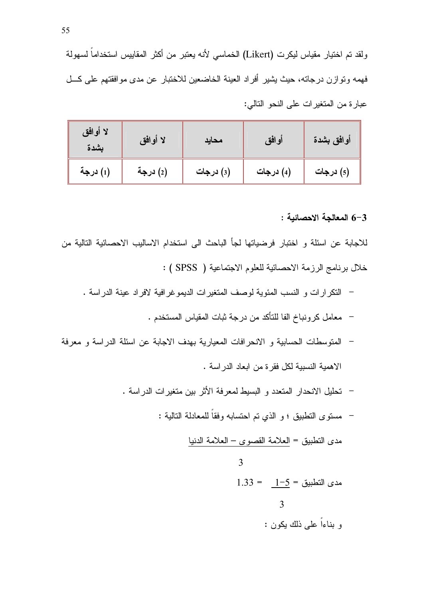| لا أوافق<br>بشدة | لا أوافق | محايد     | أوافق     | أوافق بشدة |
|------------------|----------|-----------|-----------|------------|
| (1) درجة         | (2) درجة | (3) درجات | (4) درجات | (5) درجات  |

3-6 المعالجة الاحصائية :

للاجابة عن اسئلة و اختبار فرضياتها لجأ الباحث الى استخدام الاساليب الاحصائية التالية من خلال برنامج الرزمة الاحصائية للعلوم الاجتماعية ( SPSS ) :

- النكر ار ات و النسب المئوية لوصف المتغير ات الديمو غر افية لافر اد عينة الدر اسة .
	- معامل كرونباخ الفا للتأكد من درجة ثبات المقياس المستخدم .
- المنوسطات الحسابية و الانحرافات المعيارية بهدف الاجابة عن اسئلة الدراسة و معرفة الاهمية النسبية لكل فقرة من ابعاد الدراسة .
	- تحليل الانحدار المتعدد و البسيط لمعرفة الأثر بين متغيرات الدر اسة .
		- مستوى النطبيق ؛ و الذي نم احتسابه وفقاً للمعادلة التالية :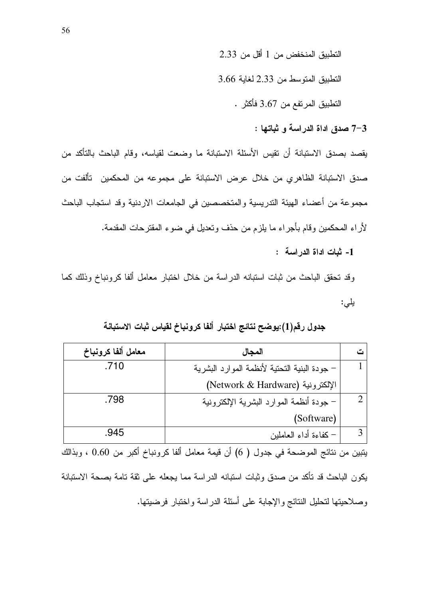التطبيق المنخفض من 1 أقل من 2.33

النطبيق المتوسط من 2.33 لغاية 3.66

التطبيق المرتفع من 3.67 فأكثر .

3-7 صدق اداة الدراسة و ثباتها :

يقصد بصدق الاستبانة أن تقيس الأسئلة الاستبانة ما وضعت لقياسه، وقام الباحث بالتأكد من صدق الاستبانة الظاهري من خلال عرض الاستبانة على مجموعه من المحكمين تألفت من مجموعة من أعضاء الهيئة التدريسية والمتخصصين في الجامعات الاردنية وقد استجاب الباحث لأراء المحكمين وقام بأجراء ما يلزم من حذف وتعديل في ضوء المقترحات المقدمة. 1- ثبات اداة الدر اسة :

وقد تحقق الباحث من ثبات استبانه الدراسة من خلال اختبار معامل ألفا كرونباخ وذلك كما يلي:

### جدول رقم(1):يوضح نتائج اختبار ألفا كرونباخ لقياس ثبات الاستبانة

| معامل ألفا كرونباخ | المجال                                       |  |
|--------------------|----------------------------------------------|--|
| .710               | – جودة البنية التحتية لأنظمة الموارد البشرية |  |
|                    | الإلكترونية (Network & Hardware)             |  |
| .798               | – جودة أنظمة الموارد البشرية الإلكترونية     |  |
|                    | (Software)                                   |  |
| .945               | – كفاءة أداء العاملين                        |  |

يتبين من نتائج الموضحة في جدول ( 6) أن قيمة معامل ألفا كرونباخ أكبر من 0.60 ، وبذالك يكون الباحث قد تأكد من صدق وثبات استبانه الدر اسة مما يجعله على ثقة تامة بصحة الاستبانة وصلاحيتها لنحليل النتائج والإجابة على أسئلة الدراسة واختبار فرضيتها.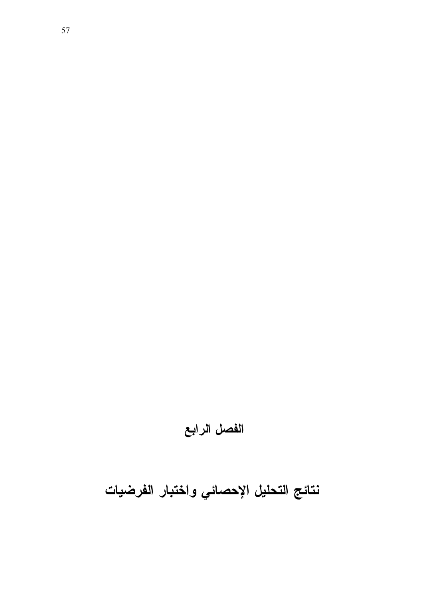# نتائج التحليل الإحصائي واختبار الفرضيات

## الفصل الرابع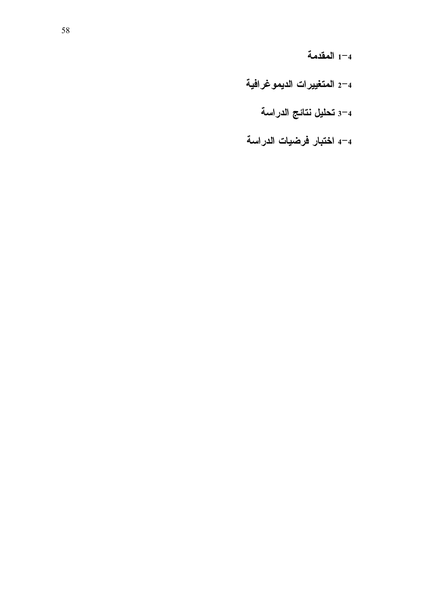المقدمة $^{-4}$ 

- 2-4 المتغييرات الديموغرافية
	- 3–4 تحليل نتائج الدراسة
- 4-4 اختبار فرضيات الدراسة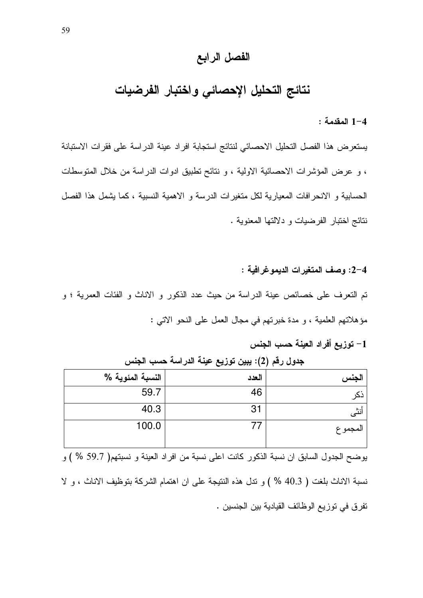#### الفصل الرابع

## نتائج التحليل الإحصائى واختبار الفرضيات

1-4 المقدمة :

يستعرض هذا الفصل التحليل الاحصائي لنتائج استجابة افراد عينة الدراسة على فقرات الاستبانة ، و عرض المؤشرات الاحصائية الاولية ، و نتائح تطبيق ادوات الدراسة من خلال المتوسطات الحسابية و الانحرافات المعيارية لكل متغيرات الدرسة و الاهمية النسبية ، كما يشمل هذا الفصل نتائج لختبار الفرضيات و دلالتها المعنوية .

2-4: وصف المتغيرات الديموغرافية : تم النعرف على خصائص عينة الدراسة من حيث عدد الذكور و الاناث و الفئات العمرية ؛ و مؤهلاتهم العلمية ، و مدة خبرتهم في مجال العمل على النحو الاتي :

1– توزيع أفراد العينة حسب الجنس

| الجنس                                        | العدد | النسبة المئوية %                                                                        |
|----------------------------------------------|-------|-----------------------------------------------------------------------------------------|
| نكر                                          | 46    | 59.7                                                                                    |
| أنثى                                         | 31    | 40.3                                                                                    |
| المجمو ع                                     | 77    | 100.0                                                                                   |
|                                              |       |                                                                                         |
|                                              |       | يوضح الجدول السابق ان نسبة الذكور كانت اعلى نسبة من افراد العينة و نسبتهم( 59.7 % ) و   |
|                                              |       | نسبة الاناث بلغت ( 40.3 % ) و ندل هذه النتيجة على ان اهتمام الشركة بتوظيف الاناث ، و لا |
| نفرق في توزيع الوظائف القيادية بين الجنسين . |       |                                                                                         |

جدول رقم (2): يبين توزيع عينة الدراسة حسب الجنس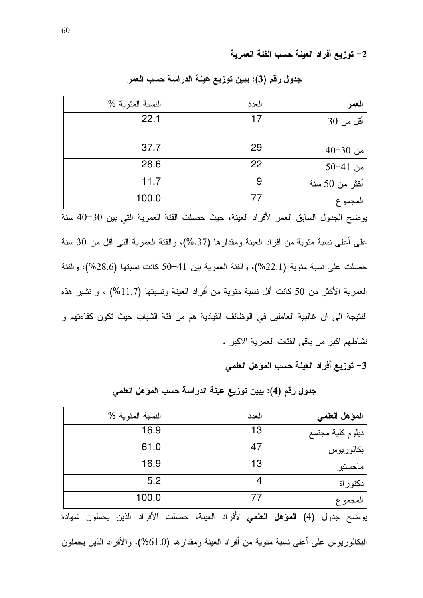2– توزيع أفراد العينة حسب الفئة العمرية

| العمر          | العدد                                                                                  | النسبة المئوية %                                                                               |
|----------------|----------------------------------------------------------------------------------------|------------------------------------------------------------------------------------------------|
| أقل من 30      | 17                                                                                     | 22.1                                                                                           |
|                |                                                                                        |                                                                                                |
| من 30−40       | 29                                                                                     | 37.7                                                                                           |
| من 41-50       | 22                                                                                     | 28.6                                                                                           |
| أكثر من 50 سنة | 9                                                                                      | 11.7                                                                                           |
| المجموع        | 77                                                                                     | 100.0                                                                                          |
|                |                                                                                        | يوضح الجدول السابق العمر لأفراد العينة، حيث حصلت الفئة العمرية التي بين 30–40 سنة              |
|                |                                                                                        | علَّـى أُعلِّـى نسبة مئوية من أفراد العينة ومقدارها (37.%)، والفئة العمرية التبي أقل من 30 سنة |
|                |                                                                                        | حصلت على نسبة مئوية (22.1%)، والفئة العمرية بين 41–50 كانت نسبتها (28.6%)، والفئة              |
|                |                                                                                        | العمرية الأكثر من 50 كانت أقل نسبة مئوية من أفراد العينة ونسبتها (11.7%) ، و نشير هذه          |
|                | النتيجة الى ان غالبية العاملين في الوظائف القيادية هم من فئة الشباب حيث تكون كفاءتهم و |                                                                                                |

جدول رقم (3): يبين توزيع عينة الدراسة حسب العمر

نشاطهم اكبر من باقي الفئات العمرية الاكبر .

3– توزيع أفراد العينة حسب المؤهل العلمى

جدول رقم (4): يبين توزيع عينة الدراسة حسب المؤهل العلمي

| المؤهل العلمى                                                                                                                       | العدد                                     | النسبة المئوية %                      |
|-------------------------------------------------------------------------------------------------------------------------------------|-------------------------------------------|---------------------------------------|
| دبلوم كلية مجتمع                                                                                                                    | 13                                        | 16.9                                  |
| بكالوريوس                                                                                                                           | 47                                        | 61.0                                  |
| ماجستير                                                                                                                             | 13                                        | 16.9                                  |
| دكتور اة                                                                                                                            | 4                                         | 5.2                                   |
| المجموع                                                                                                                             | 77                                        | 100.0                                 |
| $\mathbf{r}$ and $\mathbf{r}$ are $\mathbf{r}$ and $\mathbf{r}$ and $\mathbf{r}$ are $\mathbf{r}$ and $\mathbf{r}$ are $\mathbf{r}$ | $\mathcal{L} = \mathcal{L} = \mathcal{L}$ | $\sim 10$ $\mu$ $\sim 10$<br>$\cdots$ |

يوضح جدول (4) ا**لمؤهل العلمي** لأفراد العينة، حصلت الأفراد الذين يحملون شهادة

البكالوريوس على أعلى نسبة مئوية من أفراد العينة ومقدارها (61.0%). والأفراد الذين يحملون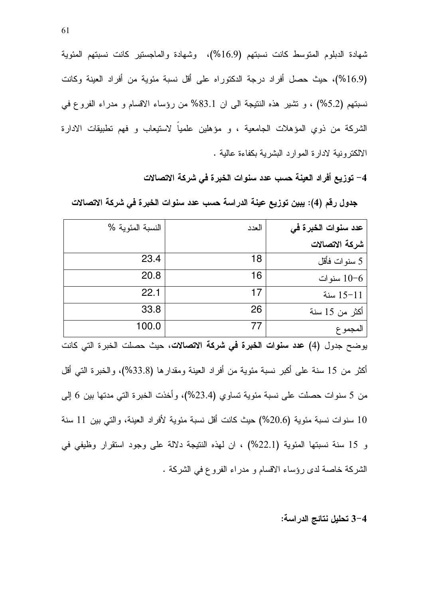شهادة الدبلوم المتوسط كانت نسبتهم (16.9%)، وشهادة والماجستير كانت نسبتهم المئوية (16.9%)، حيث حصل أفراد درجة الدكتوراه على أقل نسبة مئوية من أفراد العينة وكانت نسبتهم (5.2%) ، و تشير هذه النتيجة الى ان 83.1% من رؤساء الاقسام و مدراء الفروع في الشركة من ذوي المؤهلات الجامعية ، و مؤهلين علمياً لاستيعاب و فهم تطبيقات الادارة الالكترونية لادارة الموارد البشرية بكفاءة عالية .

4– توزيع أفراد العينة حسب عدد سنوات الخبرة في شركة الاتصالات

جدول رقم (4): يبين توزيع عينة الدراسة حسب عدد سنوات الخبرة في شركة الاتصالات

| النسبة المئوية %                                                                    | العدد | عدد سنوات الخبرة في                                                                   |  |  |  |
|-------------------------------------------------------------------------------------|-------|---------------------------------------------------------------------------------------|--|--|--|
|                                                                                     |       | شركة الاتصالات                                                                        |  |  |  |
| 23.4                                                                                | 18    | 5 سنوات فأقل                                                                          |  |  |  |
| 20.8                                                                                | 16    | 10-6 سنوات                                                                            |  |  |  |
| 22.1                                                                                | 17    | $15 - 11$ سنة                                                                         |  |  |  |
| 33.8                                                                                | 26    | أكثر من 15 سنة                                                                        |  |  |  |
| 100.0                                                                               | 77    | المجموع                                                                               |  |  |  |
| يوضح جدول (4) <b>عدد سنوات الخبرة في شركة الاتصالات</b> ، حيث حصلت الخبرة التي كانت |       |                                                                                       |  |  |  |
|                                                                                     |       | أكثر من 15 سنة على أكبر نسبة مئوية من أفراد العينة ومقدارها (33.8%)، والخبرة التي أقل |  |  |  |
|                                                                                     |       | من 5 سنوات حصلت على نسبة مئوية تساوي (23.4%)، وأخذت الخبرة التي مدتها بين 6 إلى       |  |  |  |
| 10 سنوات نسبة مئوية (20.6%) حيث كانت أقل نسبة مئوية لأفراد العينة، والتي بين 11 سنة |       |                                                                                       |  |  |  |
|                                                                                     |       | و 15 سنة نسبتها المئوية (22.1%) ، ان لمهذه النتيجة دلالة على وجود استقرار وظيفي في    |  |  |  |
|                                                                                     |       | الشركة خاصة لدى رؤساء الاقسام و مدراء الفروع في الشركة .                              |  |  |  |

3-4 تحليل نتائج الدراسة: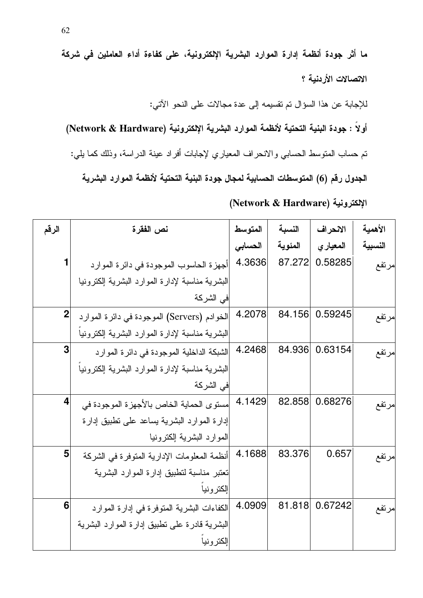ما أثر جودة أنظمة إدارة الموارد البشرية الإلكترونية، على كفاءة أداء العاملين في شركة الاتصالات الأردنية ؟ للإجابة عن هذا السؤال تم تقسيمه إلى عدة مجالات على النحو الآتي: أولاً : جودة البنية التحتية لأنظمة الموارد البشرية الإلكترونية (Network & Hardware) تم حساب المتوسط الحسابي والانحراف المعياري لإجابات أفراد عينة الدراسة، وذلك كما يلي: الجدول رقم (6) المتوسطات الحسابية لمجال جودة البنية التحتية لأنظمة الموارد البشرية

الإلكترونية (Network & Hardware)

| الرقم        | نص الفقرة                                       | المتوسط | النسبة  | الانحراف       | الأهمية |
|--------------|-------------------------------------------------|---------|---------|----------------|---------|
|              |                                                 | الحسابى | المئوية | المعياري       | النسبية |
|              | أجهزة الحاسوب الموجودة في دائرة الموارد         | 4.3636  | 87.272  | 0.58285        | مرتفع   |
|              | البشرية مناسبة لإدارة الموارد البشرية إلكترونيا |         |         |                |         |
|              | في الشركة                                       |         |         |                |         |
| $\mathbf{2}$ | الخوادم (Servers) الموجودة في دائرة الموارد     | 4.2078  |         | 84.156 0.59245 | مرتفع   |
|              | البشرية مناسبة لإدارة الموارد البشرية الكترونيا |         |         |                |         |
| 3            | الشبكة الداخلية الموجودة في دائرة الموارد       | 4.2468  | 84.936  | 0.63154        | مرتفع   |
|              | البشرية مناسبة لإدارة الموارد البشرية إلكترونيا |         |         |                |         |
|              | في الشركة                                       |         |         |                |         |
| 4            | مستوى الحماية الخاص بالأجهزة الموجودة في        | 4.1429  | 82.858  | 0.68276        | مرتفع   |
|              | إدارة الموارد البشرية بساعد على نطبيق إدارة     |         |         |                |         |
|              | الموارد البشرية إلكترونيا                       |         |         |                |         |
| 5            | أنظمة المعلومات الإدارية المتوفرة في الشركة     | 4.1688  | 83.376  | 0.657          | مرتفع   |
|              | نعتبر مناسبة لنطبيق إدارة الموارد البشرية       |         |         |                |         |
|              | إلكترونيا                                       |         |         |                |         |
| 6            | الكفاءات البشرية المتوفرة في إدارة الموارد      | 4.0909  | 81.818  | 0.67242        | مرتفع   |
|              | البشرية قادرة على نطبيق إدارة الموارد البشرية   |         |         |                |         |
|              | إلكترونيا                                       |         |         |                |         |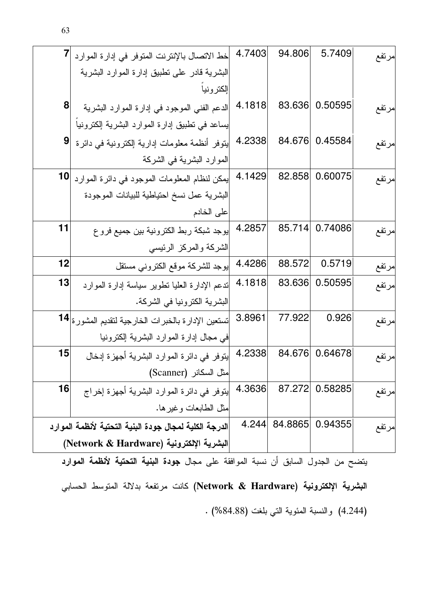|                | خط الاتصال بالإنترنت المتوفر في إدارة الموارد                                             | 4.7403 | 94.806  | 5.7409  | مرتفع  |
|----------------|-------------------------------------------------------------------------------------------|--------|---------|---------|--------|
|                | البشرية قادر على نطبيق إدارة الموارد البشرية                                              |        |         |         |        |
|                | إلكترونيا                                                                                 |        |         |         |        |
| 8              | الدعم الفني الموجود في إدارة الموارد البشرية                                              | 4.1818 | 83.636  | 0.50595 | مرتفع  |
|                | بساعد في نطبيق إدارة الموارد البشرية إلكترونيا                                            |        |         |         |        |
| $\overline{9}$ | ينوفر أنظمة معلومات إدارية إلكترونية فى دائرة                                             | 4.2338 | 84.676  | 0.45584 | مرتفع  |
|                | الموارد البشرية في الشركة                                                                 |        |         |         |        |
|                | يمكن لنظام المعلومات الموجود في دائرة الموارد  10                                         | 4.1429 | 82.858  | 0.60075 | مرتفع  |
|                | البشرية عمل نسخ احتياطية للبيانات الموجودة                                                |        |         |         |        |
|                | على الخادم                                                                                |        |         |         |        |
| 11             | إيوجد شبكة ربط الكترونية بين جميع فروع                                                    | 4.2857 | 85.714  | 0.74086 | مرتفع  |
|                | الشركة والمركز الرئيسى                                                                    |        |         |         |        |
| 12             | إيوجد للشركة موقع الكتروني مستقل                                                          | 4.4286 | 88.572  | 0.5719  | مرتفع  |
| 13             | ندعم الإدارة العليا نطوير سياسة إدارة الموارد                                             | 4.1818 | 83.636  | 0.50595 | مرتفع  |
|                | البشرية الكترونيا في الشركة.                                                              |        |         |         |        |
|                | نستعين الإدارة بالخبرات الخارجية لتقديم المشورة 14                                        | 3.8961 | 77.922  | 0.926   | مرتفع  |
|                | في مجال إدارة الموارد البشرية إلكترونيا                                                   |        |         |         |        |
| 15             | يتوفر في دائرة الموارد البشرية أجهزة إدخال                                                | 4.2338 | 84.676  | 0.64678 | إمرتفع |
|                | مثل السكانر (Scanner)                                                                     |        |         |         |        |
| 16             | يتوفر في دائرة الموارد البشرية أجهزة إخراج                                                | 4.3636 | 87.272  | 0.58285 | مرتفع  |
|                | مثل الطابعات وغير ها.                                                                     |        |         |         |        |
|                | الدرجة الكلية لمجال جودة البنية التحتية لأنظمة الموارد                                    | 4.244  | 84.8865 | 0.94355 | امرتفع |
|                | البشرية الإلكترونية (Network & Hardware)                                                  |        |         |         |        |
|                | يتضح من الجدول السابق أن نسبة الموافقة على مجال <b>جودة البنية التحتية لأنظمة الموارد</b> |        |         |         |        |

البشرية الإلكترونية (Network & Hardware) كانت مرتفعة بدلالة المتوسط الحسابي (4.244) والنسبة المئوية التي بلغت (84.88%) .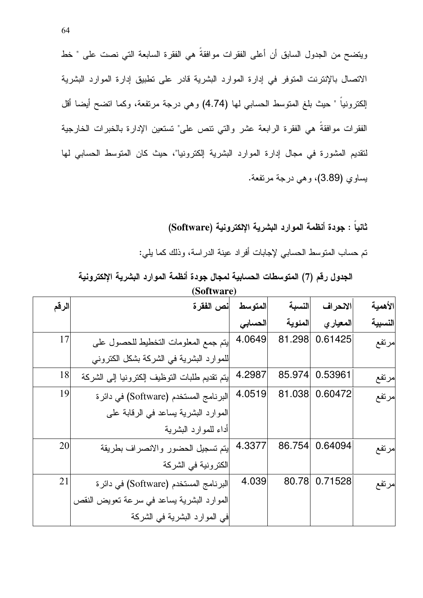ويتضـح من الـجدول السابق أن أعلـي الفقرات موافقة هي الفقرة السابعة التـي نصت علـي " خط الاتصال بالإنترنت المتوفر في إدارة الموارد البشرية قادر على تطبيق إدارة الموارد البشرية إلكترونياً " حيث بلغ المنوسط الحسابي لمها (4.74) وهي درجة مرتفعة، وكما انضح أيضا أقل الفقرات موافقة هي الفقرة الرابعة عشر والتي نتص على" تستعين الإدارة بالخبرات الخارجية لتقديم المشورة في مجال إدارة الموارد البشرية إلكترونيا"، حيث كان المتوسط الحسابي لها يساوي (3.89)، وهي درجة مرتفعة.

> ثانيا : جودة أنظمة الموارد البشرية الإلكترونية (Software) تم حساب المنوسط الحسابي لإجابات أفراد عينة الدراسة، وذلك كما يلي:

الجدول رقم (7) المتوسطات الحسابية لمجال جودة أنظمة الموارد البشرية الإلكترونية **(Software)**

| الرقم | أنص الفقر ة                                    | المتوسط | النسبة  | الانحراف | الأهمية |
|-------|------------------------------------------------|---------|---------|----------|---------|
|       |                                                | الحسابى | المئوية | المعياري | النسبية |
| 17    | ينتم جمع المعلومات النخطيط للحصول على          | 4.0649  | 81.298  | 0.61425  | مرتفع   |
|       | للموارد البشرية في الشركة بشكل الكتروني        |         |         |          |         |
| 18    | ليتم نقديم طلبات التوظيف إلكترونيا إلىي الشركة | 4.2987  | 85.974  | 0.53961  | مرتفع   |
| 19    | البرنامج المستخدم (Software) في دائرة          | 4.0519  | 81.038  | 0.60472  | إمرتفع  |
|       | الموارد البشرية يساعد في الرقابة على           |         |         |          |         |
|       | أداء للموارد البشرية                           |         |         |          |         |
| 20    | يتم تسجيل الحضور والانصراف بطريقة              | 4.3377  | 86.754  | 0.64094  | إمرتفع  |
|       | الكترونية في الشركة                            |         |         |          |         |
| 21    | البرنامج المستخدم (Software) في دائرة          | 4.039   | 80.78   | 0.71528  | امرتفع  |
|       | الموارد البشرية بساعد في سرعة نعويض النقص      |         |         |          |         |
|       | في الموارد البشرية في الشركة                   |         |         |          |         |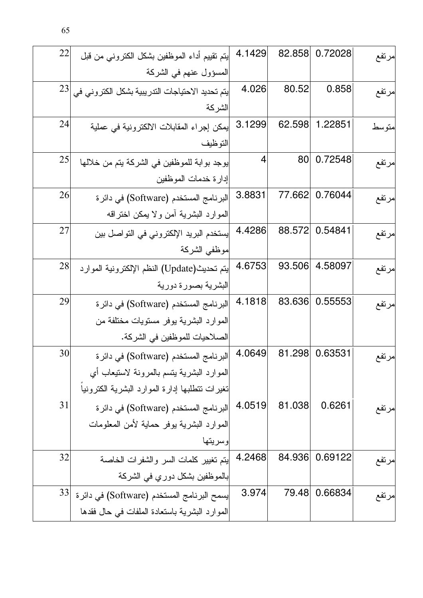| 22 | ليتم نقييم أداء الموظفين بشكل الكتروني من قبل   | 4.1429 | 82.858 | 0.72028 | مرتفع  |
|----|-------------------------------------------------|--------|--------|---------|--------|
|    | المسؤول عنهم في الشركة                          |        |        |         |        |
| 23 | يتم تحديد الاحتياجات الندريبية بشكل الكتروني في | 4.026  | 80.52  | 0.858   | مرتفع  |
|    | الشركة                                          |        |        |         |        |
| 24 | لِمكن إجراء المقابلات الالكترونية في عملية      | 3.1299 | 62.598 | 1.22851 | متوسط  |
|    | التوظيف                                         |        |        |         |        |
| 25 | يوجد بوابة للموظفين في الشركة يتم من خلالها     | 4      | 80     | 0.72548 | مرتفع  |
|    | إدارة خدمات الموظفين                            |        |        |         |        |
| 26 | البرنامج المستخدم (Software) في دائرة           | 3.8831 | 77.662 | 0.76044 | امرتفع |
|    | الموارد البشرية أمن ولا يمكن اختراقه            |        |        |         |        |
| 27 | يستخدم البريد الإلكتروني في التواصل بين         | 4.4286 | 88.572 | 0.54841 | مرتفع  |
|    | موظفى الشركة                                    |        |        |         |        |
| 28 | يتم تحديث(Update) النظم الإلكترونية الموارد     | 4.6753 | 93.506 | 4.58097 | مرتفع  |
|    | البشرية بصورة دورية                             |        |        |         |        |
| 29 | البرنامج المستخدم (Software) في دائرة           | 4.1818 | 83.636 | 0.55553 | مرتفع  |
|    | الموارد البشرية يوفر مستويات مختلفة من          |        |        |         |        |
|    | الصلاحيات للموظفين في الشركة.                   |        |        |         |        |
| 30 | البرنامج المستخدم (Software) في دائرة           | 4.0649 | 81.298 | 0.63531 | مرتفع  |
|    | الموارد البشرية بنسم بالمرونة لاستيعاب أي       |        |        |         |        |
|    | نغيرات نتطلبها إدارة الموارد البشرية الكترونيا  |        |        |         |        |
| 31 | البرنامج المستخدم (Software) في دائرة           | 4.0519 | 81.038 | 0.6261  | امرتفع |
|    | الموارد البشرية بوفر حماية لأمن المعلومات       |        |        |         |        |
|    | وسريتها                                         |        |        |         |        |
| 32 | ايتم نغيير كلمات السر والشفرات الخاصة           | 4.2468 | 84.936 | 0.69122 | مرتفع  |
|    | بالموظفين بشكل دوري في الشركة                   |        |        |         |        |
| 33 | إيسمح البرنامج المستخدم (Software) في دائرة     | 3.974  | 79.48  | 0.66834 | امرتفع |
|    | الموارد البشرية باستعادة الملفات في حال فقدها   |        |        |         |        |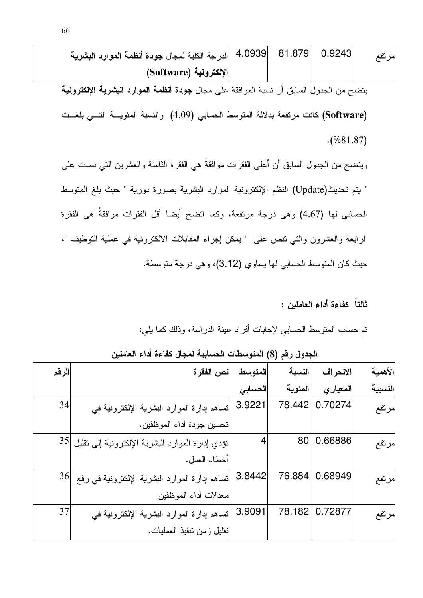-
 - % /! 4.0939 81.879 0.9243 K ( **Software**) - - -
 - % Z/ "\$ 1
 BD '1
 % B WG k0/1 Tk kC 1
 (4.09) T1
 &
 M1 2 ! (**Software**) (%. 81.87) Z/ T B-2 O N" T ] "\$ " Z/D BD '1
 % B WG &
 i/1 [ " N1 -1 ! H (Update)[ " N" T ] "\$ " %D GD WG ! \ 2 T (4.67)  T1 " \ EH / T\$ !M (1" L B! " Z/ - T B-2 21 . &
 T \(3.12) )
  T1
 &
 B! [

ثالثاً كفاءة أداء العاملين :

نم حساب المنوسط الحسابي لإجابات أفراد عينة الدراسة، وذلك كما يلي:

الجدول رقم (8) المتوسطات الحسابية لمجال كفاءة أداء العاملين

| الرقم | نص الفقر ة                                           | المتوسط | النسبة  | الانحراف | الأهمية |
|-------|------------------------------------------------------|---------|---------|----------|---------|
|       |                                                      | الحسابى | المئوية | المعياري | النسبية |
| 34    | نساهم إدارة الموارد البشرية الإلكترونية في           | 3.9221  | 78.442  | 0.70274  | مرتفع   |
|       | تحسين جودة أداء الموظفين.                            |         |         |          |         |
|       | نؤدي إدارة الموارد البشرية الإلكترونية إلى نقليل  35 | 4       | 80      | 0.66886  | إمرتفع  |
|       | أخطاء العمل.                                         |         |         |          |         |
| 36    | نساهم إدارة الموارد البشرية الإلكترونية في رفع       | 3.8442  | 76.884  | 0.68949  | إمرتفع  |
|       | معدلات أداء الموظفين                                 |         |         |          |         |
| 37    | نساهم إدارة الموارد البشرية الإلكترونية في           | 3.9091  | 78.182  | 0.72877  | امرتفع  |
|       | نقليل زمن نتفيذ العمليات.                            |         |         |          |         |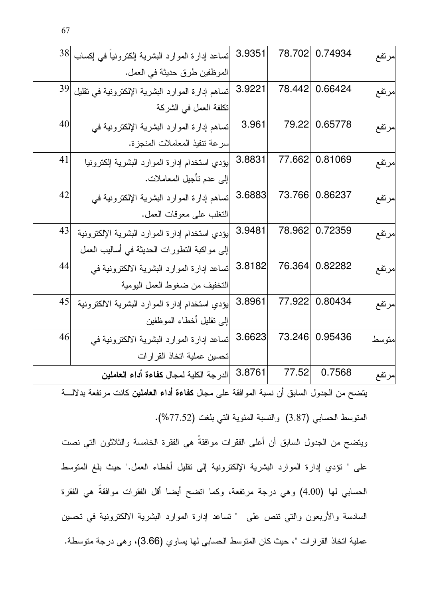| 38 | نساعد إدارة الموارد البشرية إلكترونياً في إكساب  | 3.9351 | 78.702 | 0.74934        | مرتفع |
|----|--------------------------------------------------|--------|--------|----------------|-------|
|    | الموظفين طرق حديثة في العمل.                     |        |        |                |       |
| 39 | نساهم إدارة الموارد البشرية الإلكترونية في نقليل | 3.9221 | 78.442 | 0.66424        | مرتفع |
|    | تكلفة العمل في الشركة                            |        |        |                |       |
| 40 | نساهم إدارة الموارد البشرية الإلكترونية في       | 3.961  | 79.22  | 0.65778        | مرتفع |
|    | سرعة نتفيذ المعاملات المنجزة.                    |        |        |                |       |
| 41 | بؤدي استخدام إدارة الموارد البشرية إلكترونيا     | 3.8831 | 77.662 | 0.81069        | مرتفع |
|    | إلى عدم تأجيل المعاملات.                         |        |        |                |       |
| 42 | نساهم إدارة الموارد البشرية الإلكترونية في       | 3.6883 | 73.766 | 0.86237        | مرتفع |
|    | النغلب على معوفات العمل.                         |        |        |                |       |
| 43 | بؤدي استخدام إدارة الموارد البشرية الإلكترونية   | 3.9481 | 78.962 | 0.72359        | مرتفع |
|    | إلى مواكبة النطورات الحديثة في أساليب العمل      |        |        |                |       |
| 44 | نساعد إدارة الموارد البشرية الالكترونية في       | 3.8182 | 76.364 | 0.82282        | مرتفع |
|    | النخفيف من ضغوط العمل اليومية                    |        |        |                |       |
| 45 | يؤدي استخدام إدارة الموارد البشرية الالكترونية   | 3.8961 |        | 77.922 0.80434 | مرتفع |
|    | إلىي نقليل أخطاء الموظفين                        |        |        |                |       |
| 46 | تساعد إدارة الموارد البشرية الالكترونية في       | 3.6623 | 73.246 | 0.95436        | متوسط |
|    | تحسين عملية اتخاذ القرارات                       |        |        |                |       |
|    | الدرجة الكلية لمجال كفاءة أداء العاملين          | 3.8761 | 77.52  | 0.7568         | مرتفع |
|    |                                                  |        |        |                |       |

يتضح من الجدول السابق أن نسبة الموافقة على مجال **كفاءة أداء العاملين** كانت مرتفعة بدلالــــة

المتوسط الحسابي (3.87) والنسبة المئوية التي بلغت (77.52%).

ويتضـح من الـجدول السابق أن أعلـي الفقرات موافقة هي الفقرة الخامسة والثلاثون التـي نصت على " نؤدي إدارة الموارد البشرية الإلكترونية إلى نقليل أخطاء العمل." حيث بلغ المتوسط الحسابي لمها (4.00) وهي درجة مرتفعة، وكما اتضح أيضا أقل الفقرات موافقة هي الفقرة السادسة والأربعون والتي تنص على " تساعد إدارة الموارد البشرية الالكترونية في تحسين عملية اتخاذ القرارات "، حيث كان المتوسط الحسابي لها يساوي (3.66)، وهي درجة متوسطة.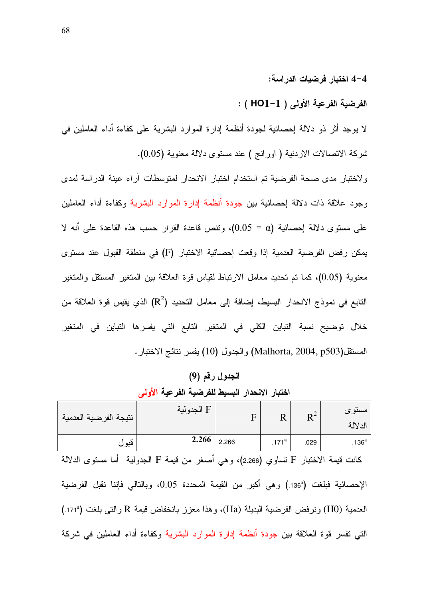#### 4–4 اختبار فرضيات الدراسة:

الفرضية الفرعية الأولى ( HO1−1 ) :

لا يوجد أثَّر ذو دلالة إحصائية لجودة أنظمة إدارة الموارد البشرية على كفاءة أداء العاملين في شركة الاتصالات الاردنية ( اورانج ) عند مستوى دلالة معنوية (0.05).

ولاختبار مدى صحة الفرضية تم استخدام اختبار الانحدار لمتوسطات أراء عينة الدراسة لمدى وجود علاقة ذات دلالة إحصائية بين جودة أنظمة إدارة الموارد البشرية وكفاءة أداء العاملين على مستوى دلالة إحصائية (0.05 = 0.05)، وتتص قاعدة القرار حسب هذه القاعدة على أنه لا بِمكن رفض الفرضية العدمية إذا وقعت إحصائية الاختبار (F) في منطقة القبول عند مستوى معنوية (0.05)، كما تم تحديد معامل الارتباط لقياس قوة العلاقة بين المتغير المستقل والمتغير النابع في نموذج الانحدار البسيط، إضافة إلى معامل النحديد (R2) الذي يقيس قوة العلاقة من خلال توضيح نسبة التباين الكلي في المتغير التابع التي يفسرها التباين في المتغير المستقل(Malhorta, 2004, p503) والجدول (10) يفسر نتائج الاختبار .

الجدول رقم (9) اختبار الانحدار البسيط للفرضية الفرعية الأولى

| الدلالة                                                             | نتيجة الفرضية العدمية |
|---------------------------------------------------------------------|-----------------------|
| 2.266<br>2.266<br>$.171^a$<br>ا قبول<br>$.136^{\mathrm{a}}$<br>.029 |                       |

كانت قيمة الاختبار F تساوي (2.266)، وهي أصغر من قيمة F الجدولية أما مستوى الدلالة الإحصائية فبلغت (136ª.) وهي أكبر من القيمة المحددة 0.05، وبالتالي فإننا نقبل الفرضية العدمية (H0) ونرفض الفرضية البديلة (Ha)، وهذا معزز بانخفاض قيمة R والتبي بلغت (171ª). التي تفسر فوة العلاقة بين جودة أنظمة إدارة الموارد البشرية وكفاءة أداء العاملين في شركة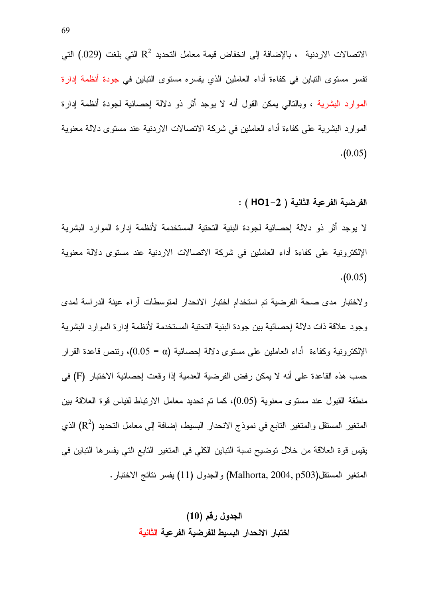الاتصالات الاردنية ، بالإضافة إلى انخفاض قيمة معامل التحديد  $\mathrm{R}^2$  التي بلغت (029.) التي تفسر مستوى التباين في كفاءة أداء العاملين الذي يفسره مستوى التباين في جودة أنظمة إدارة الموارد البشرية ، وبالنالي بمكن القول أنه لا يوجد أثر ذو دلالة إحصائية لجودة أنظمة إدارة الموارد البشرية على كفاءة أداء العاملين في شركة الاتصالات الاردنية عند مستوى دلالة معنوية  $(0.05)$ 

الفرضية الفرعية الثانية ( HO1−2 ) :

لا يوجد أثر ذو دلالة إحصائية لجودة البنية التحتية المستخدمة لأنظمة إدارة الموارد البشرية الإلكترونية على كفاءة أداء العاملين في شركة الاتصالات الاردنية عند مستوى دلالة معنوية  $(0.05)$ 

ولاختبار مدى صحة الفرضية تم استخدام اختبار الانحدار لمتوسطات أراء عينة الدراسة لمدى وجود علاقة ذات دلالة إحصائية بين جودة البنية التحتية المستخدمة لأنظمة إدارة الموارد البشرية الإلكترونية وكفاءة أداء العاملين على مستوى دلالة إحصائية (a = 0.05)، ونتص قاعدة القرار حسب هذه القاعدة على أنه لا يمكن رفض الفرضية العدمية إذا وقعت إحصائية الاختبار (F) في منطقة القبول عند مستوى معنوية (0.05)، كما تم تحديد معامل الارتباط لقياس قوة العلاقة بين المتغير المستقل والمتغير التابع في نموذج الانحدار البسيط، إضافة إلى معامل التحديد  $(\mathrm{R}^2)$  الذي يقيس قوة العلاقة من خلال توضيح نسبة التباين الكلي في المتغير التابع التي يفسر ها التباين في المتغير المستقل(Malhorta, 2004, p503) والجدول (11) يفسر نتائج الاختبار .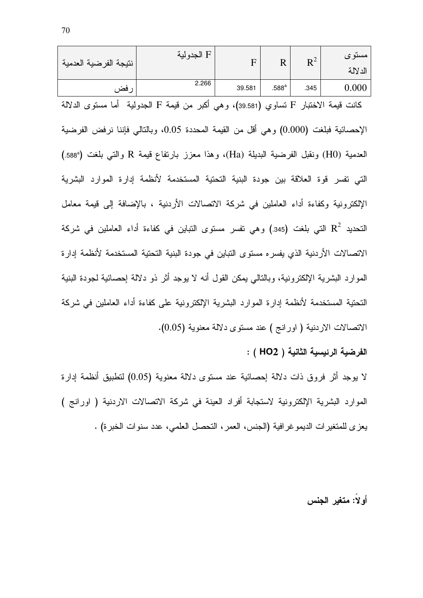| نتيجة الفرضية العدمية                                                                          | F الجدولية                                                                                 |        | $F$ R R <sup>2</sup> |      | مستوى<br>الدلالة |  |
|------------------------------------------------------------------------------------------------|--------------------------------------------------------------------------------------------|--------|----------------------|------|------------------|--|
| رفض                                                                                            | 2.266                                                                                      | 39.581 | $.588^{\mathrm{a}}$  | .345 | 0.000            |  |
|                                                                                                | كانت قيمة الاختبار F نساوي (39.581)، وهي أكبر من قيمة F الجدولية  أما مستوى الدلالة        |        |                      |      |                  |  |
|                                                                                                | الإحصائية فبلغت (0.000) وهي أقل من القيمة المحددة 0.05، وبالتالي فإننا نرفض الفرضية        |        |                      |      |                  |  |
|                                                                                                | العدمية (H0) ونقبل الفرضية البديلة (Ha)، وهذا معزز بارتفاع قيمة R والتي بلغت (588ª)        |        |                      |      |                  |  |
| التي تفسر قوة العلاقة بين جودة البنية التحتية المستخدمة لأنظمة إدارة الموارد البشرية           |                                                                                            |        |                      |      |                  |  |
|                                                                                                | الإلكترونية وكفاءة أداء العاملين في شركة الاتصالات الأردنية ، بالإضافة إلى قيمة معامل      |        |                      |      |                  |  |
| النحديد $\mathbf{R}^2$ التي بلغت (345.) وهي نفسر مستوى التباين في كفاءة أداء العاملين في شركة  |                                                                                            |        |                      |      |                  |  |
| الاتصالات الأردنية الذي يفسره مستوى التباين في جودة البنية التحتية المستخدمة لأنظمة إدارة      |                                                                                            |        |                      |      |                  |  |
| الموارد البشرية الإلكترونية، وبالنالي يمكن القول أنه لا يوجد أثر ذو دلالة إحصائية لجودة البنية |                                                                                            |        |                      |      |                  |  |
|                                                                                                | التحتية المستخدمة لأنظمة إدارة الموارد البشرية الإلكترونية على كفاءة أداء العاملين في شركة |        |                      |      |                  |  |
|                                                                                                | الاتصالات الاردنية ( اورانج ) عند مستوى دلالة معنوية (0.05).                               |        |                      |      |                  |  |

الفرضية الرئيسية الثانية ( HO2 ) :

لا يوجد أثر فروق ذات دلالة إحصائية عند مستوى دلالة معنوية (0.05) لنطبيق أنظمة إدارة الموارد البشرية الإلكترونية لاستجابة أفراد العينة في شركة الاتصالات الاردنية ( اورانج ) يعزى للمتغيرات الديمو غرافية (الجنس، العمر ، التحصل العلمي، عدد سنوات الخبرة) .

أولاً: متغير الجنس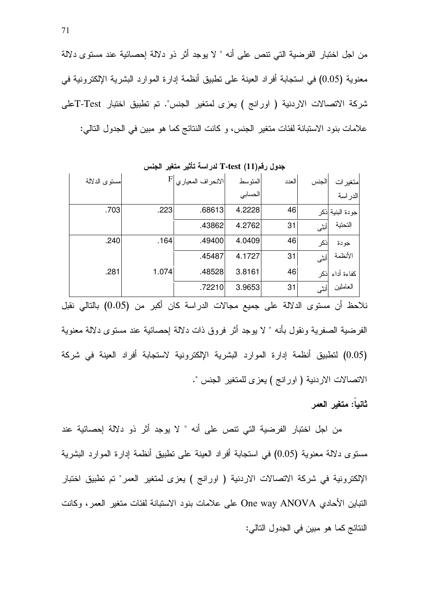من اجل اختبار الفرضية التي تنص على أنه " لا يوجد أثر ذو دلالة إحصائية عند مستوى دلالة معنوية (0.05) في استجابة أفراد العينة على نطبيق أنظمة إدارة الموارد البشرية الإلكترونية في شركة الاتصالات الاردنية ( اورانج ) يعزى لمتغير الجنس". تم تطبيق اختبار Test-Tعلى علامات بنود الاستبانة لفئات متغير الجنس، و كانت النتائج كما هو مبين في الجدول التالي:

|               |      |       |                   | $\cdots$ |       |       |                  |
|---------------|------|-------|-------------------|----------|-------|-------|------------------|
| مستوى الدلالة |      | F     | الانحراف المعياري | المتوسط  | العدد | الجنس | متغير ات         |
|               |      |       |                   | الحسابي  |       |       | الدراسة          |
|               | .703 | .223  | .68613            | 4.2228   | 46    |       | جودة البنية اذكر |
|               |      |       | .43862            | 4.2762   | 31    | أنثى  | التحتية          |
|               | .240 | .164  | .49400            | 4.0409   | 46    | ذكر   | جودة             |
|               |      |       | .45487            | 4.1727   | 31    | أنثى  | الأنظمة          |
|               | .281 | 1.074 | .48528            | 3.8161   | 46    | نکر   | كفاءة أداء       |
|               |      |       | .72210            | 3.9653   | 31    | أنثى  | العاملين         |

**جدول رقم(11) T-test** لدراسة تأثير متغير الجنس

نلاحظ أن مستوى الدلالة على جميع مجالات الدراسة كان أكبر من (0.05) بالتالي نقبل الفرضية الصفرية ونقول بأنه " لا يوجد أثر فروق ذات دلالة إحصائية عند مستوى دلالة معنوية (0.05) لتطبيق أنظمة إدارة الموارد البشرية الإلكترونية لاستجابة أفراد العينة في شركة الاتصالات الاردنية ( اورانج ) يعزى للمتغير الجنس ".

#### ثانياً: متغير العمر

من اجل اختبار الفرضية التي تنص على أنه " لا يوجد أثر ذو دلالة إحصائية عند مستوى دلالة معنوية (0.05) في استجابة أفراد العينة على نطبيق أنظمة إدارة الموارد البشرية الإلكترونية في شركة الاتصالات الاردنية ( اورانج ) يعزى لمتغير العمر" تم تطبيق اختبار النتبابين الأحادي One way ANOVA على علامات بنود الاستبانة لفئات متغير العمر، وكانت النتائج كما هو مبين في الجدول التالي: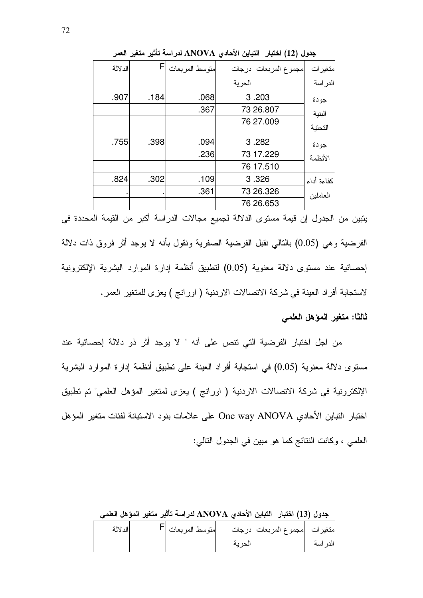|         |      |                |        | جدول (12) اختبار  التباين الأحادي ANOVA لدراسة تأثير متغير العمر |            |
|---------|------|----------------|--------|------------------------------------------------------------------|------------|
| الدلالة | F    | متوسط المربعات | ادرجات | مجموع المربعات                                                   | متغير ات   |
|         |      |                | الحرية |                                                                  | الدراسة    |
| .907    | .184 | .068           |        | 3.203                                                            | جودة       |
|         |      | .367           |        | 73 26.807                                                        | البنية     |
|         |      |                |        | 7627.009                                                         | التحتية    |
| .755    | .398 | .094           |        | 3.282                                                            | جودة       |
|         |      | .236           |        | 73 17.229                                                        | الأنظمة    |
|         |      |                |        | 76 17.510                                                        |            |
| .824    | .302 | .109           |        | 3.326                                                            | كفاءة أداء |
|         |      | .361           |        | 73 26.326                                                        | العاملين   |
|         |      |                |        | 76 26.653                                                        |            |

يتبين من الجدول إن قيمة مستوى الدلالة لجميع مجالات الدراسة أكبر من القيمة المحددة في الفرضية وهي (0.05) بالنالبي نقبل الفرضية الصفرية ونقول بأنه لا يوجد أثر فروق ذات دلالة احصائية عند مستوى دلالة معنوية (0.05) لتطبيق أنظمة إدارة الموارد البشرية الإلكترونية لاستجابة أفراد العينة في شركة الاتصالات الاردنية ( اورانج ) يعزى للمتغير العمر.

ثالثا: متغير المؤهل العلمي

من اجل اختبار الفرضية التي نتص على أنه " لا يوجد أثر ذو دلالة إحصائية عند مستوى دلالة معنوية (0.05) في استجابة أفراد العينة على تطبيق أنظمة إدارة الموارد البشرية الإلكترونية في شركة الاتصالات الاردنية ( اورانج ) يعزى لمتغير المؤهل العلمي" تم تطبيق اختبار النباين الأحادي One way ANOVA على علامات بنود الاستبانة لفئات متغير المؤهل العلمي ، وكانت النتائج كما هو مبين في الجدول التالي:

جدول (13) اختبار التباين الأحادي ANOVA لدراسة تأثير متغير المؤهل العلمي

| الدلالة | متوسط المربعات   <sup>1</sup> |        | متغيرات مجموع المربعات درجات |          |
|---------|-------------------------------|--------|------------------------------|----------|
|         |                               | الحرية |                              | الدر اسة |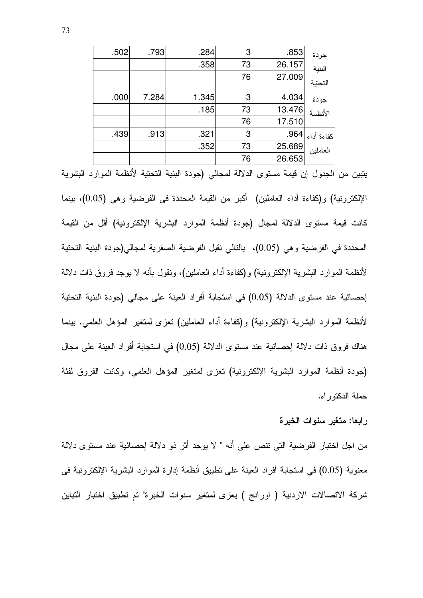| جودة             | .853   | 3  | .284  | .793  | .502 |
|------------------|--------|----|-------|-------|------|
| البنية           | 26.157 | 73 | .358  |       |      |
| التحتية          | 27.009 | 76 |       |       |      |
| جودة             | 4.034  | 3  | 1.345 | 7.284 | .000 |
| الأنظمة          | 13.476 | 73 | .185  |       |      |
|                  | 17.510 | 76 |       |       |      |
| كفاءة أداء  964. |        | 3  | .321  | .913  | .439 |
| العاملين         | 25.689 | 73 | .352  |       |      |
|                  | 26.653 | 76 |       |       |      |

يتبين من الجدول إن فيمة مستوى الدلالة لمجالي (جودة البنية التحتية لأنظمة الموارد البشرية الإلكترونية) و(كفاءة أداء العاملين) أكبر من القيمة المحددة في الفرضية وهي (0.05)، بينما كانت قيمة مستوى الدلالة لمجال (جودة أنظمة الموارد البشرية الإلكترونية) أقل من القيمة المحددة في الفرضية وهي (0.05)، بالنالي نقبل الفرضية الصفرية لمجالي(جودة البنية التحتية لأنظمة الموارد البشرية الإلكترونية) و(كفاءة أداء العاملين)، ونقول بأنه لا يوجد فروق ذات دلالة إحصائية عند مستوى الدلالة (0.05) في استجابة أفراد العينة على مجالي (جودة البنية التحتية لأنظمة الموارد البشرية الإلكترونية) و(كفاءة أداء العاملين) نعزى لمتغير المؤهل العلمي. ببنما هناك فروق ذات دلالة إحصائية عند مستوى الدلالة (0.05) في استجابة أفراد العينة على مجال (جودة أنظمة الموارد البشرية الإلكترونية) تعزى لمتغير المؤهل العلمي، وكانت الفروق لفئة حملة الدكتوراه.

#### رابعا: متغير سنوات الخبرة

من اجل اختبار الفرضية التي تتص على أنه " لا يوجد أثر ذو دلالة إحصائية عند مستوى دلالة معنوية (0.05) في استجابة أفراد العينة على تطبيق أنظمة إدارة الموارد البشرية الإلكترونية في شركة الاتصالات الاردنية ( اورانج ) يعزى لمتغير سنوات الخبرة" تم تطبيق اختبار التباين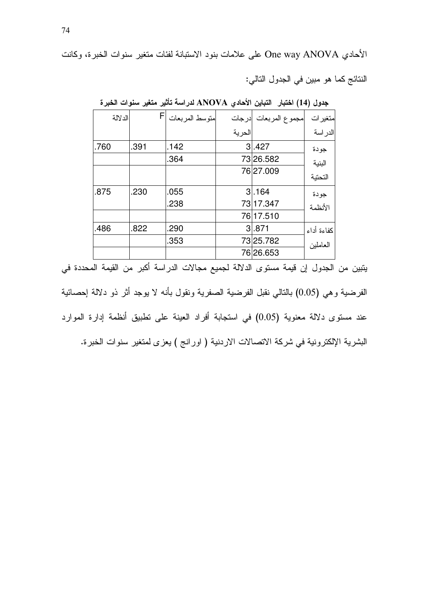الأحادي One way ANOVA على علامات بنود الاستبانة لفئات متغير سنوات الخبرة، وكانت

النتائج كما هو مبين في الجدول التالي:

|      | الدلالة |      | FI | متوسط المربعات |        | مجموع المربعات ادرجات | متغير ات   |
|------|---------|------|----|----------------|--------|-----------------------|------------|
|      |         |      |    |                | الحرية |                       | الدر اسة   |
| .760 |         | .391 |    | .142           |        | 3.427                 | جودة       |
|      |         |      |    | .364           |        | 73 26.582             | البنية     |
|      |         |      |    |                |        | 76 27.009             | التحتية    |
| .875 |         | .230 |    | .055           |        | 31.164                | جودة       |
|      |         |      |    | .238           |        | 73 17.347             | الأنظمة    |
|      |         |      |    |                |        | 76 17.510             |            |
| .486 |         | .822 |    | .290           |        | 3.871                 | كفاءة أداء |
|      |         |      |    | .353           |        | 73 25.782             | العاملين   |
|      |         |      |    |                |        | 76 26.653             |            |

جدول (14) اختبار التباين الأحادي ANOVA لدراسة تأثير متغير سنوات الخبرة

يتبين من الجدول إن قيمة مستوى الدلالة لجميع مجالات الدراسة أكبر من القيمة المحددة في الفرضية و هي (0.05) بالتالي نقبل الفرضية الصفرية ونقول بأنه لا يوجد أثر ذو دلالة إحصائية عند مستوى دلالة معنوية (0.05) في استجابة أفراد العينة على تطبيق أنظمة إدارة الموارد البشرية الإلكترونية في شركة الاتصالات الاردنية ( اورانج ) يعزى لمتغير سنوات الخبرة.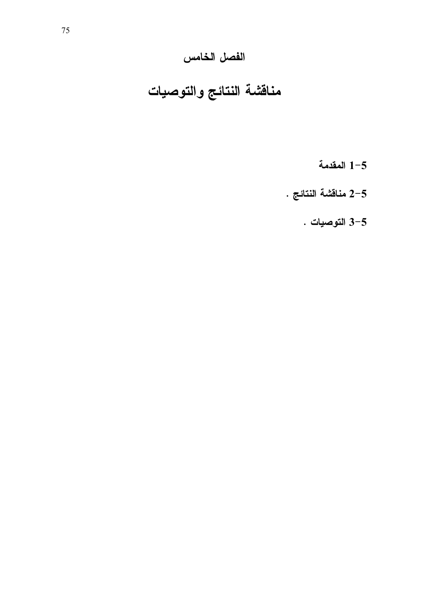# الفصل الخامس

# مناقشة النتائج والتوصيات

- المقدمة $1 5$
- 2-5 منافشة النتائج $\,$  .
	- 3-5 التوصيات .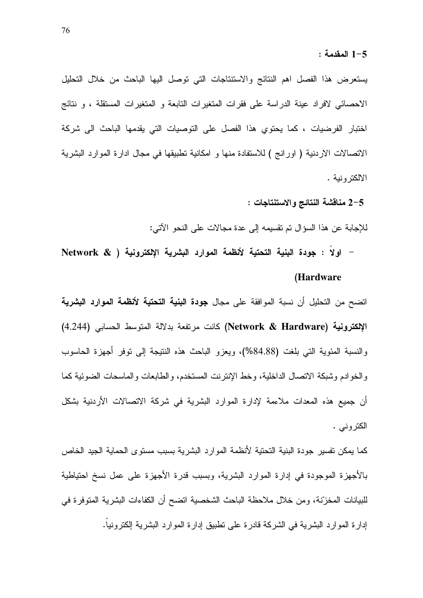يستعرض هذا الفصل اهم النتائج والاستتتاجات التي توصل اليها الباحث من خلال التحليل الاحصائي لافراد عينة الدراسة على فقرات المتغيرات التابعة و المتغيرات المستقلة ، و نتائج اختبار الفرضيات ، كما يحتوى هذا الفصل على التوصيات التي يقدمها الباحث الى شركة الاتصالات الاردنية ( اورانج ) للاستفادة منها و امكانية تطبيقها في مجال ادارة الموارد البشرية الالكتر ونية .

: 2-5 منافشة النتائج والاستنتاجات

للإجابة عن هذا السؤال تم تقسيمه إلى عدة مجالات على النحو الآتي:

- اولاً : جودة البنية التحتية لأنظمة الموارد البشرية الإلكترونية ( @ Network (Hardware

اتضح من التحليل أن نسبة الموافقة على مجال **جودة البنية التحتية لأنظمة الموارد البشرية** الإلكترونية (Network & Hardware) كانت مرتفعة بدلالة المتوسط الحسابي (4.244) والنسبة المئوية التي بلغت (88.88%)، ويعزو الباحث هذه النتيجة إلى توفر أجهزة الحاسوب والخوادم وشبكة الاتصال الداخلية، وخط الإنترنت المستخدم، والطابعات والماسحات الضوئية كما أن جميع هذه المعدات ملاءمة لإدارة الموارد البشرية في شركة الاتصالات الأردنية بشكل الكتروني .

كما يمكن تفسير جودة البنية التحتية لأنظمة الموارد البشرية بسبب مستوى الحماية الجيد الخاص بالأجهزة الموجودة في إدارة الموارد البشرية، وبسبب قدرة الأجهزة على عمل نسخ احتياطية للبيانات المخزِّنة، ومن خلال ملاحظة الباحث الشخصية اتضح أن الكفاءات البشرية المتوفرة في إدارة المو ارد البشرية في الشركة قادرة على نطبيق إدارة الموارد البشرية إلكترونيا.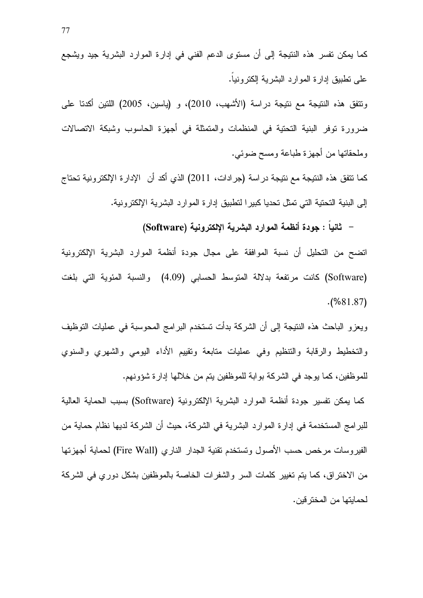كما يمكن نفسر هذه النتيجة إلى أن مستوى الدعم الفني في إدارة الموارد البشرية جيد ويشجع على نطبيق إدارة الموارد البشرية إلكترونيا.

ونتفق هذه النتيجة مع نتيجة دراسة (الأشهب، 2010)، و (ياسين، 2005) اللتين أكدنا على ضرورة توفر البنية التحتية في المنظمات والمتمثلة في أجهزة الحاسوب وشبكة الاتصالات وملحقاتها من أجهزة طباعة ومسح ضوئي.

كما نتفق هذه النتيجة مع نتيجة در اسة (جر ادات، 2011) الذي أكد أن الإدارة الإلكترونية تحتاج إلى البنية التحتية التي تمثل تحديا كبيرا لتطبيق إدارة الموارد البشرية الإلكترونية.

– ثانيا : جودة أنظمة الموارد البشرية الإلكترونية (Software)

اتضح من التحليل أن نسبة الموافقة على مجال جودة أنظمة الموارد البشرية الإلكترونية (Software) كانت مرتفعة بدلالة المتوسط الحسابي (4.09) والنسبة المئوية التي بلغت  $( %81.87)$ 

ويعزو الباحث هذه النتيجة إلى أن الشركة بدأت تستخدم البرامج المحوسبة في عمليات التوظيف والتخطيط والرقابة والتنظيم وفي عمليات متابعة وتقييم الأداء اليومي والشهري والسنوي للموظفين، كما يوجد في الشركة بوابة للموظفين يتم من خلالها إدارة شؤونهم.

كما يمكن تفسير جودة أنظمة الموارد البشرية الإلكترونية (Software) بسبب الحماية العالية للبرامج المستخدمة في إدارة الموارد البشرية في الشركة، حيث أن الشركة لديها نظام حماية من الفيروسات مرخص حسب الأصول وتستخدم تقنية الجدار الناري (Fire Wall) لحماية أجهزتها من الاختراق، كما يتم تغيير كلمات السر والشفرات الخاصة بالموظفين بشكل دوري في الشركة لحمايتها من المخترفين.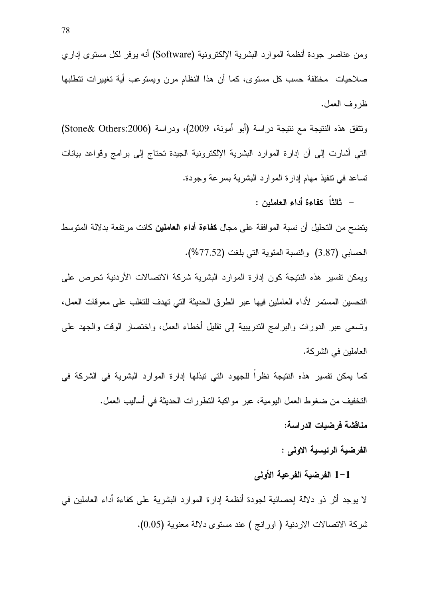ومن عناصر جودة أنظمة الموارد البشرية الإلكترونية (Software) أنه بوفر لكل مستوى إداري صلاحيات مختلفة حسب كل مستوى، كما أن هذا النظام مرن ويستوعب أية نغييرات تتطلبها ظر وف العمل.

ونتفق هذه النتيجة مع نتيجة دراسة (أبو أمونة، 2009)، ودراسة (Stone& Others:2006) التي أشارت إلى أن إدارة الموارد البشرية الإلكترونية الجيدة تحتاج إلى برامج وقواعد بيانات تساعد في نتفيذ مهام إدارة الموارد البشرية بسرعة وجودة.

– ثالثًا كفاءة أداء العاملين :

يتضح من التحليل أن نسبة الموافقة على مجال **كفاءة أداء العاملين** كانت مرتفعة بدلالة المتوسط الحسابي (3.87) والنسبة المئوية التي بلغت (77.52%).

ويمكن نفسير هذه النتيجة كون إدارة الموارد البشرية شركة الاتصالات الأردنية تحرص على التحسين المستمر لأداء العاملين فيها عبر الطرق الحديثة التي تهدف للتغلب على معوقات العمل، ونسعى عبر الدورات والبرامج الندريبية إلى نقليل أخطاء العمل، واختصار الوفت والجهد على العاملين في الشركة.

كما يمكن تفسير هذه النتيجة نظرا للجهود التي تبذلها إدارة الموارد البشرية في الشركة في التخفيف من ضغوط العمل اليومية، عبر مواكبة النطورات الحديثة في أساليب العمل.

مناقشة فرضيات الدراسة:

الفرضية الرئيسية الاولى :

#### 1-1 الفرضية الفرعية الأولى

لا يوجد أثر ذو دلالة إحصائية لجودة أنظمة إدارة الموارد البشرية على كفاءة أداء العاملين في شركة الاتصالات الاردنية ( اورانج ) عند مستوى دلالة معنوية (0.05).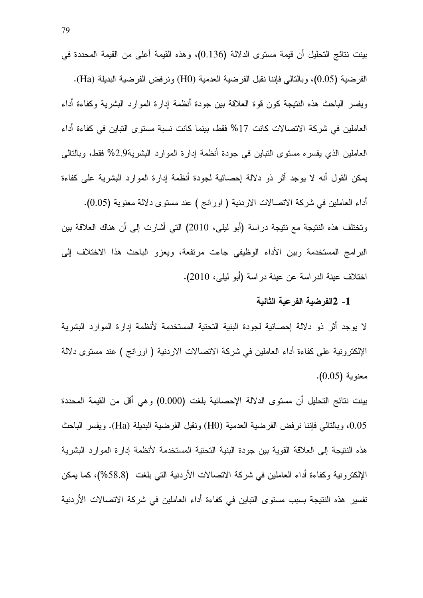بينت نتائج التحليل أن قيمة مستوى الدلالة (0.136)، وهذه القيمة أعلى من القيمة المحددة في الفرضية (0.05)، وبالنالي فإننا نقبل الفرضية العدمية (H0) ونرفض الفرضية البديلة (Ha). ويفسر الباحث هذه النتيجة كون قوة العلاقة بين جودة أنظمة إدارة الموارد البشرية وكفاءة أداء العاملين في شركة الاتصالات كانت 17% فقط، بينما كانت نسبة مستوى التباين في كفاءة أداء العاملين الذي يفسره مسنوى النباين في جودة أنظمة إدارة الموارد البشرية2.9% فقط، وبالنالي يمكن القول أنه لا يوجد أثر ذو دلالة إحصائية لجودة أنظمة إدارة الموارد البشرية على كفاءة أداء العاملين في شركة الاتصالات الاردنية ( اورانج ) عند مستوى دلالة معنوية (0.05). ونختلف هذه النتيجة مع نتيجة دراسة (أبو ليلي، 2010) التي أشارت إلى أن هناك العلاقة بين البرامج المستخدمة وبين الأداء الوظيفي جاءت مرتفعة، ويعزو الباحث هذا الاختلاف إلىي اختلاف عينة الدراسة عن عينة دراسة (أبو ليلبي، 2010).

#### 1- 2الفرضية الفرعية الثانية

لا يوجد أثر ذو دلالة إحصائية لجودة البنية التحتية المستخدمة لأنظمة إدارة الموارد البشرية الإلكترونية على كفاءة أداء العاملين في شركة الاتصالات الاردنية ( اورانج ) عند مستوى دلالة معنوية (0.05).

بينت نتائج التحليل أن مستوى الدلالة الإحصائية بلغت (0.000) وهي أقل من القيمة المحددة 0.05، وبالتالي فابننا نرفض الفرضية العدمية (H0) ونقبل الفرضية البديلة (Ha). ويفسر الباحث هذه النتيجة إلى العلاقة القوية بين جودة البنية التحتية المستخدمة لأنظمة إدارة الموارد البشرية الإلكترونية وكفاءة أداء العاملين في شركة الاتصالات الأردنية التي بلغت (58.8%)، كما يمكن تفسير هذه النتيجة بسبب مستوى التباين في كفاءة أداء العاملين في شركة الاتصالات الأردنية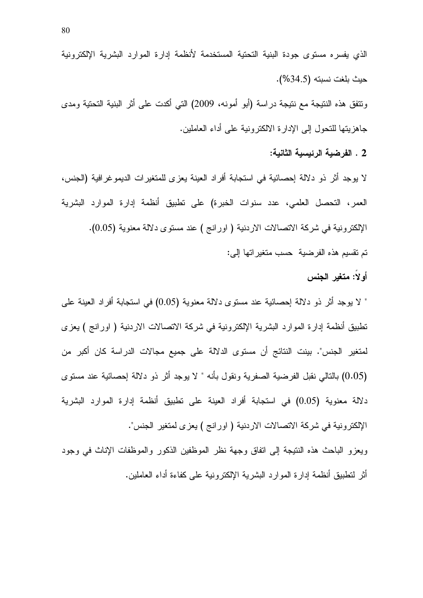ونتفق هذه النتيجة مع نتيجة دراسة (أبو أمونه، 2009) التي أكدت على أثر البنية التحتية ومدى جاهزيتها للنحول إلى الإدارة الالكنرونية على أداء العاملين.

2 . الفرضية الرئيسية الثانية:

لا يوجد أثَّر ذو دلالة إحصائية في استجابة أفراد العينة يعزى للمتغيرات الديموغرافية (الجنس، العمر، التحصل العلمي، عدد سنوات الخبرة) على تطبيق أنظمة إدارة الموارد البشرية الإلكترونية في شركة الاتصالات الاردنية ( اورانج ) عند مستوى دلالة معنوية (0.05). تم تقسيم هذه الفرضية حسب متغيراتها إلى:

أولا: متغير الجنس

" لا يوجد أثر ذو دلالة إحصائية عند مستوى دلالة معنوية (0.05) في استجابة أفراد العينة على تطبيق أنظمة إدارة الموارد البشرية الإلكترونية في شركة الاتصالات الاردنية ( اورانج ) يعزى لمتغير الجنس". بينت النتائج أن مستوى الدلالة على جميع مجالات الدراسة كان أكبر من (0.05) بالتالي نقبل الفرضية الصفرية ونقول بأنه " لا يوجد أثر ذو دلالة إحصائية عند مستوى دلالة معنوية (0.05) في استجابة أفراد العينة على نطبيق أنظمة إدارة الموارد البشرية الإلكترونية في شركة الاتصالات الاردنية ( اورانج ) يعز ى لمتغير الجنس".

ويعزو الباحث هذه النتيجة إلى اتفاق وجهة نظر الموظفين الذكور والموظفات الإناث في وجود أثر لتطبيق أنظمة إدارة الموارد البشرية الإلكترونية على كفاءة أداء العاملين.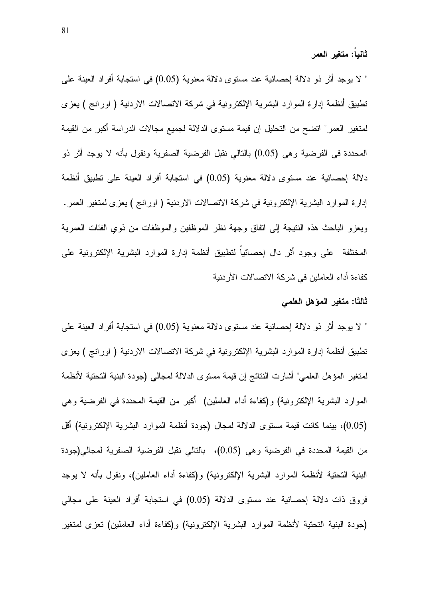" لا يوجد أثر ذو دلالة إحصائية عند مستوى دلالة معنوية (0.05) في استجابة أفراد العينة على تطبيق أنظمة إدارة الموارد البشرية الإلكترونية في شركة الاتصالات الاردنية ( اورانج ) يعزى لمتغير العمر" اتضح من التحليل إن قيمة مستوى الدلالة لجميع مجالات الدراسة أكبر من القيمة المحددة في الفرضية وهي (0.05) بالتالي نقبل الفرضية الصفرية ونقول بأنه لا يوجد أثر ذو دلالة إحصائية عند مستوى دلالة معنوية (0.05) في استجابة أفراد العينة على نطبيق أنظمة إدارة الموارد البشرية الإلكترونية في شركة الاتصالات الاردنية ( اورانج ) يعزى لمتغير العمر . ويعزو الباحث هذه النتيجة إلى اتفاق وجهة نظر الموظفين والموظفات من ذوي الفئات العمرية المختلفة على وجود أثر دال إحصائيا لنطبيق أنظمة إدارة الموارد البشرية الإلكترونية على كفاءة أداء العاملين في شركة الاتصالات الأردنية

#### ثالثا: متغير المؤهل العلمى

" لا يوجد أثر ذو دلالة إحصائية عند مستوى دلالة معنوية (0.05) في استجابة أفراد العينة على تطبيق أنظمة إدارة الموارد البشرية الإلكترونية في شركة الاتصالات الاردنية ( اورانج ) يعزى لمتغير المؤهل العلمي" أشارت النتائج إن قيمة مستوى الدلالة لمجالي (جودة البنية التحتية لأنظمة الموارد البشرية الإلكترونية) و(كفاءة أداء العاملين) أكبر من القيمة المحددة في الفرضية وهي (0.05)، بينما كانت قيمة مستوى الدلالة لمجال (جودة أنظمة الموارد البشرية الإلكترونية) أقل من القيمة المحددة في الفرضية وهي (0.05)، بالنالي نقبل الفرضية الصفرية لمجالي(جودة البنية التحتية لأنظمة الموارد البشرية الإلكترونية) و(كفاءة أداء العاملين)، ونقول بأنه لا يوجد فروق ذات دلالة إحصائية عند مستوى الدلالة (0.05) في استجابة أفراد العينة على مجالي (جودة البنية النحتية لأنظمة الموارد البشرية الإلكترونية) و(كفاءة أداء العاملين) تعزى لمتغير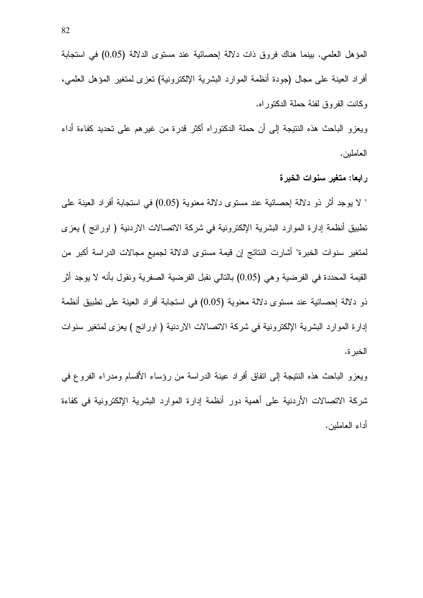ويعزو الباحث هذه النتيجة إلى أن حملة الدكتوراه أكثر قدرة من غيرهم على تحديد كفاءة أداء العاملين.

رابعا: متغير سنوات الخبرة

" لا يوجد أثر ذو دلالة إحصائية عند مستوى دلالة معنوية (0.05) في استجابة أفراد العينة على تطبيق أنظمة إدارة الموارد البشرية الإلكترونية في شركة الاتصالات الاردنية ( اورانج ) يعزى لمتغير سنوات الخبرة" أشارت النتائج إن قيمة مستوى الدلالة لجميع مجالات الدراسة أكبر من القيمة المحددة في الفرضية و هي (0.05) بالتالي نقبل الفرضية الصفرية ونقول بأنه لا يوجد أثر ذو دلالة إحصائية عند مستوى دلالة معنوية (0.05) في استجابة أفراد العينة على نطبيق أنظمة إدارة الموارد البشرية الإلكترونية في شركة الاتصالات الاردنية ( اورانج ) يعزى لمتغير سنوات الخبر ة.

ويعزو الباحث هذه النتيجة إلى اتفاق أفراد عينة الدراسة من رؤساء الأقسام ومدراء الفروع في شركة الاتصالات الأردنية على أهمية دور أنظمة إدارة الموارد البشرية الإلكترونية في كفاءة أداء العاملين.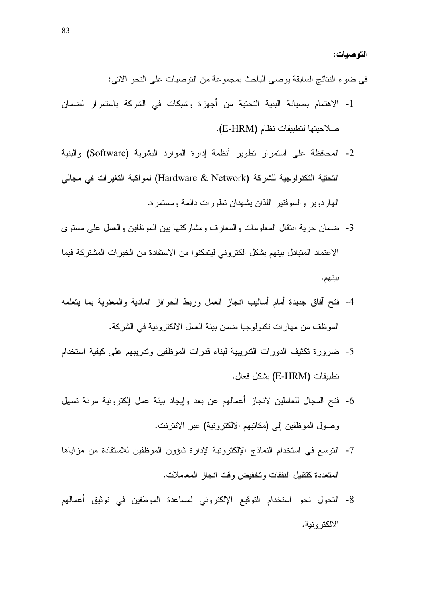التوصيات:

في ضوء النتائج السابقة بوصبي الباحث بمجموعة من التوصيات على النحو الآتي:

- 1- الاهتمام بصبانة البنية التحتية من أجهزة وشبكات في الشركة باستمرار لضمان صلاحيتها لتطبيقات نظام (E-HRM).
- 2- المحافظة على استمرار تطوير أنظمة إدارة الموارد البشرية (Software) والبنية النحتية التكنولوجية للشركة (Hardware & Network) لمواكبة التغيرات في مجالي المهاردوير والسوفنتير اللذان بشهدان نطورات دائمة ومستمرة.
- 3- ضمان حرية انتقال المعلومات والمعارف ومشاركتها بين الموظفين والعمل على مستوى الاعتماد المتبادل بينهم بشكل الكتروني ليتمكنوا من الاستفادة من الخبرات المشتركة فيما بينهم.
- 4- فَتَحٍ أَفَاقٍ جِدِيدَةٍ أَمامٍ أَسْالَيْبِ انْجَازِ الْعَمَلِ وَرَبِطِ الْحَوَافِزِ الْمَادِيَةِ والمعنوية بما يتعلمه الموظف من مهارات نكنولوجيا ضمن بيئة العمل الالكترونية في الشركة.
- 5- ضرورة تكثيف الدورات التدريبية لبناء قدرات الموظفين وتدريبهم على كيفية استخدام نطبيقات (E-HRM) بشكل فعال.
- 6- فتح المجال للعاملين لانجاز أعمالهم عن بعد وإيجاد بيئة عمل الكترونية مرنة تسهل وصول الموظفين إلى (مكانبهم الالكترونية) عبر الانترنت.
- 7- التوسع في استخدام النماذج الإلكترونية لإدارة شؤون الموظفين للاستفادة من مزاياها المتعددة كتقليل النفقات وتخفيض وقت انجاز المعاملات.
- 8- التحول نحو استخدام التوقيع الإلكتروني لمساعدة الموظفين في توثيق أعمالهم الالكترونية.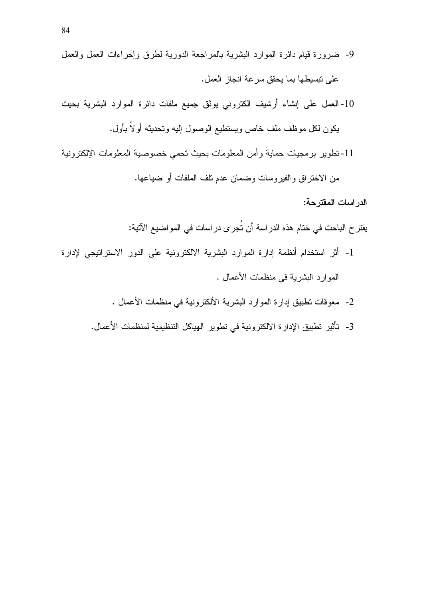- 9- ضرورة قيام دائرة الموارد البشرية بالمراجعة الدورية لطرق وإجراءات العمل والعمل على تبسيطها بما يحقق سرعة انجاز العمل.
- 10- العمل على إنشاء أرشيف الكتروني يوثق جميع ملفات دائرة الموارد البشرية بحيث يكون لكل موظف ملف خاص ويستطيع الوصول إليه وتحديثه أولاً بأول.
- 11-تطوير برمجيات حماية وأمن المعلومات بحيث تحمى خصوصية المعلومات الإلكترونية

من الاختراق والفيروسات وضمان عدم نلف الملفات أو ضباعها.

الدراسات المفترحة:

- يقتر ح الباحث في ختام هذه الدراسة أن تُجرى دراسات في المواضيع الآتية:
- 1- أثر استخدام أنظمة إدارة الموارد البشرية الالكترونية على الدور الاستراتيجي لإدارة الموارد البشرية في منظمات الأعمال .
	- 2- معوفات نطبيق إدارة الموارد البشرية الألكترونية في منظمات الأعمال .
	- 3- تأثير تطبيق الإدارة الالكترونية في تطوير الهياكل التنظيمية لمنظمات الأعمال.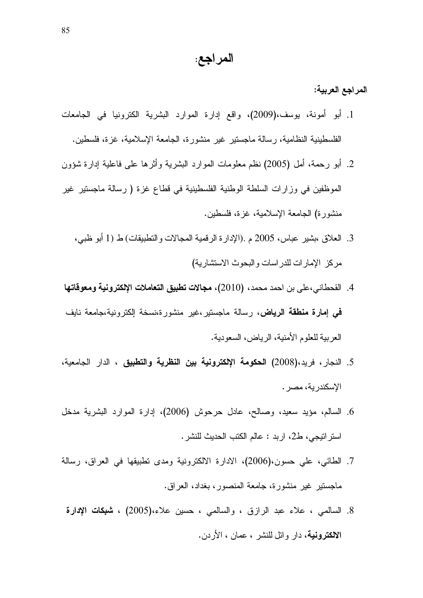### المراجع:

المراجع العربية:

- 1. أبو أمونة، يوسف،(2009)، واقع إدارة الموارد البشرية الكترونيا في الجامعات الفلسطينية النظامية، رسالة ماجستير غير منشورة، الجامعة الإسلامية، غزة، فلسطين.
- 2. أبو رحمة، أمل (2005) نظم معلومات الموارد البشرية وأثرها على فاعلية إدارة شؤون الموظفين في وزارات السلطة الوطنية الفلسطينية في قطاع غزة ( رسالة ماجستير غير منشورة) الجامعة الإسلامية، غزة، فلسطين.
	- 3. العلاق ،بشير عباس، 2005 م .(الإدارة الرقمية المجالات والنطبيقات) طـ (1 أبو ظبي، مركز الإمارات للدراسات والبحوث الاستشارية)
	- 4. القحطاني،على بن احمد محمد، (2010)، **مجالات تطبيق التعاملات الإلكترونية ومعوقاتها** فمي إ**مارة منطقة الرياض**، رسالة ماجستير ،غير منشورة،نسخة الكترونية،جامعة نايف العربية للعلوم الأمنية، الرياض، السعودية.
- 5. النجار، فريد،(2008) ا**لحكومة الإلكترونية بين النظرية والتطبيق** ، الدار الجامعية، الإسكندرية، مصر .
- 6. السالم، مؤيد سعيد، وصالح، عادل حرحوش (2006)، إدارة الموارد البشرية مدخل استر اتيجي، ط2، اربد : عالم الكتب الحديث للنشر .
- 7. الطائي، علي حسون،(2006)، الادارة الالكترونية ومدى نطبيقها في العراق، رسالة ماجستير غير منشورة، جامعة المنصور، بغداد، العراق.
	- 8. السالمي ، علاء عبد الرازق ، والسالمي ، حسين علاء،(2005) ، **شبكات الإدارة** الالكترونية، دار وائل للنشر ، عمان ، الأردن.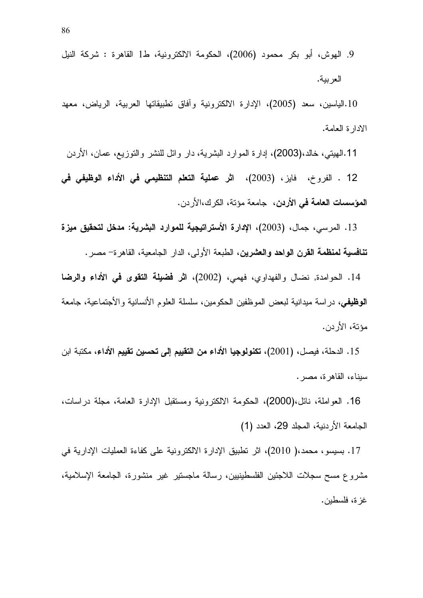9. الهوش، أبو بكر محمود (2006)، الحكومة الالكترونية، ط1 القاهرة : شركة النيل العربية.

.10.الياسين، سعد (2005)، الإدارة الالكترونية وأفاق نطبيقاتها العربية، الرياض، معهد الادارة العامة.

11.الـهيتـي، خالد،(2003)، إدارة الموارد البشرية، دار وائل للنشر والنوزيع، عمان، الأردن

12 . الفروخ، فايز، (2003)، اثر عملية التعلم التنظيمي في الأداء الوظيفي في **المؤسسات العامة في الأردن، ج**امعة مؤتة، الكرك،الأردن.

ـ 13. المرسي، جمال، (2003)، الإدارة الأسترات**يجية للمو**ارد ا**لبشرية: مدخل لتحقيق ميزة** ت**نافسية لمنظمة القرن الواحد والعشرين**، الطبعة الأولى، الدار الجامعية، القاهرة– مصر .

14. الحوامدة, نضـال والفهداوي، فهمي، (2002)، ا**ثر فضيلة التقوى في الأداء والرضا الوظيفي**، در اسة ميدانية لبعض الموظفين الحكومين، سلسلة العلوم الأنسانية والأجتماعية، جامعة مؤتة، الأردن.

15. الدحلة، فيصل، (2001)، **تكنولوجيا الأداء من التقييم إلى تحسين تقييم الأداء**، مكتبة ابن سيناء، القاهر ة، مصر .

16. العواملة، نائل،(2000)، الحكومة الالكترونية ومستقبل الإدارة العامة، مجلة دراسات، الجامعة الأردنية، المجلد 29، العدد (1)

17. بسيسو، محمد،( 2010)، اثر نطبيق الإدارة الالكترونية على كفاءة العمليات الإدارية في مشروع مسح سجلات اللاجئين الفلسطينيين، رسالة ماجستير غير منشورة، الجامعة الإسلامية، غز ة، فلسطين.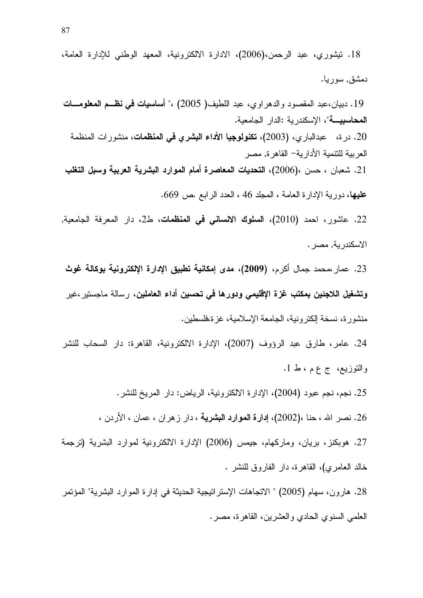18. تيشوري، عبد الرحمن،(2006)، الادارة الالكترونية، المعهد الوطني للإدارة العامة، دمشق, سوريا.

19 . دبيان،عبد المقصود والدهر اوى، عبد اللطيف( 2005) ،" أ**ساسيات في نظــم المعلومـــات المحاسبيــــة**"، الإسكندرية :الدار الجامعية. 20. در ة، عبدالباري، (2003)، **تكنولوجيا الأداء البشري في المنظمات**، منشور ات المنظمة العربية للتنمية الأدارية– القاهرة, مصر 21. شعبان ، حسن ،(2006)، التحديات المعاصرة أمام الموارد البشرية العربية وسبل التغلب عليها، دورية الإدارة العامة ، المجلد 46 ، العدد الرابع .ص 669.

22. عاشور، احمد (2010)، **السلوك الانساني في المنظمات**، ط2، دار المعرفة الجامعية, الاسكندرية, مصر .

23. عمار محمد جمال أكر<sub>م</sub>، (2009)، **مدى إمكانية تطبيق الإدارة الإلكترونية بوكالة غوث** وتشغيل اللاجئين بمكتب غزة الإقليمي ودورها في تحسين أداء العاملين، رسالة ماجستير ،غير منشور ة، نسخة الكترونية، الجامعة الإسلامية، غزة،فلسطين.

24. عامر، طارق عبد الرؤوف (2007)، الإدارة الالكترونية، القاهرة: دار السحاب للنشر والتوزيع، ج ع م ، ط 1.

25. نجم، نجم عبود (2004)، الإدارة الالكترونية، الرياض: دار المريخ للنشر .

26. نصر الله ، حنا ،(2002)، إ**دارة الموارد البشرية** ، دار ز هر ان ، عمان ، الأردن ،

27. هوبكنز، بريان، وماركهام، جيمس (2006) الإدارة الالكترونية لموارد البشرية (ترجمة خالد العامري)، القاهرة، دار الفاروق للنشر .

28. هارون، سهام (2005) " الاتجاهات الإستراتيجية الحديثة في إدارة الموارد البشرية" المؤتمر العلمي السنوي الحادي والعشرين، القاهرة، مصر .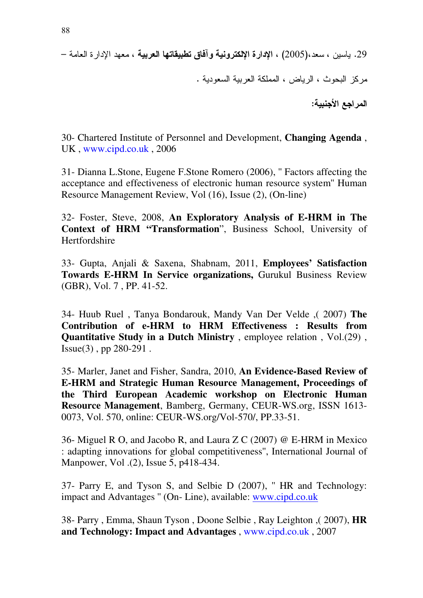29. ياسين ، سعد،(2005) ، الإدارة الإلكترونية وآفاق تطبيقاتها العربية ، معهد الإدارة العامة — مركز البحوث ، الرياض ، المملكة العربية السعودية . المراجع الأجنبية:

30- Chartered Institute of Personnel and Development, **Changing Agenda** , UK , www.cipd.co.uk , 2006

31- Dianna L.Stone, Eugene F.Stone Romero (2006), '' Factors affecting the acceptance and effectiveness of electronic human resource system'' Human Resource Management Review, Vol (16), Issue (2), (On-line)

32- Foster, Steve, 2008, **An Exploratory Analysis of E-HRM in The Context of HRM "Transformation**", Business School, University of Hertfordshire

33- Gupta, Anjali & Saxena, Shabnam, 2011, **Employees' Satisfaction Towards E-HRM In Service organizations,** Gurukul Business Review (GBR), Vol. 7 , PP. 41-52.

34- Huub Ruel , Tanya Bondarouk, Mandy Van Der Velde ,( 2007) **The Contribution of e-HRM to HRM Effectiveness : Results from Quantitative Study in a Dutch Ministry** , employee relation , Vol.(29) , Issue(3) , pp 280-291 .

35- Marler, Janet and Fisher, Sandra, 2010, **An Evidence-Based Review of E-HRM and Strategic Human Resource Management, Proceedings of the Third European Academic workshop on Electronic Human Resource Management**, Bamberg, Germany, CEUR-WS.org, ISSN 1613- 0073, Vol. 570, online: CEUR-WS.org/Vol-570/, PP.33-51.

36- Miguel R O, and Jacobo R, and Laura Z C (2007) @ E-HRM in Mexico : adapting innovations for global competitiveness'', International Journal of Manpower, Vol .(2), Issue 5, p418-434.

37- Parry E, and Tyson S, and Selbie D (2007), '' HR and Technology: impact and Advantages '' (On- Line), available: www.cipd.co.uk

38- Parry , Emma, Shaun Tyson , Doone Selbie , Ray Leighton ,( 2007), **HR and Technology: Impact and Advantages** , www.cipd.co.uk , 2007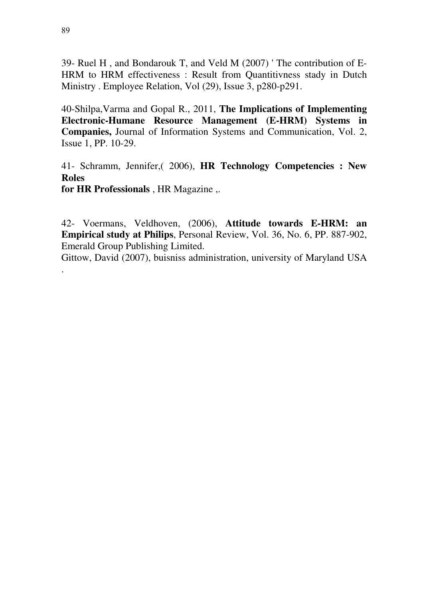39- Ruel H , and Bondarouk T, and Veld M (2007) ' The contribution of E-HRM to HRM effectiveness : Result from Quantitivness stady in Dutch Ministry . Employee Relation, Vol (29), Issue 3, p280-p291.

40-Shilpa,Varma and Gopal R., 2011, **The Implications of Implementing Electronic-Humane Resource Management (E-HRM) Systems in Companies,** Journal of Information Systems and Communication, Vol. 2, Issue 1, PP. 10-29.

41- Schramm, Jennifer,( 2006), **HR Technology Competencies : New Roles for HR Professionals** , HR Magazine ,.

42- Voermans, Veldhoven, (2006), **Attitude towards E-HRM: an Empirical study at Philips**, Personal Review, Vol. 36, No. 6, PP. 887-902, Emerald Group Publishing Limited.

Gittow, David (2007), buisniss administration, university of Maryland USA

.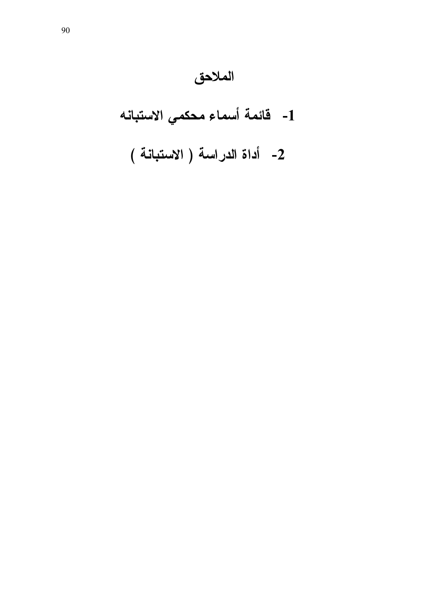# الملاحق

1- فَائِمة أسماء محكمي الاستبانه

2- أداة الدراسة ( الاستبانة )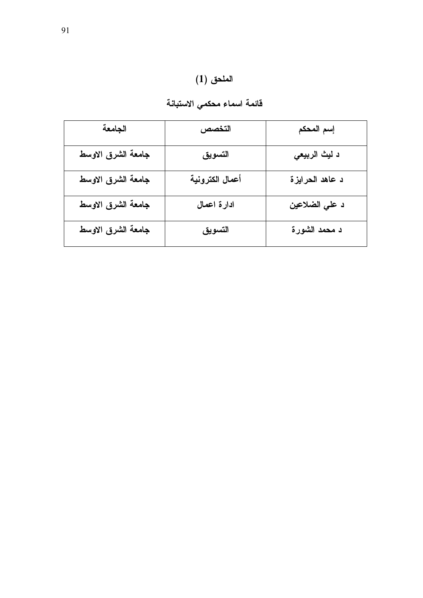.<br>قائمة اسماء محك*مي* الاستبانة

| الجامعة            | التخصص          | إسم المحكم      |
|--------------------|-----------------|-----------------|
| جامعة الشرق الاوسط | التسويق         | د ليث الربيعي   |
| جامعة الشرق الاوسط | أعمال الكترونية | د عاهد الحرايزة |
| جامعة الشرق الاوسط | ادارة اعمال     | د علي الضلاعين  |
| جامعة الشرق الاوسط | التسويق         | د محمد الشورة   |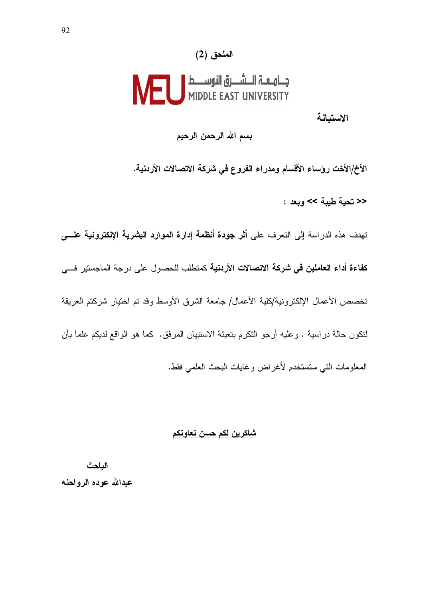#### الملحق (2)

# 

الاستبانة

بسم الله الرحمن الرحيم

الأخ/الأخت رؤساء الأقسام ومدراء الفروع في شركة الاتصالات الأردنية.

<< تحية طيبة >> ويعد :

تهدف هذه الدراسة إلى التعرف على أثر جودة أنظمة إدارة الموارد البشرية الإلكترونية علسى كفاءة أداء العاملين في شركة الاتصالات الأردنية كمنطلب للحصول على درجة الماجستير في تخصص الأعمال الإلكترونية/كلية الأعمال/ جامعة الشرق الأوسط وقد تم اختبار شركتم العريقة لنكون حالة دراسية . وعليه أرجو النكرم بنعبئة الاستبيان المرفق. كما هو الواقع لديكم علما بأن المعلومات التي ستستخدم لأغراض وغايات البحث العلمى فقط.

#### <u>شاكرين لكم حسن تعاونكم</u>

الباحث عبدالله عوده الرواحنه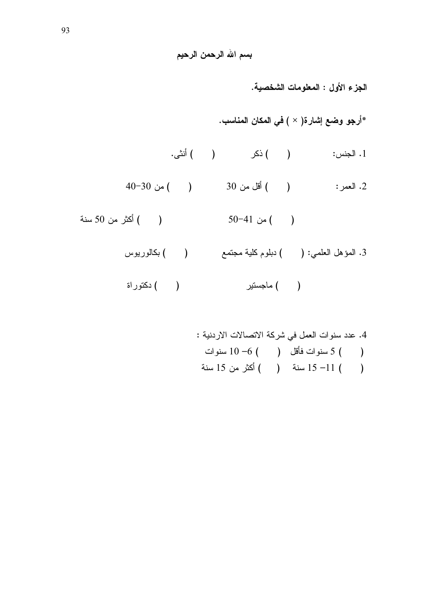الجزء الأول : المعلومات الشخصية. \*أرجو وضع إشارة( × ) في المكان المناسب. 3. المؤهل العلمي: ( ) دبلوم كلية مجتمع ( ) بكالوريوس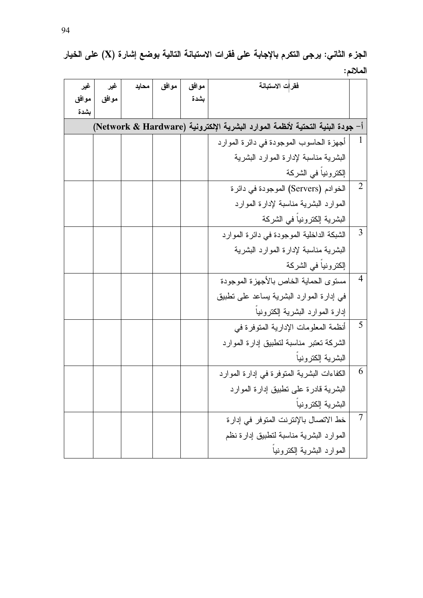## الجزء الثاني: يرجى التكرم بالإجابة على فقرات الاستبانـة التاليـة بوضـع إشار ة (X) على الخيار الملائم:

| غير                                                                            | غير   | محايد | موافق | موافق | فقرات الاستبانة                            |                |
|--------------------------------------------------------------------------------|-------|-------|-------|-------|--------------------------------------------|----------------|
| موافق                                                                          | موافق |       |       | بشدة  |                                            |                |
| بشدة                                                                           |       |       |       |       |                                            |                |
| أ– جودة البنية التحتية لأنظمة الموارد البشرية الإلكترونية (Network & Hardware) |       |       |       |       |                                            |                |
|                                                                                |       |       |       |       | أجهزة الحاسوب الموجودة في دائرة الموارد    | $\perp$        |
|                                                                                |       |       |       |       | البشرية مناسبة لإدارة الموارد البشرية      |                |
|                                                                                |       |       |       |       | إلكترونيا في الشركة                        |                |
|                                                                                |       |       |       |       | الخوادم (Servers) الموجودة في دائرة        | $\overline{2}$ |
|                                                                                |       |       |       |       | الموارد البشرية مناسبة لإدارة الموارد      |                |
|                                                                                |       |       |       |       | البشرية إلكترونيا في الشركة                |                |
|                                                                                |       |       |       |       | الشبكة الداخلية الموجودة في دائرة الموارد  | 3              |
|                                                                                |       |       |       |       | البشرية مناسبة لإدارة الموارد البشرية      |                |
|                                                                                |       |       |       |       | إلكترونيا في الشركة                        |                |
|                                                                                |       |       |       |       | مستوى الحماية الخاص بالأجهزة الموجودة      | $\overline{4}$ |
|                                                                                |       |       |       |       | في إدارة الموارد البشرية بساعد على نطبيق   |                |
|                                                                                |       |       |       |       | إدارة الموارد البشرية إلكترونيا            |                |
|                                                                                |       |       |       |       | أنظمة المعلومات الإدارية المتوفرة في       | 5              |
|                                                                                |       |       |       |       | الشركة تعتبر مناسبة لتطبيق إدارة الموارد   |                |
|                                                                                |       |       |       |       | البشرية إلكترونيا                          |                |
|                                                                                |       |       |       |       | الكفاءات البشرية المتوفرة في إدارة الموارد | 6              |
|                                                                                |       |       |       |       | البشرية قادرة على تطبيق إدارة الموارد      |                |
|                                                                                |       |       |       |       | البشرية إلكترونيا                          |                |
|                                                                                |       |       |       |       | خط الاتصال بالإنترنت المتوفر في إدارة      | $\tau$         |
|                                                                                |       |       |       |       | الموارد البشرية مناسبة لنطبيق إدارة نظم    |                |
|                                                                                |       |       |       |       | الموارد البشرية إلكترونيا                  |                |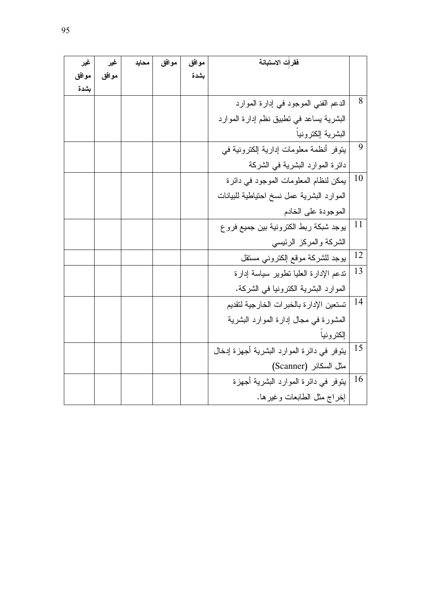| غير   | غير   | محايد | موافق | موافق | فقرات الاستبانة                            |    |
|-------|-------|-------|-------|-------|--------------------------------------------|----|
| موافق | موافق |       |       | بشدة  |                                            |    |
| بشدة  |       |       |       |       |                                            |    |
|       |       |       |       |       | الدعم الفني الموجود في إدارة الموارد       | 8  |
|       |       |       |       |       | البشرية يساعد في نطبيق نظم إدارة الموارد   |    |
|       |       |       |       |       | البشرية إلكترونيا                          |    |
|       |       |       |       |       | يتوفر أنظمة معلومات إدارية إلكترونية في    | 9  |
|       |       |       |       |       | دائرة الموارد البشرية في الشركة            |    |
|       |       |       |       |       | يمكن لنظام المعلومات الموجود في دائرة      | 10 |
|       |       |       |       |       | الموارد البشرية عمل نسخ احتياطية للبيانات  |    |
|       |       |       |       |       | الموجودة على الخادم                        |    |
|       |       |       |       |       | يوجد شبكة ربط الكترونية بين جميع فروع      | 11 |
|       |       |       |       |       | الشركة والمركز الرئيسى                     |    |
|       |       |       |       |       | يوجد للشركة موقع إلكتروني مستقل            | 12 |
|       |       |       |       |       | ندعم الإدارة العليا نطوير سياسة إدارة      | 13 |
|       |       |       |       |       | الموارد البشرية الكترونيا في الشركة.       |    |
|       |       |       |       |       | تستعين الإدارة بالخبرات الخارجية لتقديم    | 14 |
|       |       |       |       |       | المشورة في مجال إدارة الموارد البشرية      |    |
|       |       |       |       |       | إلكترونيا                                  |    |
|       |       |       |       |       | ينوفر في دائرة الموارد البشرية أجهزة إدخال | 15 |
|       |       |       |       |       | مثل السكانر (Scanner)                      |    |
|       |       |       |       |       | يتوفر في دائرة الموارد البشرية أجهزة       | 16 |
|       |       |       |       |       | إخراج مثل الطابعات وغيرها.                 |    |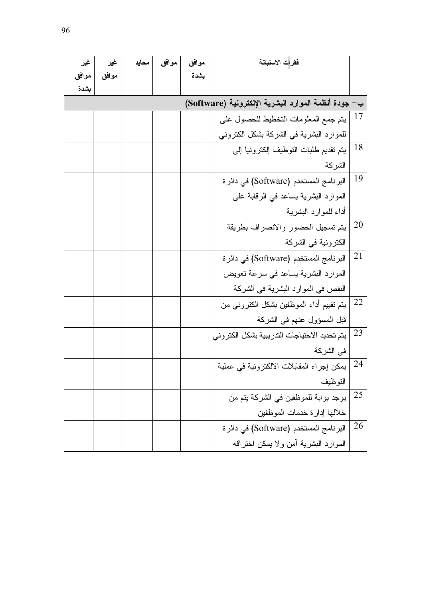| غير   | غير   | محايد | موافق | موافق | فقرات الاستبانة                                      |    |
|-------|-------|-------|-------|-------|------------------------------------------------------|----|
| موافق | موافق |       |       | بشدة  |                                                      |    |
| بشدة  |       |       |       |       |                                                      |    |
|       |       |       |       |       | ب– جودة أنظمة الموارد البشرية الإلكترونية (Software) |    |
|       |       |       |       |       | يتم جمع المعلومات التخطيط للحصول على                 | 17 |
|       |       |       |       |       | للموارد البشرية في الشركة بشكل الكتروني              |    |
|       |       |       |       |       | يتم تقديم طلبات التوظيف إلكترونيا إلى                | 18 |
|       |       |       |       |       | الشركة                                               |    |
|       |       |       |       |       | البرنامج المستخدم (Software) في دائرة                | 19 |
|       |       |       |       |       | الموارد البشرية يساعد في الرقابة على                 |    |
|       |       |       |       |       | أداء للموارد البشرية                                 |    |
|       |       |       |       |       | يتم تسجيل الحضور والانصراف بطريقة                    | 20 |
|       |       |       |       |       | الكترونية في الشركة                                  |    |
|       |       |       |       |       | البرنامج المستخدم (Software) في دائرة                | 21 |
|       |       |       |       |       | الموارد البشرية بساعد في سرعة نعويض                  |    |
|       |       |       |       |       | النقص في الموارد البشرية في الشركة                   |    |
|       |       |       |       |       | يتم تقييم أداء الموظفين بشكل الكترونبي من            | 22 |
|       |       |       |       |       | قبل المسؤول عنهم في الشركة                           |    |
|       |       |       |       |       | يتم تحديد الاحتياجات التدريبية بشكل الكتروني         | 23 |
|       |       |       |       |       | في الشركة                                            |    |
|       |       |       |       |       | يمكن إجراء المقابلات الالكترونية في عملية            | 24 |
|       |       |       |       |       | التوظيف                                              |    |
|       |       |       |       |       | يوجد بوابة للموظفين في الشركة يتم من                 | 25 |
|       |       |       |       |       | خلالها إدارة خدمات الموظفين                          |    |
|       |       |       |       |       | البرنامج المستخدم (Software) في دائرة                | 26 |
|       |       |       |       |       | الموارد البشرية أمن ولا يمكن اختراقه                 |    |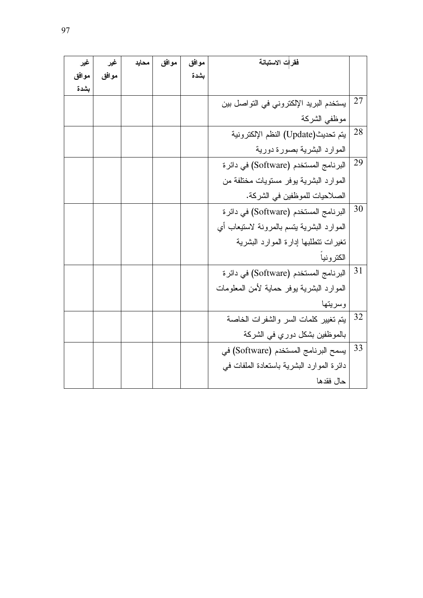| غير   | غير   | محايد | موافق | موافق | فقرات الاستبانة                           |    |
|-------|-------|-------|-------|-------|-------------------------------------------|----|
| موافق | موافق |       |       | بشدة  |                                           |    |
| بشدة  |       |       |       |       |                                           |    |
|       |       |       |       |       | يستخدم البريد الإلكتروني في التواصل بين   | 27 |
|       |       |       |       |       | موظفى الشركة                              |    |
|       |       |       |       |       | يتم تحديث(Update) النظم الإلكترونية       | 28 |
|       |       |       |       |       | الموارد البشرية بصورة دورية               |    |
|       |       |       |       |       | البرنامج المستخدم (Software) في دائرة     | 29 |
|       |       |       |       |       | الموارد البشرية يوفر مستويات مختلفة من    |    |
|       |       |       |       |       | الصلاحيات للموظفين في الشركة.             |    |
|       |       |       |       |       | البرنامج المستخدم (Software) في دائرة     | 30 |
|       |       |       |       |       | الموارد البشرية بتسم بالمرونة لاستيعاب أي |    |
|       |       |       |       |       | تغيرات تتطلبها إدارة الموارد البشرية      |    |
|       |       |       |       |       | الكترونيا                                 |    |
|       |       |       |       |       | البرنامج المستخدم (Software) في دائرة     | 31 |
|       |       |       |       |       | الموارد البشرية بوفر حماية لأمن المعلومات |    |
|       |       |       |       |       | وسريتها                                   |    |
|       |       |       |       |       | يتم تغيير كلمات السر والشفرات الخاصة      | 32 |
|       |       |       |       |       | بالموظفين بشكل دوري في الشركة             |    |
|       |       |       |       |       | يسمح البرنامج المستخدم (Software) في      | 33 |
|       |       |       |       |       | دائرة الموارد البشرية باستعادة الملفات في |    |
|       |       |       |       |       | حال فقدها                                 |    |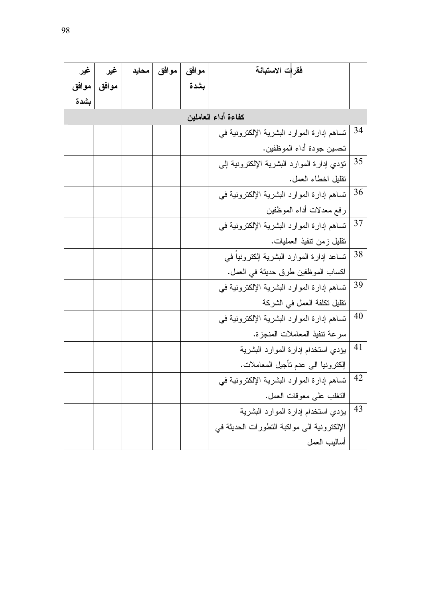| غير                 | غير   | محايد | موافق | موافق | فقرات الاستبانة                            |    |
|---------------------|-------|-------|-------|-------|--------------------------------------------|----|
| موافق               | موافق |       |       | بشدة  |                                            |    |
| بشدة                |       |       |       |       |                                            |    |
| كفاءة أداء العاملين |       |       |       |       |                                            |    |
|                     |       |       |       |       | تساهم إدارة الموارد البشرية الإلكترونية في | 34 |
|                     |       |       |       |       | تحسين جودة أداء الموظفين.                  |    |
|                     |       |       |       |       | تؤدي إدارة الموارد البشرية الإلكترونية إلى | 35 |
|                     |       |       |       |       | نقليل اخطاء العمل.                         |    |
|                     |       |       |       |       | تساهم إدارة الموارد البشرية الإلكترونية في | 36 |
|                     |       |       |       |       | رفع معدلات أداء الموظفين                   |    |
|                     |       |       |       |       | تساهم إدارة الموارد البشرية الإلكترونية في | 37 |
|                     |       |       |       |       | نقليل زمن نتفيذ العمليات.                  |    |
|                     |       |       |       |       | تساعد إدارة الموارد البشرية إلكترونيا في   | 38 |
|                     |       |       |       |       | اكساب الموظفين طرق حديثة في العمل.         |    |
|                     |       |       |       |       | تساهم إدارة الموارد البشرية الإلكترونية في | 39 |
|                     |       |       |       |       | نقليل تكلفة العمل في الشركة                |    |
|                     |       |       |       |       | تساهم إدارة الموارد البشرية الإلكترونية في | 40 |
|                     |       |       |       |       | سرعة تنفيذ المعاملات المنجزة.              |    |
|                     |       |       |       |       | بؤدي استخدام إدارة الموارد البشرية         | 41 |
|                     |       |       |       |       | الِكْترونيا الىي عدم نأجيل المعاملات.      |    |
|                     |       |       |       |       | تساهم إدارة الموارد البشرية الإلكترونية في | 42 |
|                     |       |       |       |       | النغلب على معوقات العمل.                   |    |
|                     |       |       |       |       | يؤدي استخدام إدارة الموارد البشرية         | 43 |
|                     |       |       |       |       | الإلكترونية الى مواكبة التطورات الحديثة في |    |
|                     |       |       |       |       | أساليب العمل                               |    |